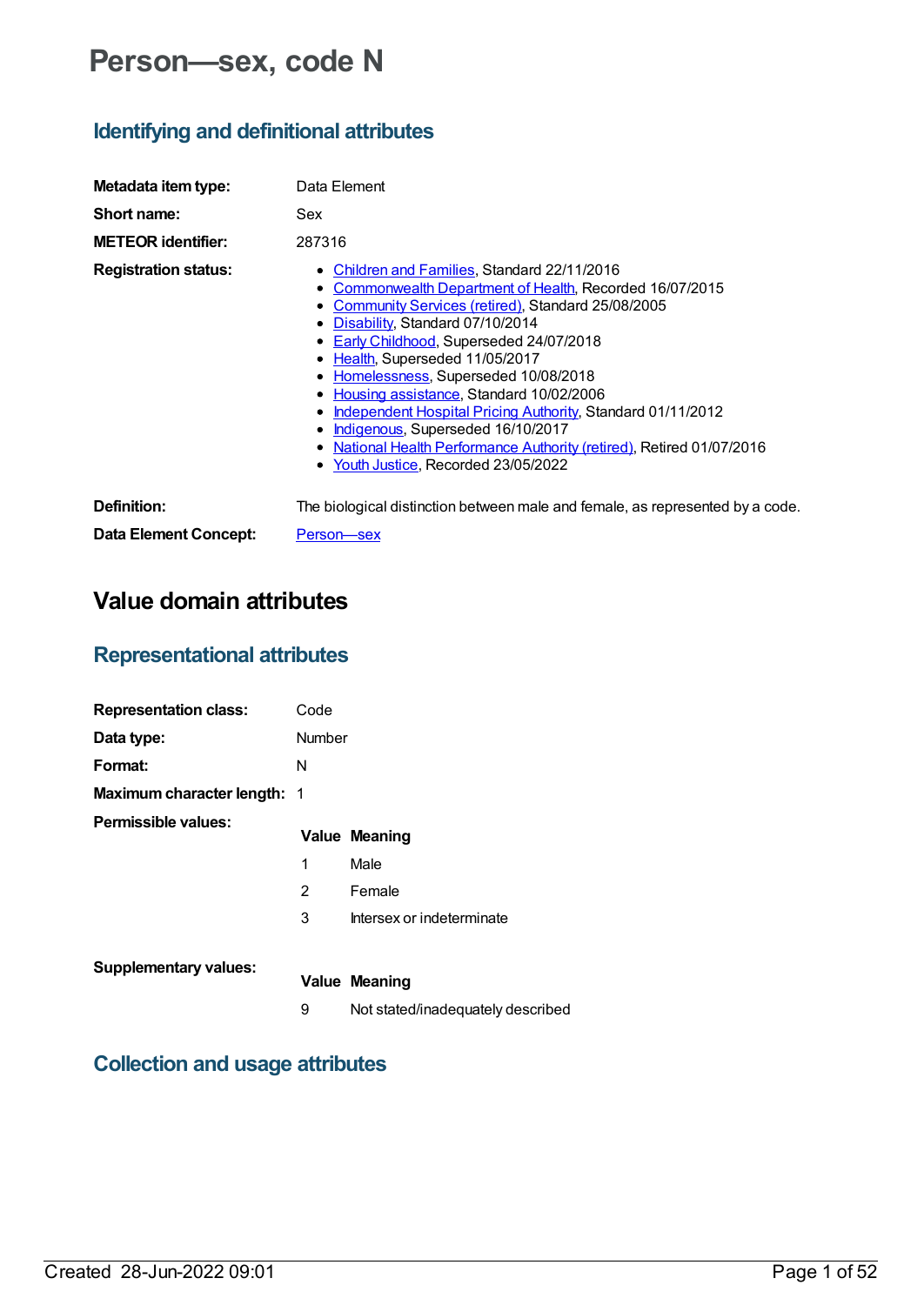# **Person—sex, code N**

### **Identifying and definitional attributes**

| Metadata item type:          | Data Element                                                                                                                                                                                                                                                                                                                                                                                                                                                                                                                                                                                          |
|------------------------------|-------------------------------------------------------------------------------------------------------------------------------------------------------------------------------------------------------------------------------------------------------------------------------------------------------------------------------------------------------------------------------------------------------------------------------------------------------------------------------------------------------------------------------------------------------------------------------------------------------|
| Short name:                  | Sex                                                                                                                                                                                                                                                                                                                                                                                                                                                                                                                                                                                                   |
| <b>METEOR identifier:</b>    | 287316                                                                                                                                                                                                                                                                                                                                                                                                                                                                                                                                                                                                |
| <b>Registration status:</b>  | • Children and Families, Standard 22/11/2016<br>Commonwealth Department of Health, Recorded 16/07/2015<br>• Community Services (retired), Standard 25/08/2005<br>• Disability, Standard 07/10/2014<br>• Early Childhood, Superseded 24/07/2018<br>• Health, Superseded 11/05/2017<br>• Homelessness, Superseded 10/08/2018<br>• Housing assistance, Standard 10/02/2006<br><u>Independent Hospital Pricing Authority, Standard 01/11/2012</u><br>• Indigenous, Superseded 16/10/2017<br>• National Health Performance Authority (retired), Retired 01/07/2016<br>• Youth Justice, Recorded 23/05/2022 |
| Definition:                  | The biological distinction between male and female, as represented by a code.                                                                                                                                                                                                                                                                                                                                                                                                                                                                                                                         |
| <b>Data Element Concept:</b> | Person-sex                                                                                                                                                                                                                                                                                                                                                                                                                                                                                                                                                                                            |

# **Value domain attributes**

### **Representational attributes**

| <b>Representation class:</b>       | Code   |                           |
|------------------------------------|--------|---------------------------|
| Data type:                         | Number |                           |
| Format:                            | N      |                           |
| <b>Maximum character length: 1</b> |        |                           |
| Permissible values:                |        | <b>Value Meaning</b>      |
|                                    |        |                           |
|                                    | 1      | Male                      |
|                                    | 2      | Female                    |
|                                    | 3      | Intersex or indeterminate |

**Supplementary values:**

- **Value Meaning**
- 9 Not stated/inadequately described

### **Collection and usage attributes**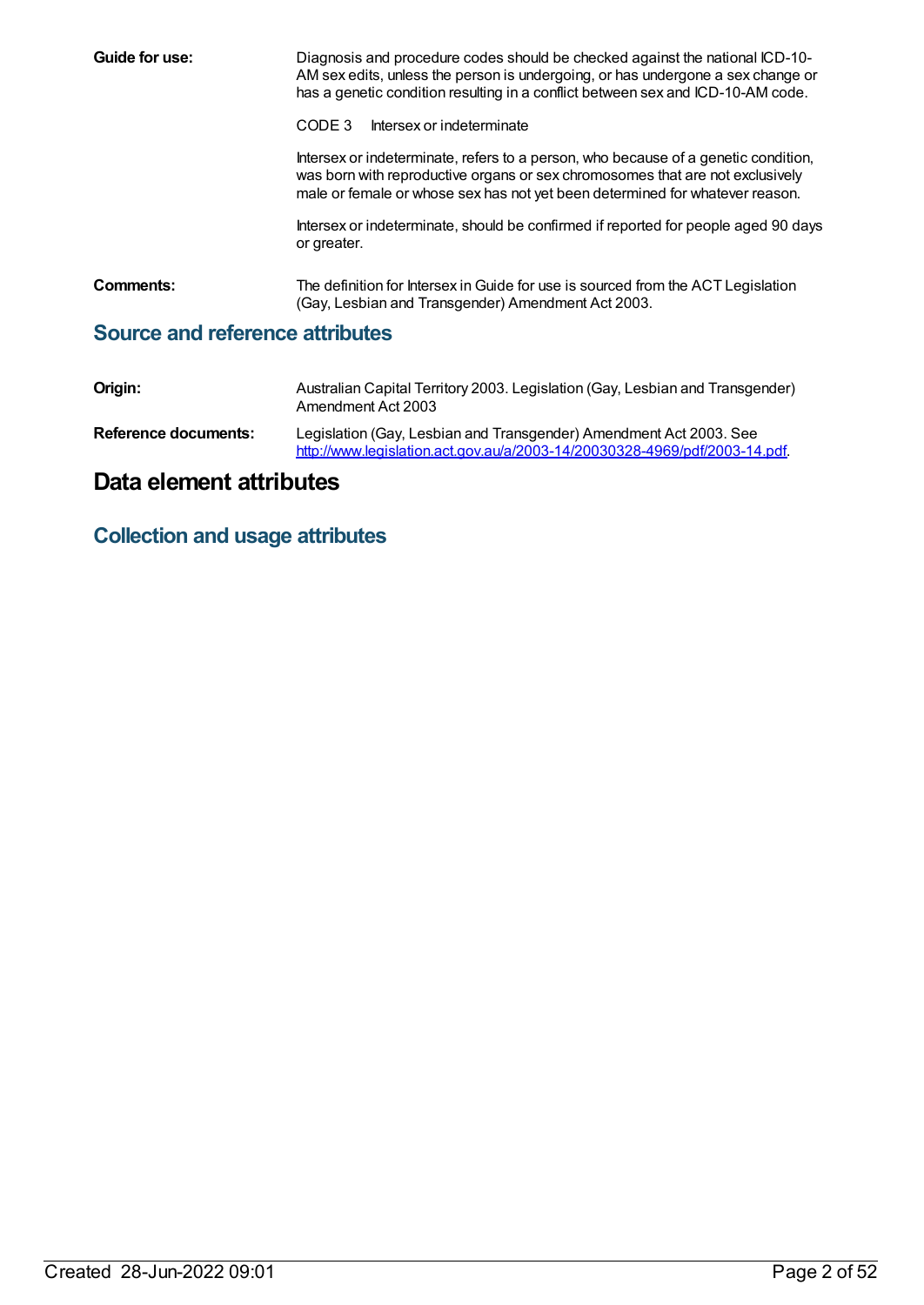| Guide for use:                         | Diagnosis and procedure codes should be checked against the national ICD-10-<br>AM sex edits, unless the person is undergoing, or has undergone a sex change or<br>has a genetic condition resulting in a conflict between sex and ICD-10-AM code.  |
|----------------------------------------|-----------------------------------------------------------------------------------------------------------------------------------------------------------------------------------------------------------------------------------------------------|
|                                        | Intersex or indeterminate<br>CODE 3                                                                                                                                                                                                                 |
|                                        | Intersex or indeterminate, refers to a person, who because of a genetic condition,<br>was born with reproductive organs or sex chromosomes that are not exclusively<br>male or female or whose sex has not yet been determined for whatever reason. |
|                                        | Intersex or indeterminate, should be confirmed if reported for people aged 90 days<br>or greater.                                                                                                                                                   |
| Comments:                              | The definition for Intersex in Guide for use is sourced from the ACT Legislation<br>(Gay, Lesbian and Transgender) Amendment Act 2003.                                                                                                              |
| <b>Source and reference attributes</b> |                                                                                                                                                                                                                                                     |

| Origin:                     | Australian Capital Territory 2003. Legislation (Gay, Lesbian and Transgender)<br>Amendment Act 2003                                              |
|-----------------------------|--------------------------------------------------------------------------------------------------------------------------------------------------|
| <b>Reference documents:</b> | Legislation (Gay, Lesbian and Transgender) Amendment Act 2003. See<br>http://www.legislation.act.gov.au/a/2003-14/20030328-4969/pdf/2003-14.pdf. |

# **Data element attributes**

# **Collection and usage attributes**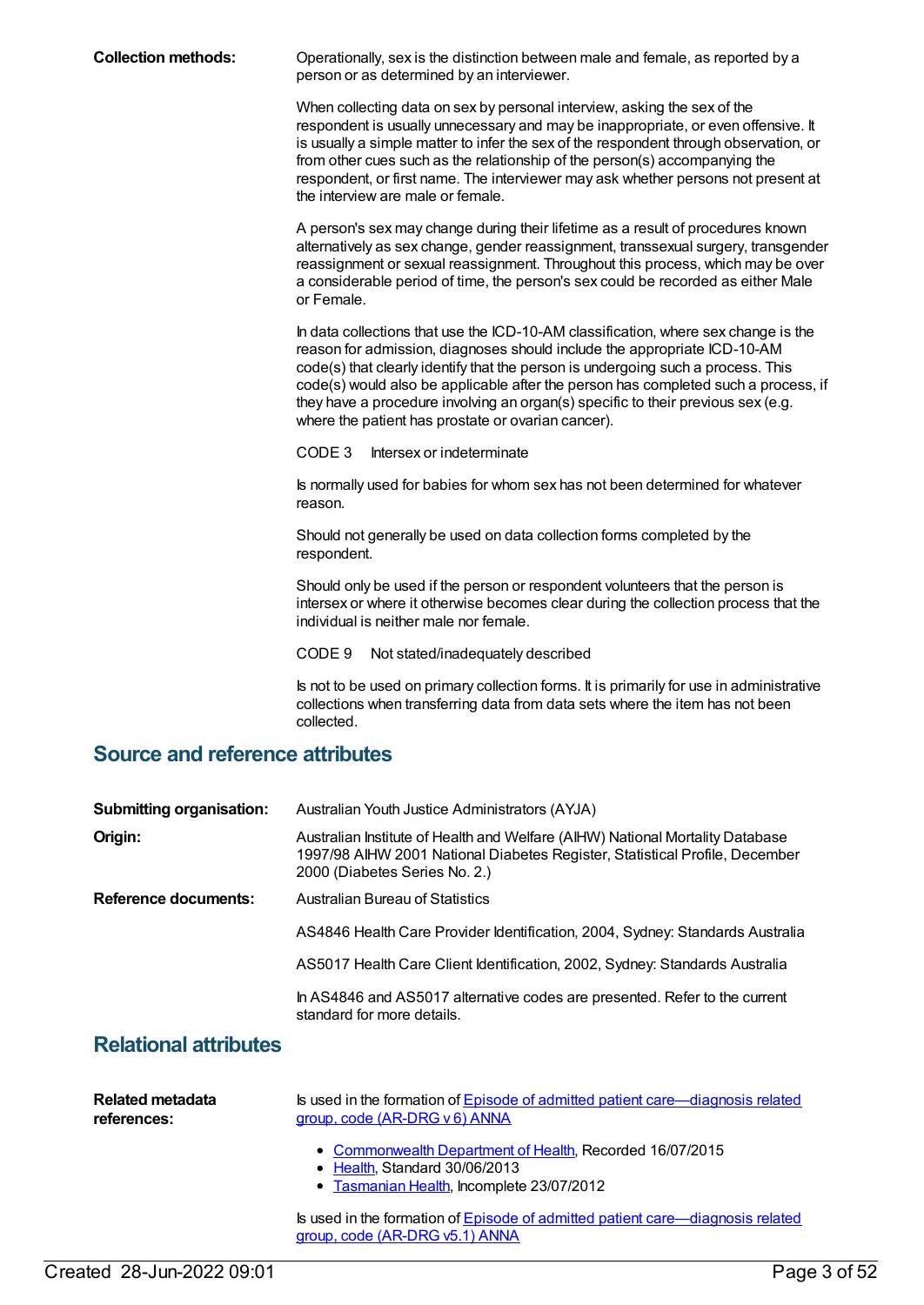**Collection methods:** Operationally, sex is the distinction between male and female, as reported by a person or as determined by an interviewer.

> When collecting data on sex by personal interview, asking the sex of the respondent is usually unnecessary and may be inappropriate, or even offensive. It is usually a simple matter to infer the sex of the respondent through observation, or from other cues such as the relationship of the person(s) accompanying the respondent, or first name. The interviewer may ask whether persons not present at the interview are male or female.

A person's sex may change during their lifetime as a result of procedures known alternatively as sex change, gender reassignment, transsexual surgery, transgender reassignment or sexual reassignment. Throughout this process, which may be over a considerable period of time, the person's sex could be recorded as either Male or Female.

In data collections that use the ICD-10-AM classification, where sex change is the reason for admission, diagnoses should include the appropriate ICD-10-AM code(s) that clearly identify that the person is undergoing such a process. This code(s) would also be applicable after the person has completed such a process, if they have a procedure involving an organ(s) specific to their previous sex (e.g. where the patient has prostate or ovarian cancer).

CODE 3 Intersex or indeterminate

Is normally used for babies for whom sex has not been determined for whatever reason.

Should not generally be used on data collection forms completed by the respondent.

Should only be used if the person or respondent volunteers that the person is intersex or where it otherwise becomes clear during the collection process that the individual is neither male nor female.

CODE 9 Not stated/inadequately described

Is not to be used on primary collection forms. It is primarily for use in administrative collections when transferring data from data sets where the item has not been collected.

### **Source and reference attributes**

| <b>Submitting organisation:</b> | Australian Youth Justice Administrators (AYJA)                                                                                                                                                |
|---------------------------------|-----------------------------------------------------------------------------------------------------------------------------------------------------------------------------------------------|
| Origin:                         | Australian Institute of Health and Welfare (AIHW) National Mortality Database<br>1997/98 AIHW 2001 National Diabetes Register, Statistical Profile, December<br>2000 (Diabetes Series No. 2.) |
| Reference documents:            | Australian Bureau of Statistics                                                                                                                                                               |
|                                 | AS4846 Health Care Provider Identification, 2004, Sydney: Standards Australia                                                                                                                 |
|                                 | AS5017 Health Care Client Identification, 2002, Sydney: Standards Australia                                                                                                                   |
|                                 | In AS4846 and AS5017 alternative codes are presented. Refer to the current<br>standard for more details.                                                                                      |
|                                 |                                                                                                                                                                                               |

### **Relational attributes**

| Related metadata<br>references: | Is used in the formation of Episode of admitted patient care—diagnosis related<br>group, code (AR-DRG v 6) ANNA                        |
|---------------------------------|----------------------------------------------------------------------------------------------------------------------------------------|
|                                 | • Commonwealth Department of Health, Recorded 16/07/2015<br>• Health, Standard 30/06/2013<br>• Tasmanian Health, Incomplete 23/07/2012 |
|                                 | Is used in the formation of Episode of admitted patient care—diagnosis related<br>group, code (AR-DRG v5.1) ANNA                       |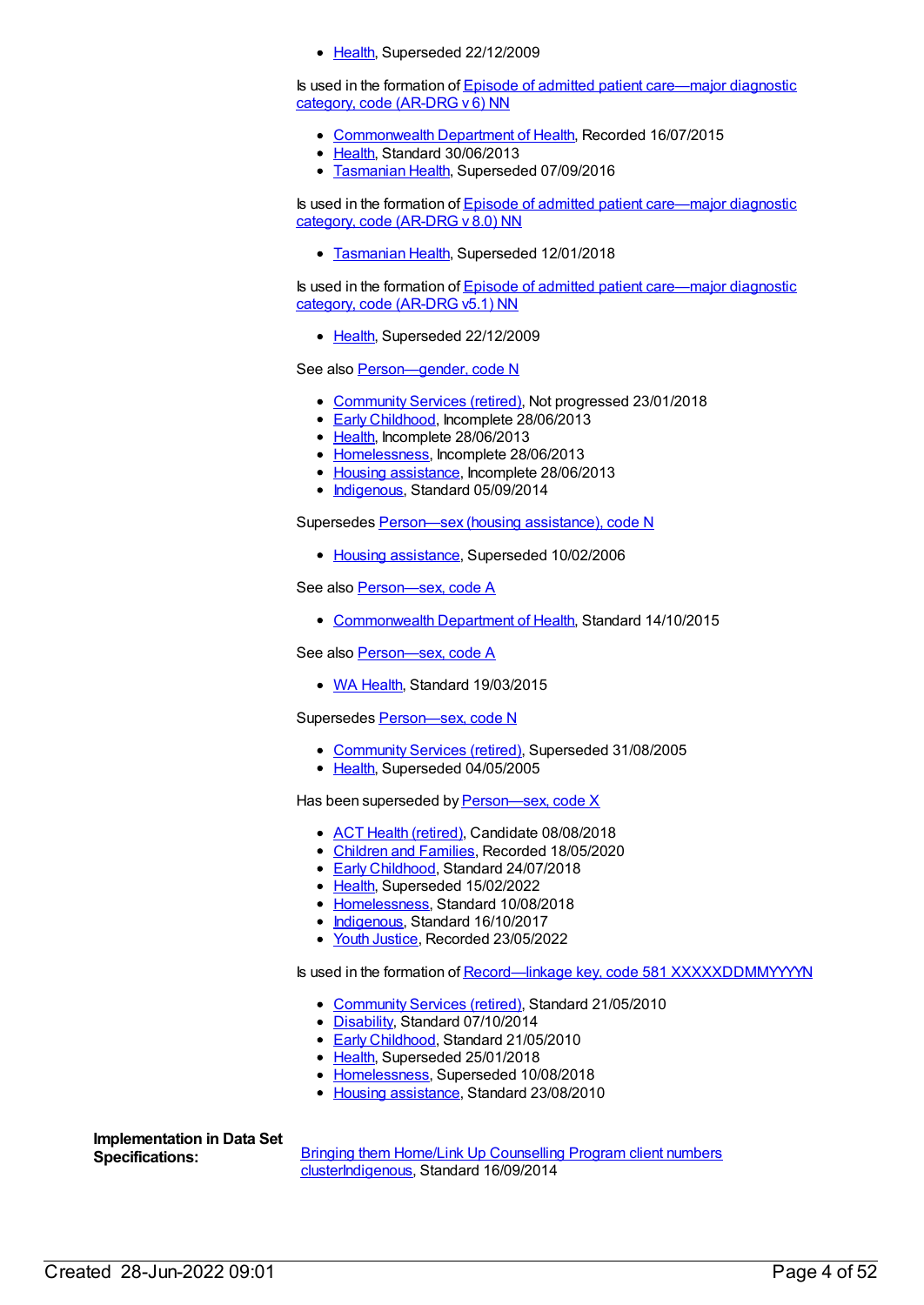• [Health](https://meteor.aihw.gov.au/RegistrationAuthority/12), Superseded 22/12/2009

Is used in the formation of Episode of admitted patient [care—major](https://meteor.aihw.gov.au/content/391298) diagnostic category, code (AR-DRG v 6) NN

- [Commonwealth](https://meteor.aihw.gov.au/RegistrationAuthority/10) Department of Health, Recorded 16/07/2015
- [Health](https://meteor.aihw.gov.au/RegistrationAuthority/12), Standard 30/06/2013
- **[Tasmanian](https://meteor.aihw.gov.au/RegistrationAuthority/15) Health, Superseded 07/09/2016**

Is used in the formation of Episode of admitted patient [care—major](https://meteor.aihw.gov.au/content/653337) diagnostic category, code (AR-DRG v 8.0) NN

**[Tasmanian](https://meteor.aihw.gov.au/RegistrationAuthority/15) Health, Superseded 12/01/2018** 

Is used in the formation of Episode of admitted patient [care—major](https://meteor.aihw.gov.au/content/270400) diagnostic category, code (AR-DRG v5.1) NN

• [Health](https://meteor.aihw.gov.au/RegistrationAuthority/12), Superseded 22/12/2009

See also [Person—gender,](https://meteor.aihw.gov.au/content/521492) code N

- [Community](https://meteor.aihw.gov.au/RegistrationAuthority/1) Services (retired), Not progressed 23/01/2018
- **Early [Childhood](https://meteor.aihw.gov.au/RegistrationAuthority/13), Incomplete 28/06/2013**
- [Health](https://meteor.aihw.gov.au/RegistrationAuthority/12), Incomplete 28/06/2013
- [Homelessness](https://meteor.aihw.gov.au/RegistrationAuthority/14), Incomplete 28/06/2013
- Housing [assistance](https://meteor.aihw.gov.au/RegistrationAuthority/11), Incomplete 28/06/2013
- [Indigenous](https://meteor.aihw.gov.au/RegistrationAuthority/6), Standard 05/09/2014

Supersedes [Person—sex](https://meteor.aihw.gov.au/content/270364) (housing assistance), code N

• Housing [assistance](https://meteor.aihw.gov.au/RegistrationAuthority/11), Superseded 10/02/2006

See also Person-sex, code A

• [Commonwealth](https://meteor.aihw.gov.au/RegistrationAuthority/10) Department of Health, Standard 14/10/2015

See also Person-sex, code A

• WA [Health](https://meteor.aihw.gov.au/RegistrationAuthority/2), Standard 19/03/2015

Supersedes Person-sex, code N

- [Community](https://meteor.aihw.gov.au/RegistrationAuthority/1) Services (retired), Superseded 31/08/2005
- [Health](https://meteor.aihw.gov.au/RegistrationAuthority/12), Superseded 04/05/2005

Has been superseded by Person-sex, code X

- ACT Health [\(retired\)](https://meteor.aihw.gov.au/RegistrationAuthority/9), Candidate 08/08/2018
- [Children](https://meteor.aihw.gov.au/RegistrationAuthority/17) and Families, Recorded 18/05/2020
- **Early [Childhood](https://meteor.aihw.gov.au/RegistrationAuthority/13), Standard 24/07/2018**
- [Health](https://meteor.aihw.gov.au/RegistrationAuthority/12), Superseded 15/02/2022
- [Homelessness](https://meteor.aihw.gov.au/RegistrationAuthority/14), Standard 10/08/2018
- [Indigenous](https://meteor.aihw.gov.au/RegistrationAuthority/6), Standard 16/10/2017
- Youth [Justice](https://meteor.aihw.gov.au/RegistrationAuthority/4), Recorded 23/05/2022

Is used in the formation of Record—linkage key, code 581 [XXXXXDDMMYYYYN](https://meteor.aihw.gov.au/content/349895)

- [Community](https://meteor.aihw.gov.au/RegistrationAuthority/1) Services (retired), Standard 21/05/2010
- [Disability](https://meteor.aihw.gov.au/RegistrationAuthority/16), Standard 07/10/2014
- Early [Childhood](https://meteor.aihw.gov.au/RegistrationAuthority/13), Standard 21/05/2010
- [Health](https://meteor.aihw.gov.au/RegistrationAuthority/12), Superseded 25/01/2018
- [Homelessness](https://meteor.aihw.gov.au/RegistrationAuthority/14), Superseded 10/08/2018
- Housing [assistance](https://meteor.aihw.gov.au/RegistrationAuthority/11), Standard 23/08/2010

**Implementation in Data Set**

**Specifications:** Bringing them Home/Link Up Counselling Program client numbers [clusterIndigenous,](https://meteor.aihw.gov.au/content/577561) Standard 16/09/2014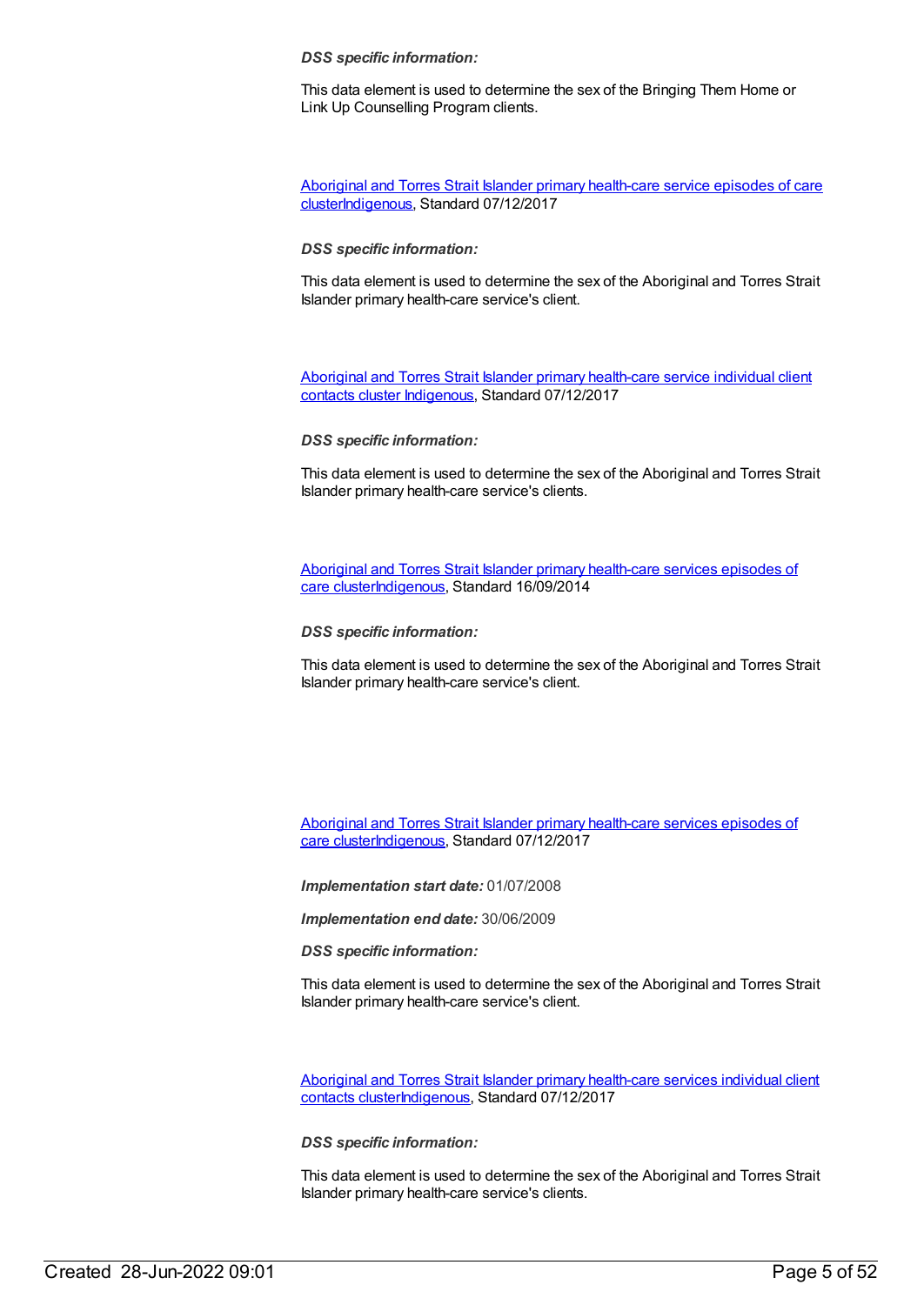#### *DSS specific information:*

This data element is used to determine the sex of the Bringing Them Home or Link Up Counselling Program clients.

Aboriginal and Torres Strait Islander primary health-care service episodes of care [clusterIndigenous,](https://meteor.aihw.gov.au/content/676943) Standard 07/12/2017

#### *DSS specific information:*

This data element is used to determine the sex of the Aboriginal and Torres Strait Islander primary health-care service's client.

Aboriginal and Torres Strait Islander primary [health-care](https://meteor.aihw.gov.au/content/676946) service individual client contacts cluster [Indigenous](https://meteor.aihw.gov.au/RegistrationAuthority/6), Standard 07/12/2017

#### *DSS specific information:*

This data element is used to determine the sex of the Aboriginal and Torres Strait Islander primary health-care service's clients.

Aboriginal and Torres Strait Islander primary health-care services episodes of care [clusterIndigenous,](https://meteor.aihw.gov.au/content/564717) Standard 16/09/2014

*DSS specific information:*

This data element is used to determine the sex of the Aboriginal and Torres Strait Islander primary health-care service's client.

Aboriginal and Torres Strait Islander primary health-care services episodes of care [clusterIndigenous,](https://meteor.aihw.gov.au/content/683072) Standard 07/12/2017

*Implementation start date:* 01/07/2008

*Implementation end date:* 30/06/2009

*DSS specific information:*

This data element is used to determine the sex of the Aboriginal and Torres Strait Islander primary health-care service's client.

Aboriginal and Torres Strait Islander primary health-care services individual client contacts [clusterIndigenous,](https://meteor.aihw.gov.au/content/665024) Standard 07/12/2017

*DSS specific information:*

This data element is used to determine the sex of the Aboriginal and Torres Strait Islander primary health-care service's clients.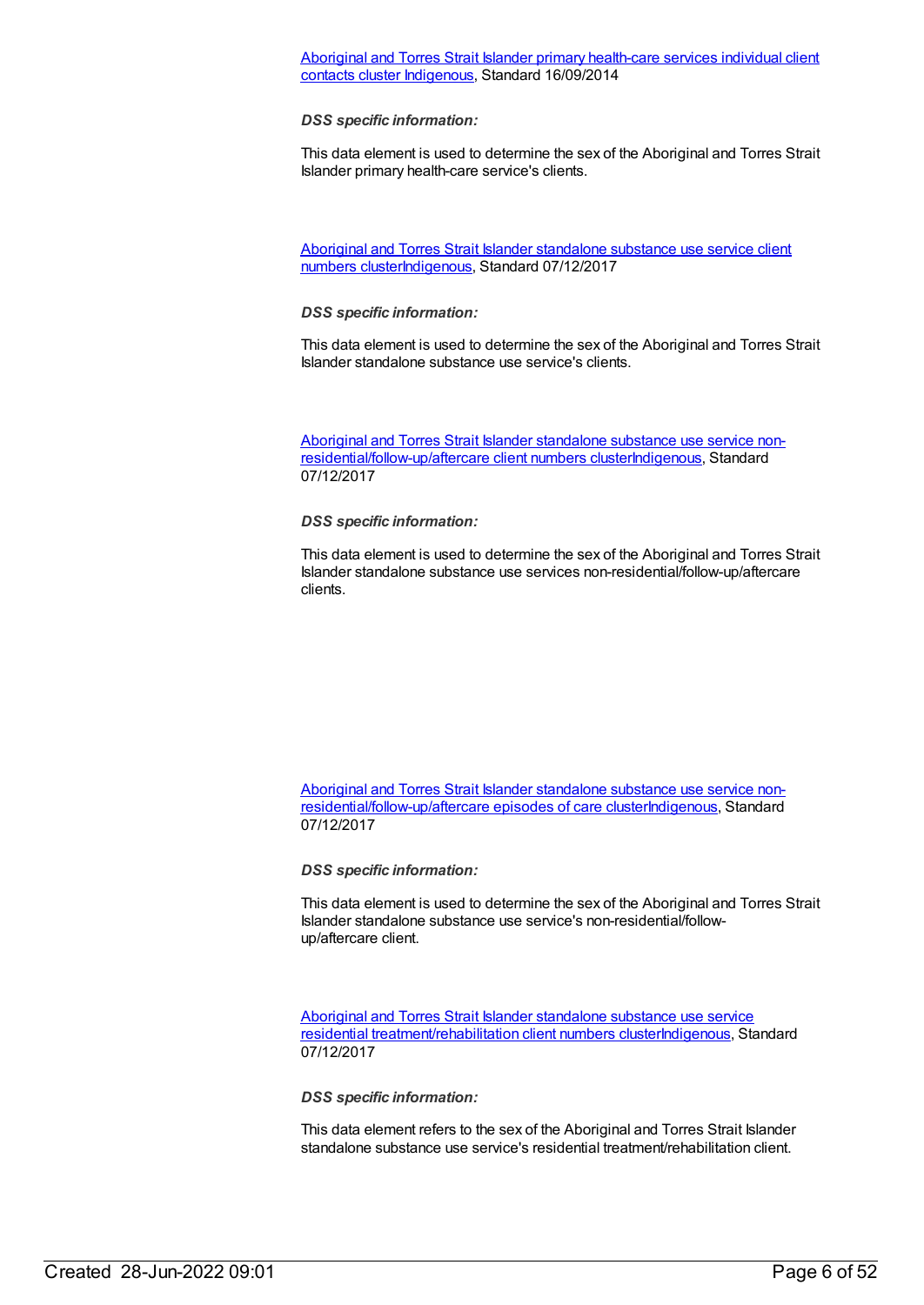#### Aboriginal and Torres Strait Islander primary [health-care](https://meteor.aihw.gov.au/content/564904) services individual client contacts cluster [Indigenous](https://meteor.aihw.gov.au/RegistrationAuthority/6), Standard 16/09/2014

*DSS specific information:*

This data element is used to determine the sex of the Aboriginal and Torres Strait Islander primary health-care service's clients.

Aboriginal and Torres Strait Islander standalone substance use service client numbers [clusterI](https://meteor.aihw.gov.au/content/677077)[ndigenou](https://meteor.aihw.gov.au/RegistrationAuthority/6)[s,](https://meteor.aihw.gov.au/content/677077) Standard 07/12/2017

*DSS specific information:*

This data element is used to determine the sex of the Aboriginal and Torres Strait Islander standalone substance use service's clients.

Aboriginal and Torres Strait Islander standalone substance use service non[residential/follow-up/aftercare](https://meteor.aihw.gov.au/content/677121) client numbers cluste[rIndigenous](https://meteor.aihw.gov.au/RegistrationAuthority/6), Standard 07/12/2017

#### *DSS specific information:*

This data element is used to determine the sex of the Aboriginal and Torres Strait Islander standalone substance use services non-residential/follow-up/aftercare clients.

Aboriginal and Torres Strait Islander standalone substance use service non[residential/follow-up/aftercare](https://meteor.aihw.gov.au/content/677131) episodes of care cluste[rIndigenous](https://meteor.aihw.gov.au/RegistrationAuthority/6), Standard 07/12/2017

*DSS specific information:*

This data element is used to determine the sex of the Aboriginal and Torres Strait Islander standalone substance use service's non-residential/followup/aftercare client.

Aboriginal and Torres Strait Islander standalone substance use service residential [treatment/rehabilitation](https://meteor.aihw.gov.au/content/677083) client numbers cluste[rIndigenous](https://meteor.aihw.gov.au/RegistrationAuthority/6), Standard 07/12/2017

*DSS specific information:*

This data element refers to the sex of the Aboriginal and Torres Strait Islander standalone substance use service's residential treatment/rehabilitation client.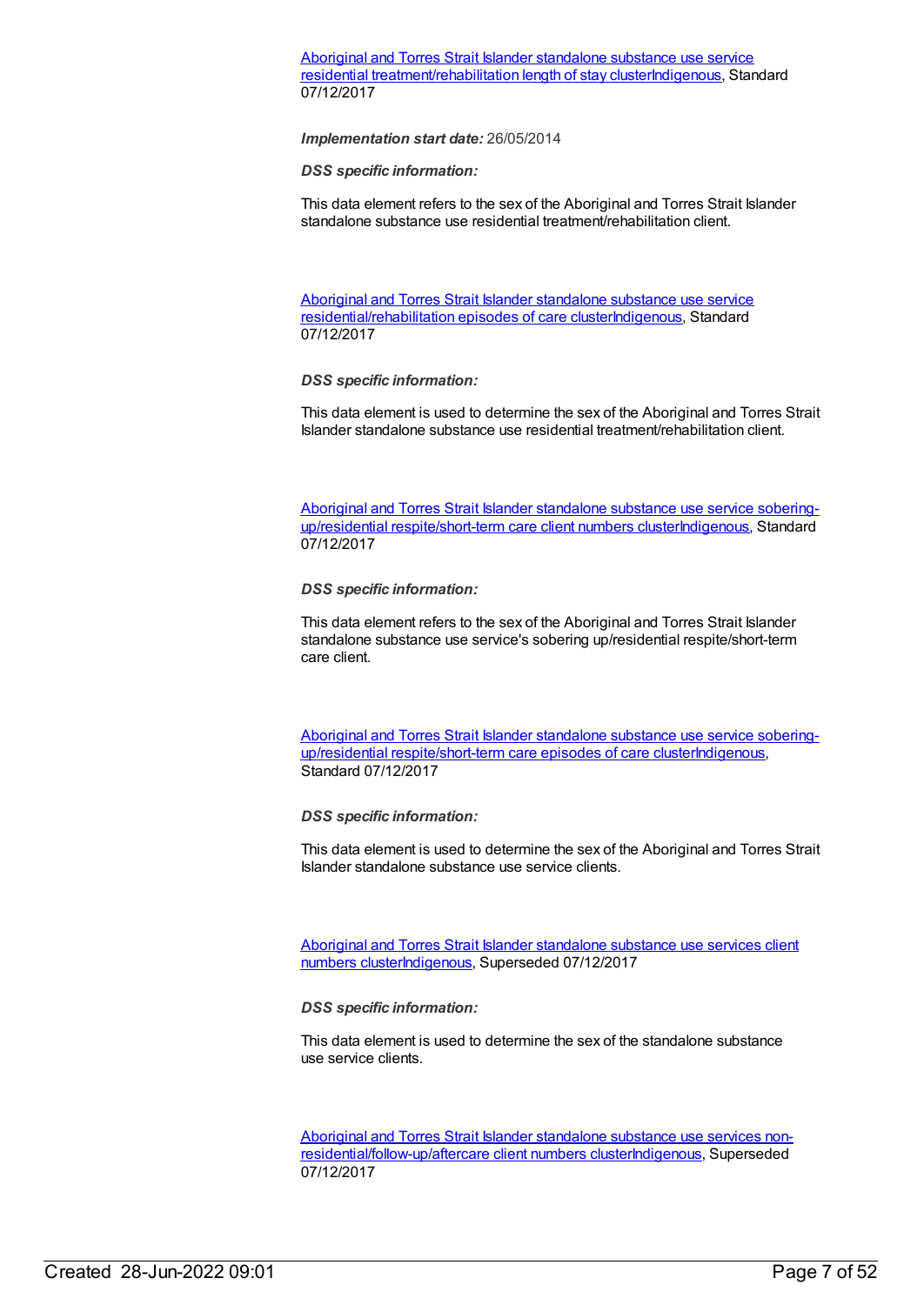Aboriginal and Torres Strait Islander standalone substance use service residential [treatment/rehabilitation](https://meteor.aihw.gov.au/content/677090) length of stay cluste[rIndigenous](https://meteor.aihw.gov.au/RegistrationAuthority/6), Standard 07/12/2017

*Implementation start date:* 26/05/2014

*DSS specific information:*

This data element refers to the sex of the Aboriginal and Torres Strait Islander standalone substance use residential treatment/rehabilitation client.

Aboriginal and Torres Strait Islander standalone substance use service [residential/rehabilitation](https://meteor.aihw.gov.au/content/677100) episodes of care cluste[rIndigenous](https://meteor.aihw.gov.au/RegistrationAuthority/6), Standard 07/12/2017

#### *DSS specific information:*

This data element is used to determine the sex of the Aboriginal and Torres Strait Islander standalone substance use residential treatment/rehabilitation client.

Aboriginal and Torres Strait Islander standalone substance use service soberingup/residential respite/short-term care client numbers [clusterIndigenous,](https://meteor.aihw.gov.au/content/677106) Standard 07/12/2017

#### *DSS specific information:*

This data element refers to the sex of the Aboriginal and Torres Strait Islander standalone substance use service's sobering up/residential respite/short-term care client.

Aboriginal and Torres Strait Islander standalone substance use service soberingup/residential respite/short-term care episodes of care [clusterIndigenous,](https://meteor.aihw.gov.au/content/677115) Standard 07/12/2017

*DSS specific information:*

This data element is used to determine the sex of the Aboriginal and Torres Strait Islander standalone substance use service clients.

Aboriginal and Torres Strait Islander standalone substance use services client numbers [clusterIndigenous,](https://meteor.aihw.gov.au/content/568225) Superseded 07/12/2017

#### *DSS specific information:*

This data element is used to determine the sex of the standalone substance use service clients.

Aboriginal and Torres Strait Islander standalone substance use services non[residential/follow-up/aftercare](https://meteor.aihw.gov.au/content/576863) client numbers cluste[rIndigenous](https://meteor.aihw.gov.au/RegistrationAuthority/6), Superseded 07/12/2017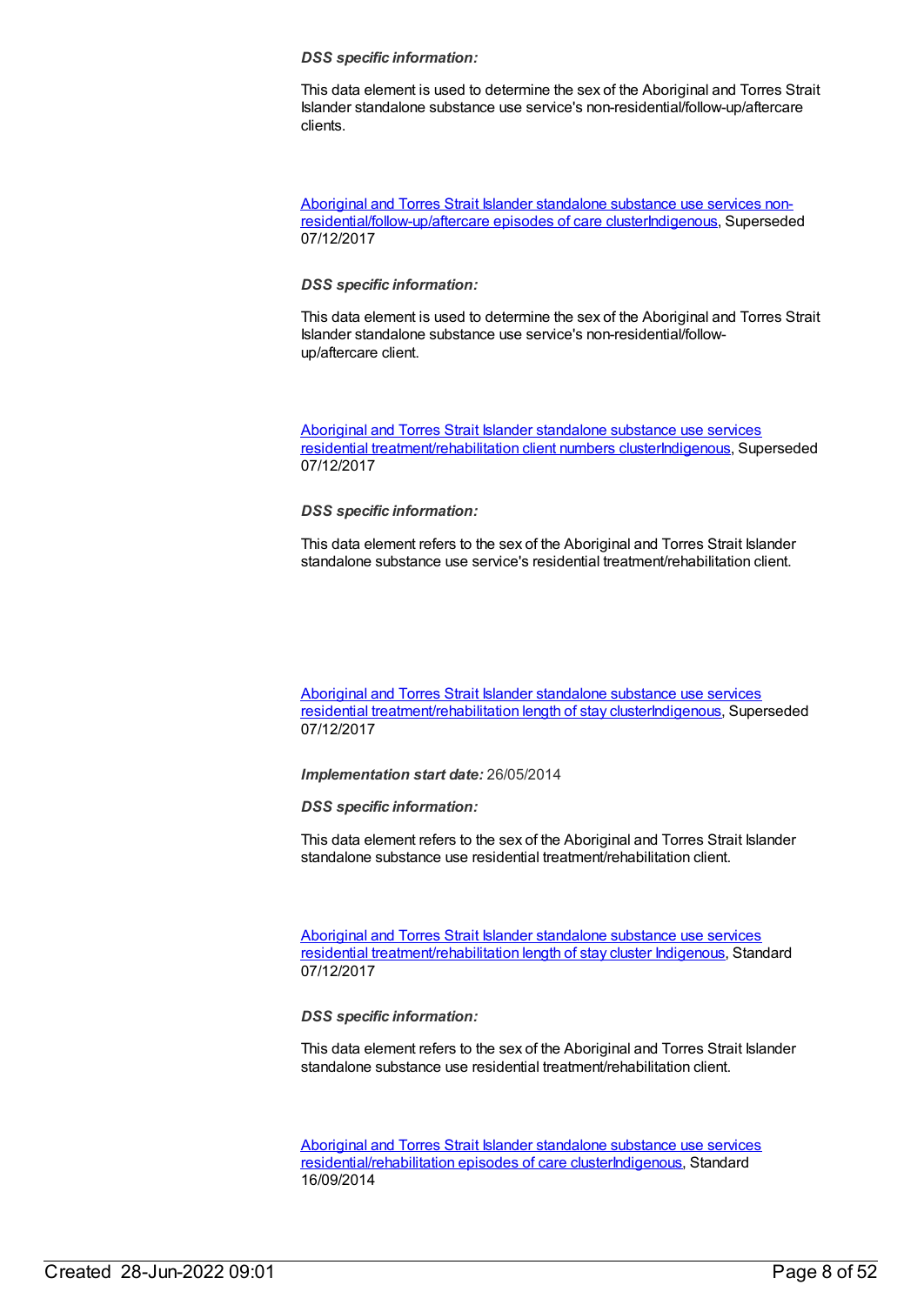#### *DSS specific information:*

This data element is used to determine the sex of the Aboriginal and Torres Strait Islander standalone substance use service's non-residential/follow-up/aftercare clients.

Aboriginal and Torres Strait Islander standalone substance use services non[residential/follow-up/aftercare](https://meteor.aihw.gov.au/content/576889) episodes of care cluste[rIndigenous](https://meteor.aihw.gov.au/RegistrationAuthority/6), Superseded 07/12/2017

#### *DSS specific information:*

This data element is used to determine the sex of the Aboriginal and Torres Strait Islander standalone substance use service's non-residential/followup/aftercare client.

Aboriginal and Torres Strait Islander standalone substance use services residential [treatment/rehabilitation](https://meteor.aihw.gov.au/content/575764) client numbers cluste[rIndigenous](https://meteor.aihw.gov.au/RegistrationAuthority/6), Superseded 07/12/2017

#### *DSS specific information:*

This data element refers to the sex of the Aboriginal and Torres Strait Islander standalone substance use service's residential treatment/rehabilitation client.

#### Aboriginal and Torres Strait Islander standalone substance use services residential [treatment/rehabilitation](https://meteor.aihw.gov.au/content/575956) length of stay cluste[rIndigenous](https://meteor.aihw.gov.au/RegistrationAuthority/6), Superseded 07/12/2017

*Implementation start date:* 26/05/2014

*DSS specific information:*

This data element refers to the sex of the Aboriginal and Torres Strait Islander standalone substance use residential treatment/rehabilitation client.

Aboriginal and Torres Strait Islander standalone substance use services residential [treatment/rehabilitation](https://meteor.aihw.gov.au/content/665166) length of stay cluster [Indigenous](https://meteor.aihw.gov.au/RegistrationAuthority/6), Standard 07/12/2017

*DSS specific information:*

This data element refers to the sex of the Aboriginal and Torres Strait Islander standalone substance use residential treatment/rehabilitation client.

Aboriginal and Torres Strait Islander standalone substance use services [residential/rehabilitation](https://meteor.aihw.gov.au/content/576074) episodes of care cluste[rIndigenous](https://meteor.aihw.gov.au/RegistrationAuthority/6), Standard 16/09/2014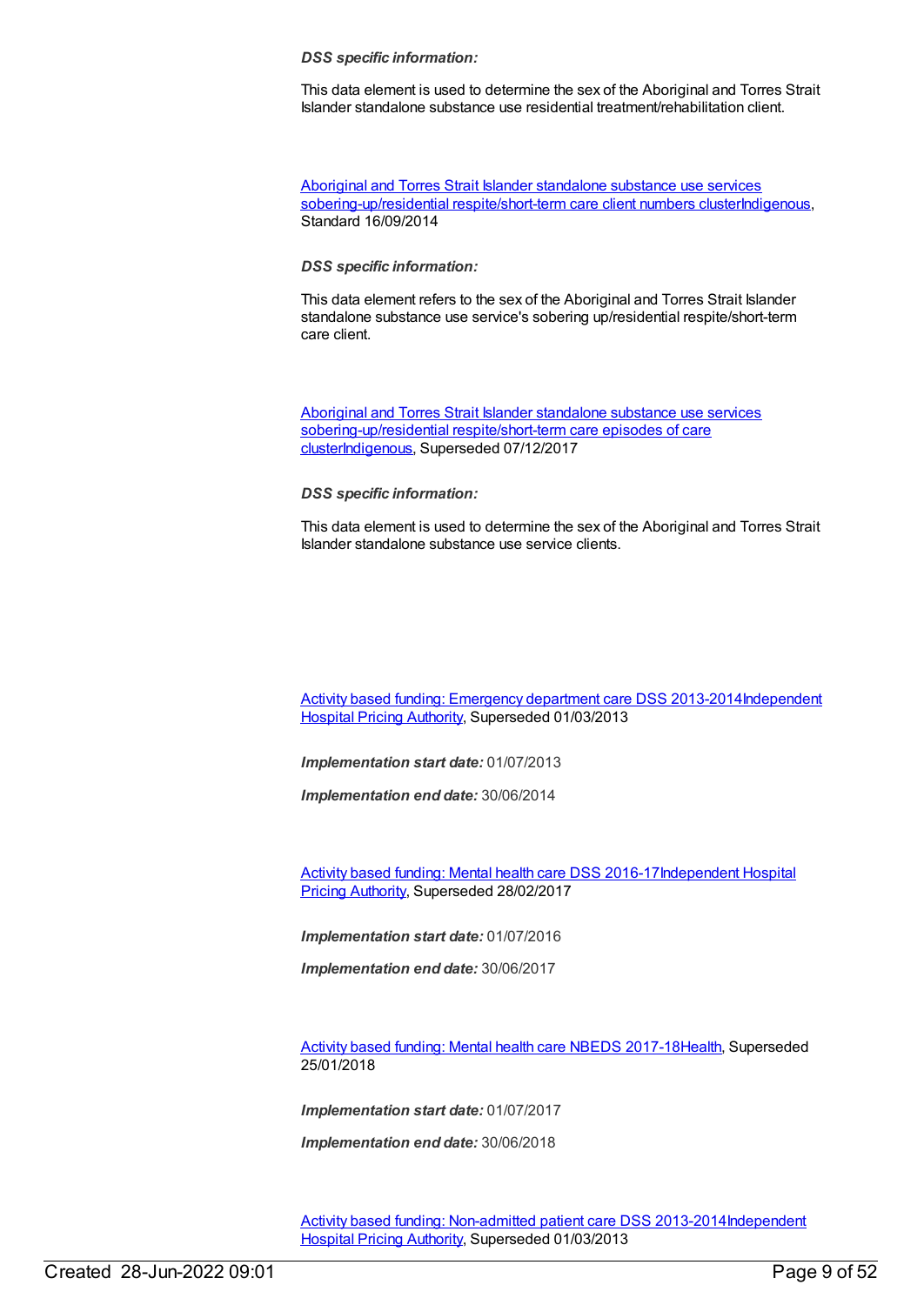#### *DSS specific information:*

This data element is used to determine the sex of the Aboriginal and Torres Strait Islander standalone substance use residential treatment/rehabilitation client.

Aboriginal and Torres Strait Islander standalone substance use services [sobering-up/residential](https://meteor.aihw.gov.au/content/576557) respite/short-term care client numbers cluste[rIndigenous](https://meteor.aihw.gov.au/RegistrationAuthority/6), Standard 16/09/2014

#### *DSS specific information:*

This data element refers to the sex of the Aboriginal and Torres Strait Islander standalone substance use service's sobering up/residential respite/short-term care client.

Aboriginal and Torres Strait Islander standalone substance use services [sobering-up/residential](https://meteor.aihw.gov.au/content/576637) respite/short-term care episodes of care cluste[rIndigenous](https://meteor.aihw.gov.au/RegistrationAuthority/6), Superseded 07/12/2017

#### *DSS specific information:*

This data element is used to determine the sex of the Aboriginal and Torres Strait Islander standalone substance use service clients.

Activity based funding: [Emergency](https://meteor.aihw.gov.au/content/497500) department care DSS [2013-2014Independent](https://meteor.aihw.gov.au/RegistrationAuthority/3) Hospital Pricing Authority, Superseded 01/03/2013

*Implementation start date:* 01/07/2013

*Implementation end date:* 30/06/2014

Activity based funding: Mental health care DSS [2016-17Independent](https://meteor.aihw.gov.au/RegistrationAuthority/3) Hospital Pricing Authority, Superseded 28/02/2017

*Implementation start date:* 01/07/2016

*Implementation end date:* 30/06/2017

Activity based funding: Mental health care NBEDS [2017-18](https://meteor.aihw.gov.au/content/639992)[Health](https://meteor.aihw.gov.au/RegistrationAuthority/12), Superseded 25/01/2018

*Implementation start date:* 01/07/2017

*Implementation end date:* 30/06/2018

Activity based funding: [Non-admitted](https://meteor.aihw.gov.au/content/497531) patient care DSS [2013-2014Independent](https://meteor.aihw.gov.au/RegistrationAuthority/3) Hospital Pricing Authority, Superseded 01/03/2013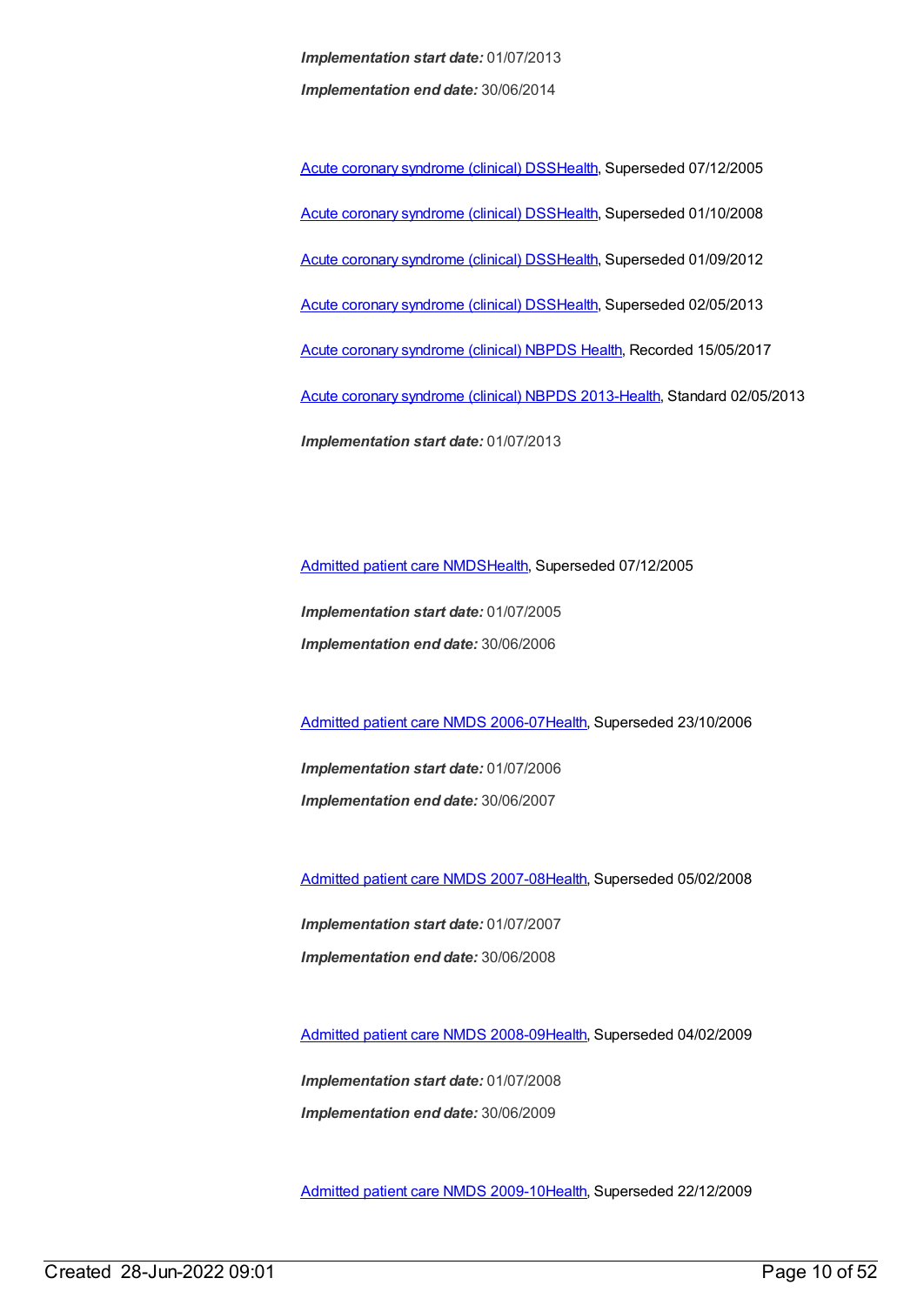*Implementation start date:* 01/07/2013 *Implementation end date:* 30/06/2014

Acute coronary [syndrome](https://meteor.aihw.gov.au/content/285277) (clinical) DS[SHealth](https://meteor.aihw.gov.au/RegistrationAuthority/12), Superseded 07/12/2005 Acute coronary [syndrome](https://meteor.aihw.gov.au/content/319741) (clinical) DS[SHealth](https://meteor.aihw.gov.au/RegistrationAuthority/12), Superseded 01/10/2008 Acute coronary [syndrome](https://meteor.aihw.gov.au/content/372930) (clinical) DS[SHealth](https://meteor.aihw.gov.au/RegistrationAuthority/12), Superseded 01/09/2012 Acute coronary [syndrome](https://meteor.aihw.gov.au/content/482119) (clinical) DS[SHealth](https://meteor.aihw.gov.au/RegistrationAuthority/12), Superseded 02/05/2013 Acute coronary [syndrome](https://meteor.aihw.gov.au/content/621789) (clinical) NBPDS [Health](https://meteor.aihw.gov.au/RegistrationAuthority/12), Recorded 15/05/2017 Acute coronary [syndrome](https://meteor.aihw.gov.au/content/523140) (clinical) NBPDS 2013[-Health](https://meteor.aihw.gov.au/RegistrationAuthority/12), Standard 02/05/2013 *Implementation start date:* 01/07/2013

[Admitted](https://meteor.aihw.gov.au/content/273050) patient care NMDS[Health](https://meteor.aihw.gov.au/RegistrationAuthority/12), Superseded 07/12/2005

*Implementation start date:* 01/07/2005 *Implementation end date:* 30/06/2006

[Admitted](https://meteor.aihw.gov.au/content/334023) patient care NMDS 2006-07[Health](https://meteor.aihw.gov.au/RegistrationAuthority/12), Superseded 23/10/2006

*Implementation start date:* 01/07/2006 *Implementation end date:* 30/06/2007

[Admitted](https://meteor.aihw.gov.au/content/339089) patient care NMDS 2007-08[Health](https://meteor.aihw.gov.au/RegistrationAuthority/12), Superseded 05/02/2008

*Implementation start date:* 01/07/2007 *Implementation end date:* 30/06/2008

[Admitted](https://meteor.aihw.gov.au/content/361679) patient care NMDS 2008-09[Health](https://meteor.aihw.gov.au/RegistrationAuthority/12), Superseded 04/02/2009

*Implementation start date:* 01/07/2008 *Implementation end date:* 30/06/2009

[Admitted](https://meteor.aihw.gov.au/content/374205) patient care NMDS 2009-10[Health](https://meteor.aihw.gov.au/RegistrationAuthority/12), Superseded 22/12/2009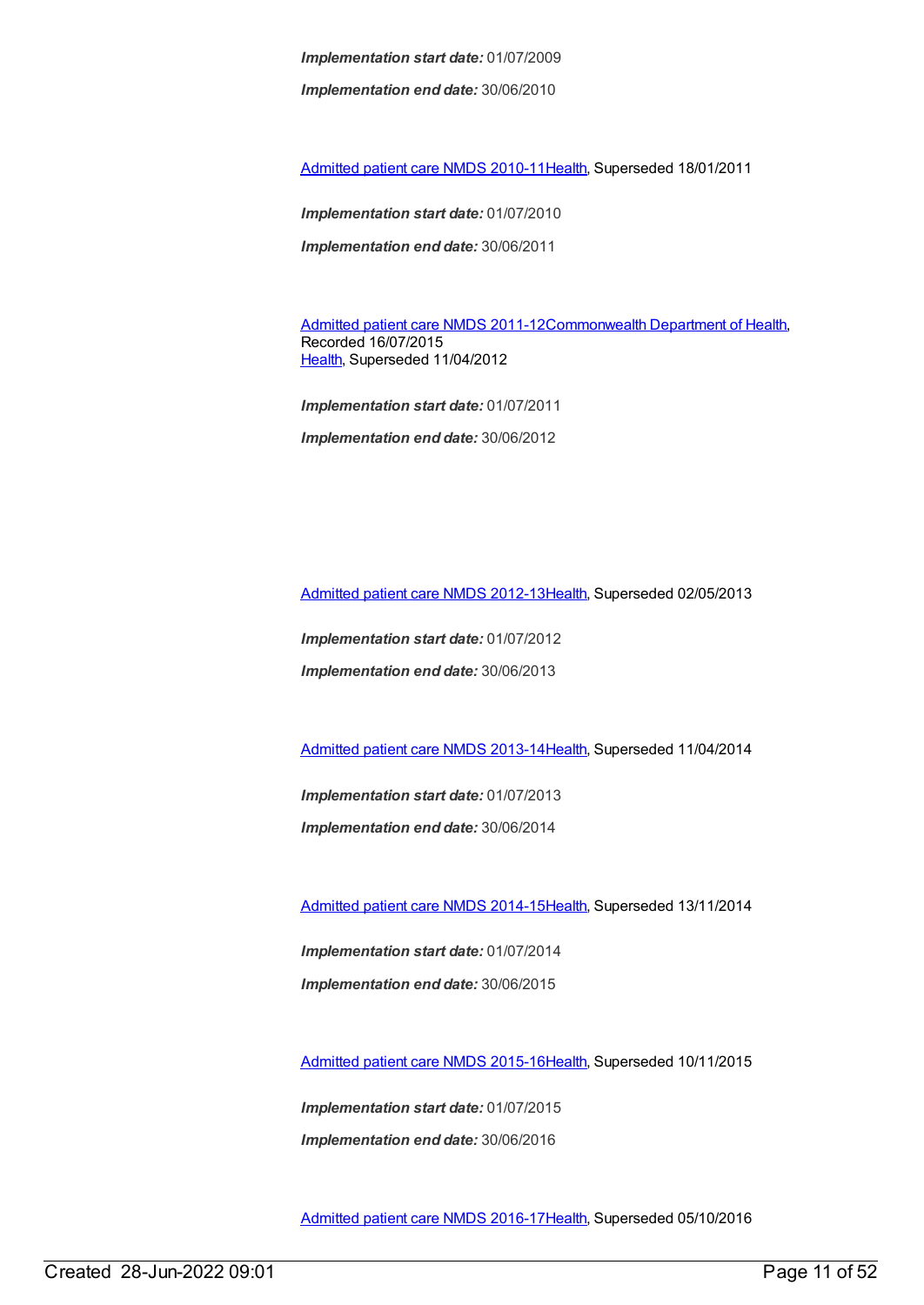*Implementation end date:* 30/06/2010

[Admitted](https://meteor.aihw.gov.au/content/386797) patient care NMDS 2010-11[Health](https://meteor.aihw.gov.au/RegistrationAuthority/12), Superseded 18/01/2011

*Implementation start date:* 01/07/2010

*Implementation end date:* 30/06/2011

[Admitted](https://meteor.aihw.gov.au/content/426861) patient care NMDS 2011-12[Commonwealth](https://meteor.aihw.gov.au/RegistrationAuthority/10) Department of Health, Recorded 16/07/2015 [Health](https://meteor.aihw.gov.au/RegistrationAuthority/12), Superseded 11/04/2012

*Implementation start date:* 01/07/2011 *Implementation end date:* 30/06/2012

[Admitted](https://meteor.aihw.gov.au/content/466132) patient care NMDS 2012-13[Health](https://meteor.aihw.gov.au/RegistrationAuthority/12), Superseded 02/05/2013

*Implementation start date:* 01/07/2012 *Implementation end date:* 30/06/2013

[Admitted](https://meteor.aihw.gov.au/content/491555) patient care NMDS 2013-14[Health](https://meteor.aihw.gov.au/RegistrationAuthority/12), Superseded 11/04/2014

*Implementation start date:* 01/07/2013

*Implementation end date:* 30/06/2014

[Admitted](https://meteor.aihw.gov.au/content/535047) patient care NMDS 2014-15[Health](https://meteor.aihw.gov.au/RegistrationAuthority/12), Superseded 13/11/2014

*Implementation start date:* 01/07/2014 *Implementation end date:* 30/06/2015

[Admitted](https://meteor.aihw.gov.au/content/588909) patient care NMDS 2015-16[Health](https://meteor.aihw.gov.au/RegistrationAuthority/12), Superseded 10/11/2015

*Implementation start date:* 01/07/2015 *Implementation end date:* 30/06/2016

[Admitted](https://meteor.aihw.gov.au/content/612171) patient care NMDS 2016-17[Health](https://meteor.aihw.gov.au/RegistrationAuthority/12), Superseded 05/10/2016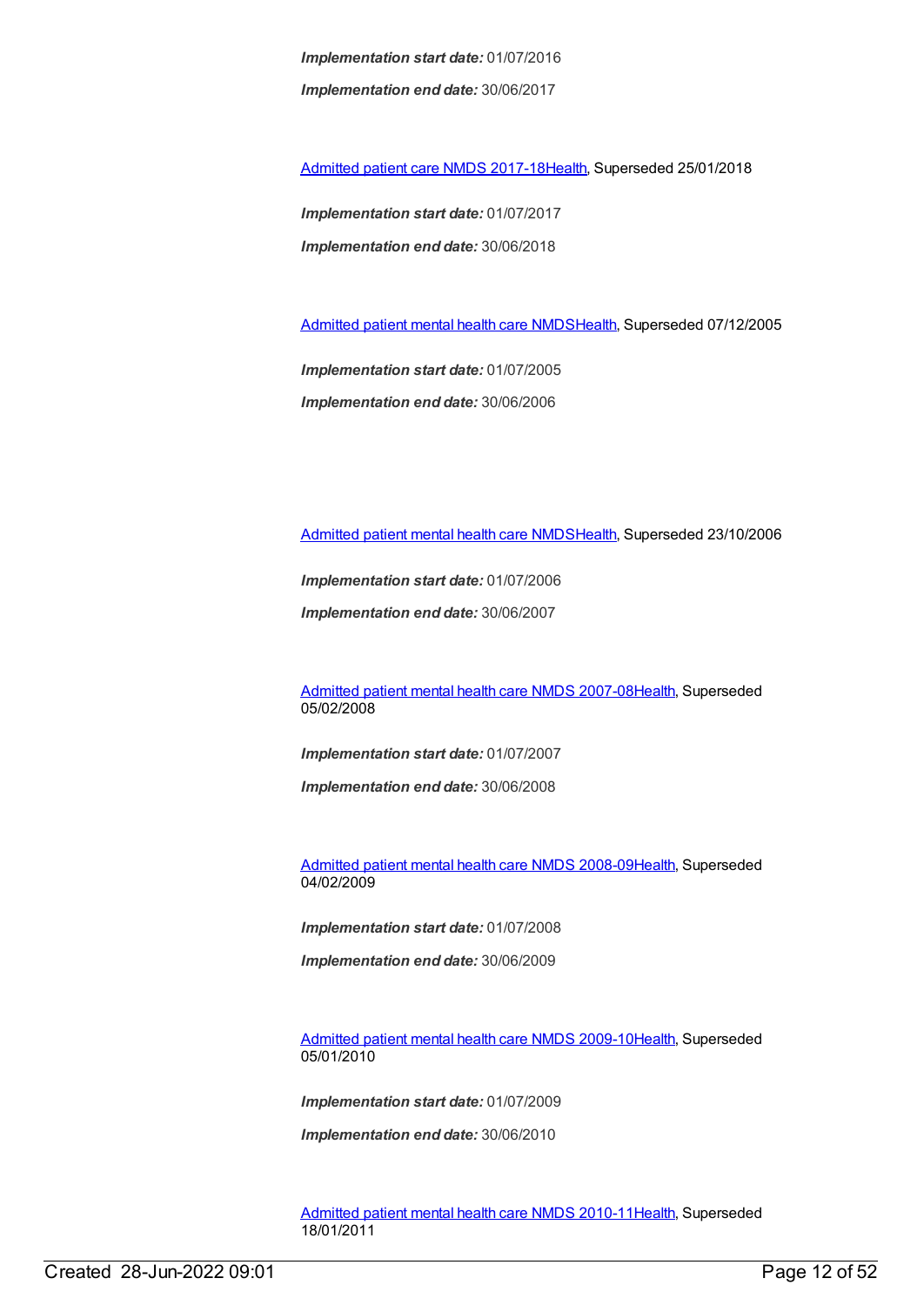*Implementation start date:* 01/07/2016 *Implementation end date:* 30/06/2017

[Admitted](https://meteor.aihw.gov.au/content/641349) patient care NMDS 2017-18[Health](https://meteor.aihw.gov.au/RegistrationAuthority/12), Superseded 25/01/2018

*Implementation start date:* 01/07/2017 *Implementation end date:* 30/06/2018

[Admitted](https://meteor.aihw.gov.au/content/273048) patient mental health care NMD[SHealth](https://meteor.aihw.gov.au/RegistrationAuthority/12), Superseded 07/12/2005

*Implementation start date:* 01/07/2005 *Implementation end date:* 30/06/2006

[Admitted](https://meteor.aihw.gov.au/content/334031) patient mental health care NMD[SHealth](https://meteor.aihw.gov.au/RegistrationAuthority/12), Superseded 23/10/2006

*Implementation start date:* 01/07/2006

*Implementation end date:* 30/06/2007

[Admitted](https://meteor.aihw.gov.au/content/345110) patient mental health care NMDS 2007-08[Health](https://meteor.aihw.gov.au/RegistrationAuthority/12), Superseded 05/02/2008

*Implementation start date:* 01/07/2007

*Implementation end date:* 30/06/2008

[Admitted](https://meteor.aihw.gov.au/content/362305) patient mental health care NMDS 2008-09[Health](https://meteor.aihw.gov.au/RegistrationAuthority/12), Superseded 04/02/2009

*Implementation start date:* 01/07/2008

*Implementation end date:* 30/06/2009

[Admitted](https://meteor.aihw.gov.au/content/374207) patient mental health care NMDS 2009-10[Health](https://meteor.aihw.gov.au/RegistrationAuthority/12), Superseded 05/01/2010

*Implementation start date:* 01/07/2009

*Implementation end date:* 30/06/2010

[Admitted](https://meteor.aihw.gov.au/content/386799) patient mental health care NMDS 2010-11[Health](https://meteor.aihw.gov.au/RegistrationAuthority/12), Superseded 18/01/2011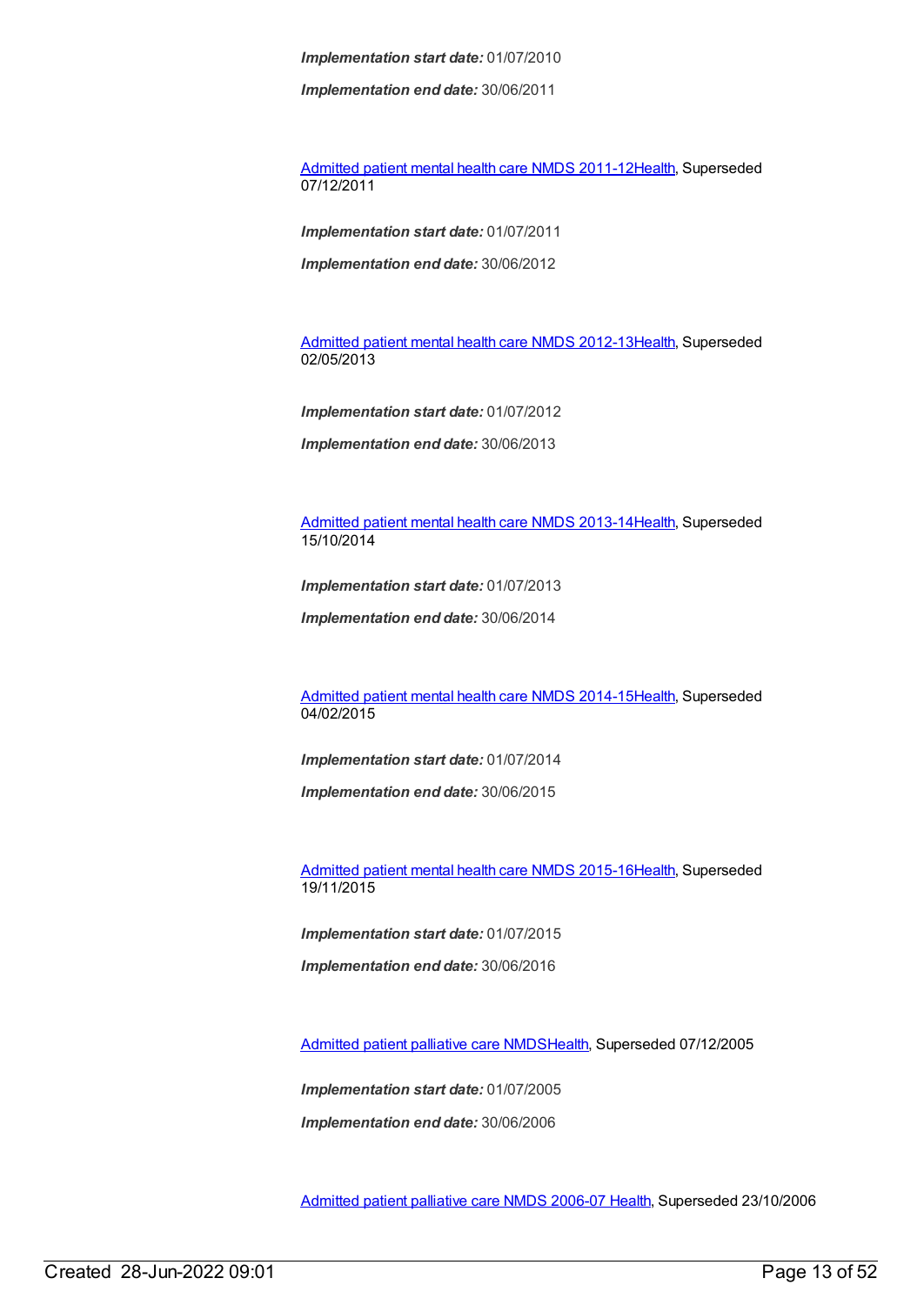*Implementation end date:* 30/06/2011

[Admitted](https://meteor.aihw.gov.au/content/426872) patient mental health care NMDS 2011-12[Health](https://meteor.aihw.gov.au/RegistrationAuthority/12), Superseded 07/12/2011

*Implementation start date:* 01/07/2011

*Implementation end date:* 30/06/2012

[Admitted](https://meteor.aihw.gov.au/content/471383) patient mental health care NMDS 2012-13[Health](https://meteor.aihw.gov.au/RegistrationAuthority/12), Superseded 02/05/2013

*Implementation start date:* 01/07/2012

*Implementation end date:* 30/06/2013

[Admitted](https://meteor.aihw.gov.au/content/504646) patient mental health care NMDS 2013-14[Health](https://meteor.aihw.gov.au/RegistrationAuthority/12), Superseded 15/10/2014

*Implementation start date:* 01/07/2013

*Implementation end date:* 30/06/2014

[Admitted](https://meteor.aihw.gov.au/content/553164) patient mental health care NMDS 2014-15[Health](https://meteor.aihw.gov.au/RegistrationAuthority/12), Superseded 04/02/2015

*Implementation start date:* 01/07/2014

*Implementation end date:* 30/06/2015

[Admitted](https://meteor.aihw.gov.au/content/590510) patient mental health care NMDS 2015-16[Health](https://meteor.aihw.gov.au/RegistrationAuthority/12), Superseded 19/11/2015

*Implementation start date:* 01/07/2015

*Implementation end date:* 30/06/2016

[Admitted](https://meteor.aihw.gov.au/content/273046) patient palliative care NMD[SHealth](https://meteor.aihw.gov.au/RegistrationAuthority/12), Superseded 07/12/2005

*Implementation start date:* 01/07/2005

*Implementation end date:* 30/06/2006

[Admitted](https://meteor.aihw.gov.au/content/334050) patient palliative care NMDS 2006-07 [Health](https://meteor.aihw.gov.au/RegistrationAuthority/12), Superseded 23/10/2006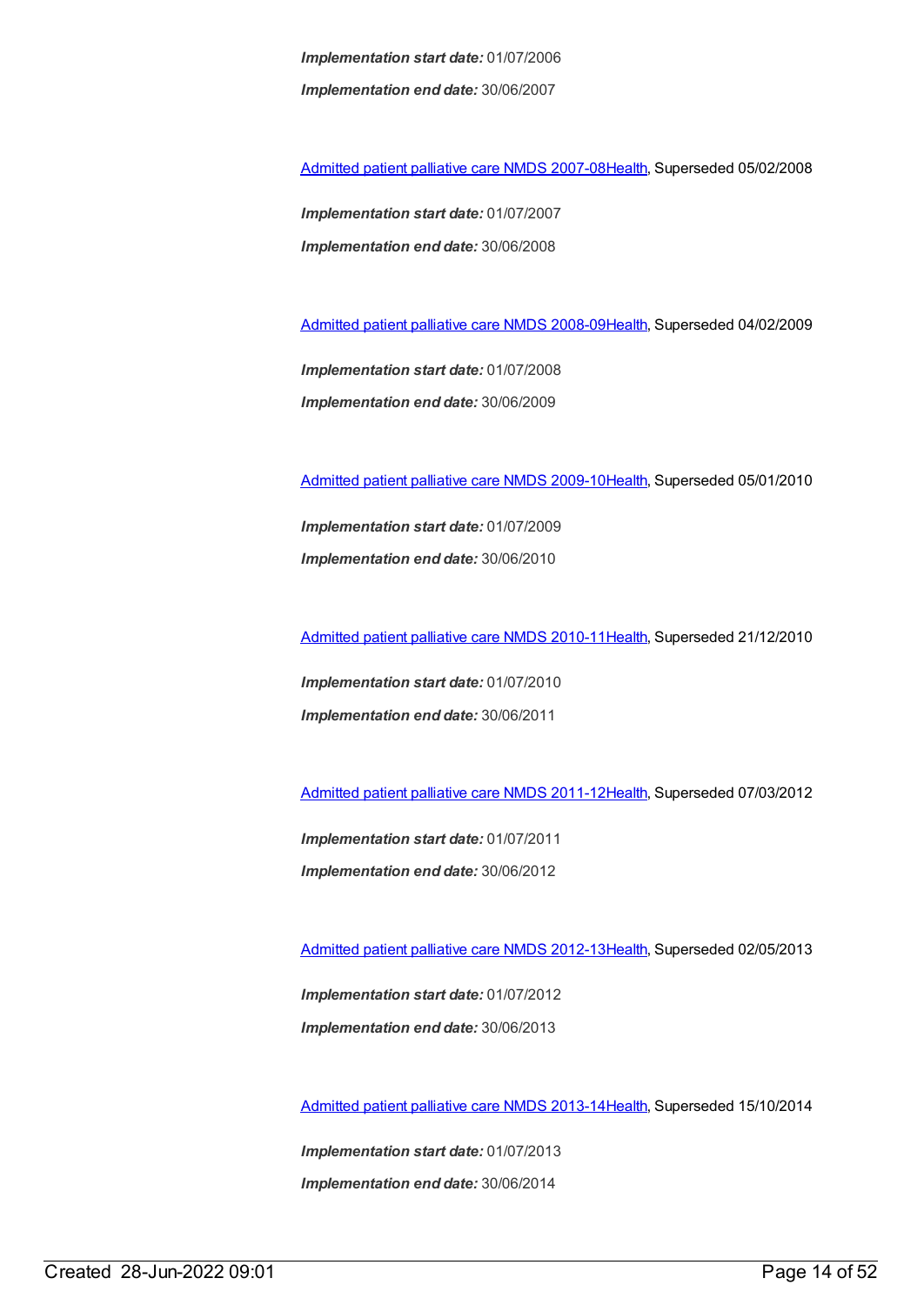*Implementation start date:* 01/07/2006 *Implementation end date:* 30/06/2007

[Admitted](https://meteor.aihw.gov.au/content/339098) patient palliative care NMDS 2007-08[Health](https://meteor.aihw.gov.au/RegistrationAuthority/12), Superseded 05/02/2008

*Implementation start date:* 01/07/2007 *Implementation end date:* 30/06/2008

[Admitted](https://meteor.aihw.gov.au/content/361960) patient palliative care NMDS 2008-09[Health](https://meteor.aihw.gov.au/RegistrationAuthority/12), Superseded 04/02/2009

*Implementation start date:* 01/07/2008 *Implementation end date:* 30/06/2009

[Admitted](https://meteor.aihw.gov.au/content/374209) patient palliative care NMDS 2009-10[Health](https://meteor.aihw.gov.au/RegistrationAuthority/12), Superseded 05/01/2010

*Implementation start date:* 01/07/2009 *Implementation end date:* 30/06/2010

[Admitted](https://meteor.aihw.gov.au/content/386801) patient palliative care NMDS 2010-11[Health](https://meteor.aihw.gov.au/RegistrationAuthority/12), Superseded 21/12/2010

*Implementation start date:* 01/07/2010 *Implementation end date:* 30/06/2011

[Admitted](https://meteor.aihw.gov.au/content/426760) patient palliative care NMDS 2011-12[Health](https://meteor.aihw.gov.au/RegistrationAuthority/12), Superseded 07/03/2012

*Implementation start date:* 01/07/2011

*Implementation end date:* 30/06/2012

[Admitted](https://meteor.aihw.gov.au/content/471819) patient palliative care NMDS 2012-13[Health](https://meteor.aihw.gov.au/RegistrationAuthority/12), Superseded 02/05/2013

*Implementation start date:* 01/07/2012 *Implementation end date:* 30/06/2013

[Admitted](https://meteor.aihw.gov.au/content/504641) patient palliative care NMDS 2013-14[Health](https://meteor.aihw.gov.au/RegistrationAuthority/12), Superseded 15/10/2014

*Implementation start date:* 01/07/2013 *Implementation end date:* 30/06/2014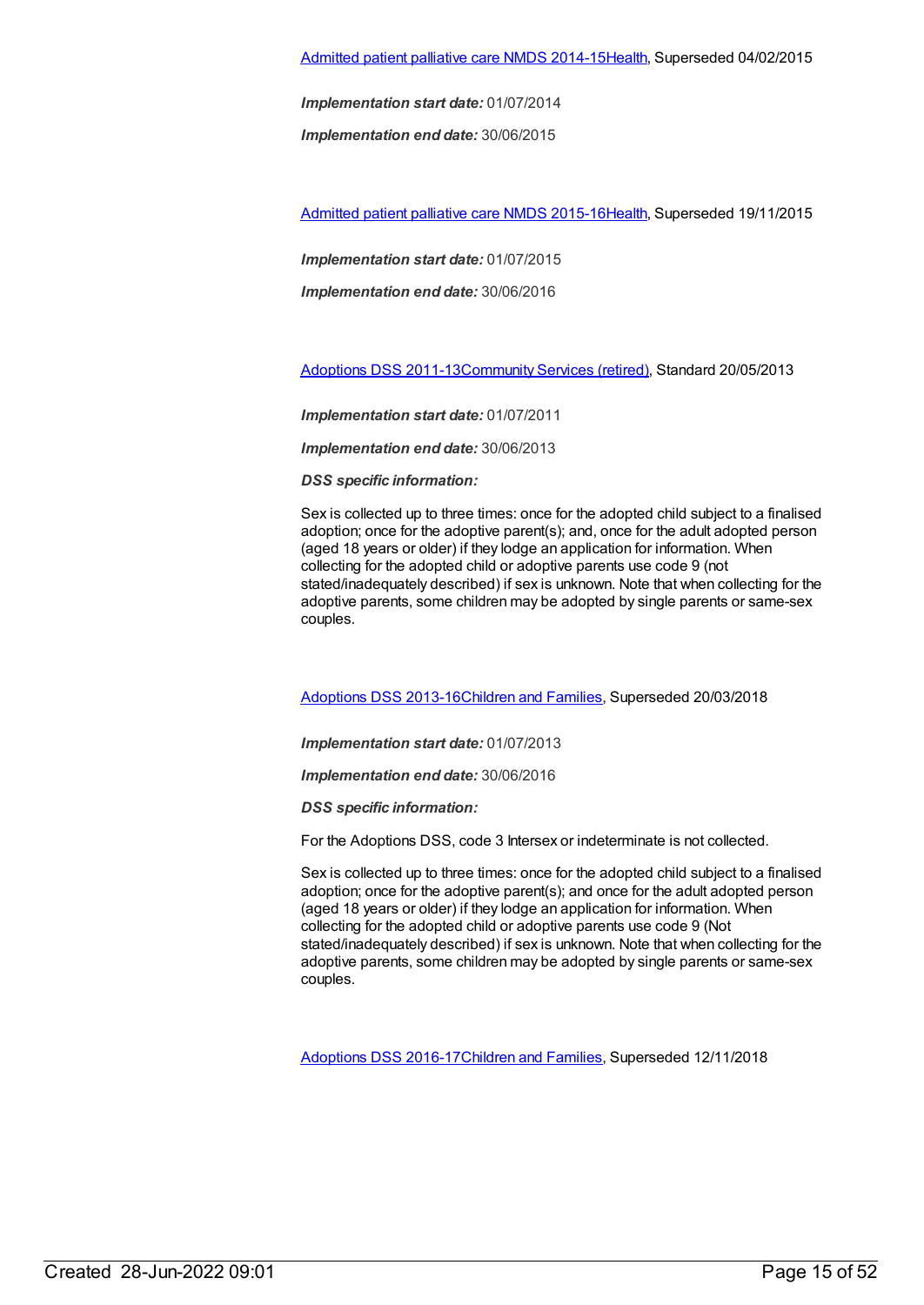*Implementation end date:* 30/06/2015

[Admitted](https://meteor.aihw.gov.au/content/590512) patient palliative care NMDS 2015-16[Health](https://meteor.aihw.gov.au/RegistrationAuthority/12), Superseded 19/11/2015

*Implementation start date:* 01/07/2015

*Implementation end date:* 30/06/2016

[Adoptions](https://meteor.aihw.gov.au/content/467027) DSS 2011-1[3Community](https://meteor.aihw.gov.au/RegistrationAuthority/1) Services (retired), Standard 20/05/2013

*Implementation start date:* 01/07/2011

*Implementation end date:* 30/06/2013

*DSS specific information:*

Sex is collected up to three times: once for the adopted child subject to a finalised adoption; once for the adoptive parent(s); and, once for the adult adopted person (aged 18 years or older) if they lodge an application for information. When collecting for the adopted child or adoptive parents use code 9 (not stated/inadequately described) if sex is unknown. Note that when collecting for the adoptive parents, some children may be adopted by single parents or same-sex couples.

[Adoptions](https://meteor.aihw.gov.au/content/650865) DSS 2013-1[6Children](https://meteor.aihw.gov.au/RegistrationAuthority/17) and Families, Superseded 20/03/2018

*Implementation start date:* 01/07/2013

*Implementation end date:* 30/06/2016

*DSS specific information:*

For the Adoptions DSS, code 3 Intersex or indeterminate is not collected.

Sex is collected up to three times: once for the adopted child subject to a finalised adoption; once for the adoptive parent(s); and once for the adult adopted person (aged 18 years or older) if they lodge an application for information. When collecting for the adopted child or adoptive parents use code 9 (Not stated/inadequately described) if sex is unknown. Note that when collecting for the adoptive parents, some children may be adopted by single parents or same-sex couples.

[Adoptions](https://meteor.aihw.gov.au/content/687752) DSS 2016-1[7Children](https://meteor.aihw.gov.au/RegistrationAuthority/17) and Families, Superseded 12/11/2018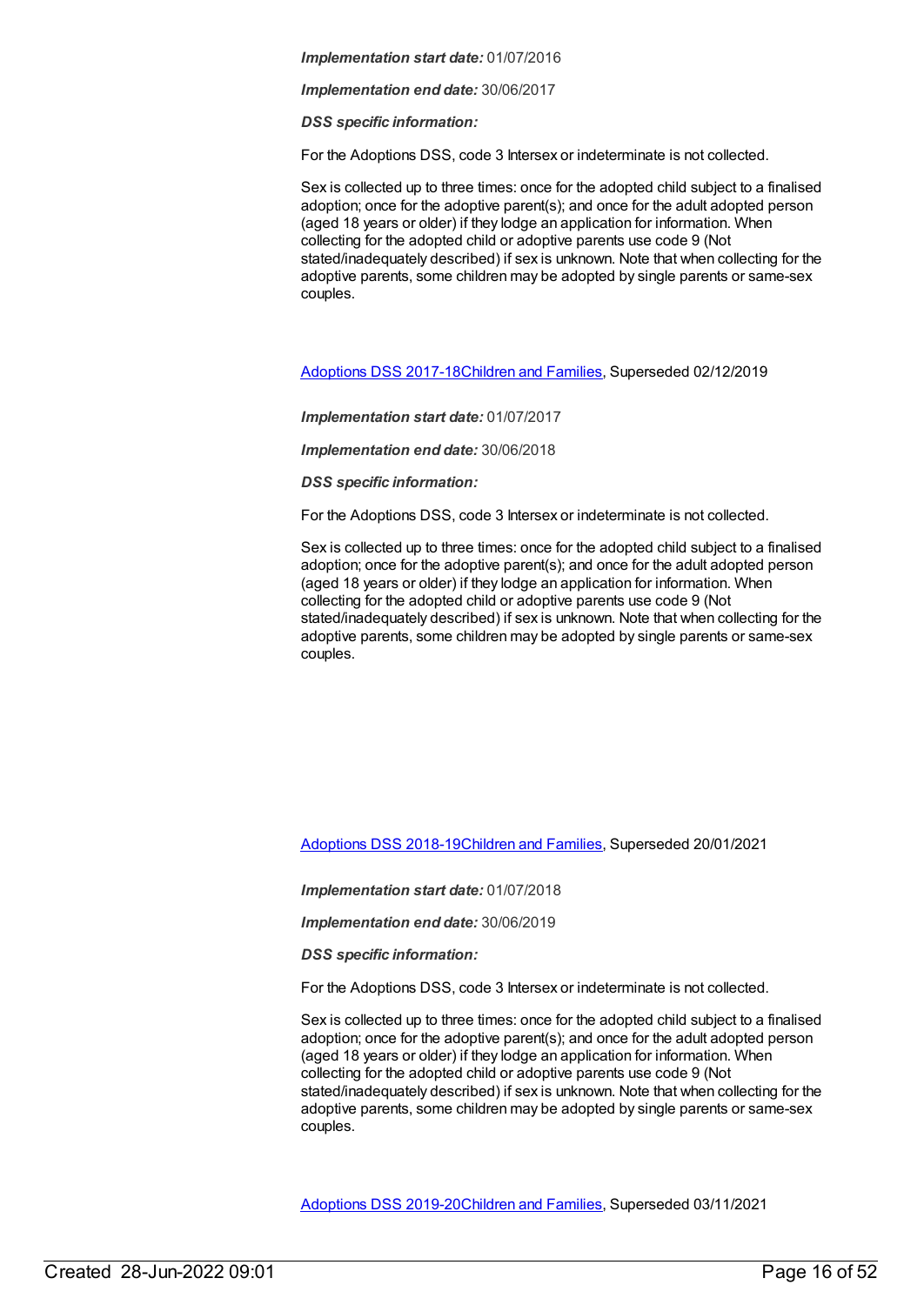*Implementation end date:* 30/06/2017

*DSS specific information:*

For the Adoptions DSS, code 3 Intersex or indeterminate is not collected.

Sex is collected up to three times: once for the adopted child subject to a finalised adoption; once for the adoptive parent(s); and once for the adult adopted person (aged 18 years or older) if they lodge an application for information. When collecting for the adopted child or adoptive parents use code 9 (Not stated/inadequately described) if sex is unknown. Note that when collecting for the adoptive parents, some children may be adopted by single parents or same-sex couples.

[Adoptions](https://meteor.aihw.gov.au/content/700748) DSS 2017-1[8Children](https://meteor.aihw.gov.au/RegistrationAuthority/17) and Families, Superseded 02/12/2019

*Implementation start date:* 01/07/2017

*Implementation end date:* 30/06/2018

*DSS specific information:*

For the Adoptions DSS, code 3 Intersex or indeterminate is not collected.

Sex is collected up to three times: once for the adopted child subject to a finalised adoption; once for the adoptive parent(s); and once for the adult adopted person (aged 18 years or older) if they lodge an application for information. When collecting for the adopted child or adoptive parents use code 9 (Not stated/inadequately described) if sex is unknown. Note that when collecting for the adoptive parents, some children may be adopted by single parents or same-sex couples.

[Adoptions](https://meteor.aihw.gov.au/content/722241) DSS 2018-1[9Children](https://meteor.aihw.gov.au/RegistrationAuthority/17) and Families, Superseded 20/01/2021

*Implementation start date:* 01/07/2018

*Implementation end date:* 30/06/2019

*DSS specific information:*

For the Adoptions DSS, code 3 Intersex or indeterminate is not collected.

Sex is collected up to three times: once for the adopted child subject to a finalised adoption; once for the adoptive parent(s); and once for the adult adopted person (aged 18 years or older) if they lodge an application for information. When collecting for the adopted child or adoptive parents use code 9 (Not stated/inadequately described) if sex is unknown. Note that when collecting for the adoptive parents, some children may be adopted by single parents or same-sex couples.

[Adoptions](https://meteor.aihw.gov.au/content/729909) DSS 2019-2[0Children](https://meteor.aihw.gov.au/RegistrationAuthority/17) and Families, Superseded 03/11/2021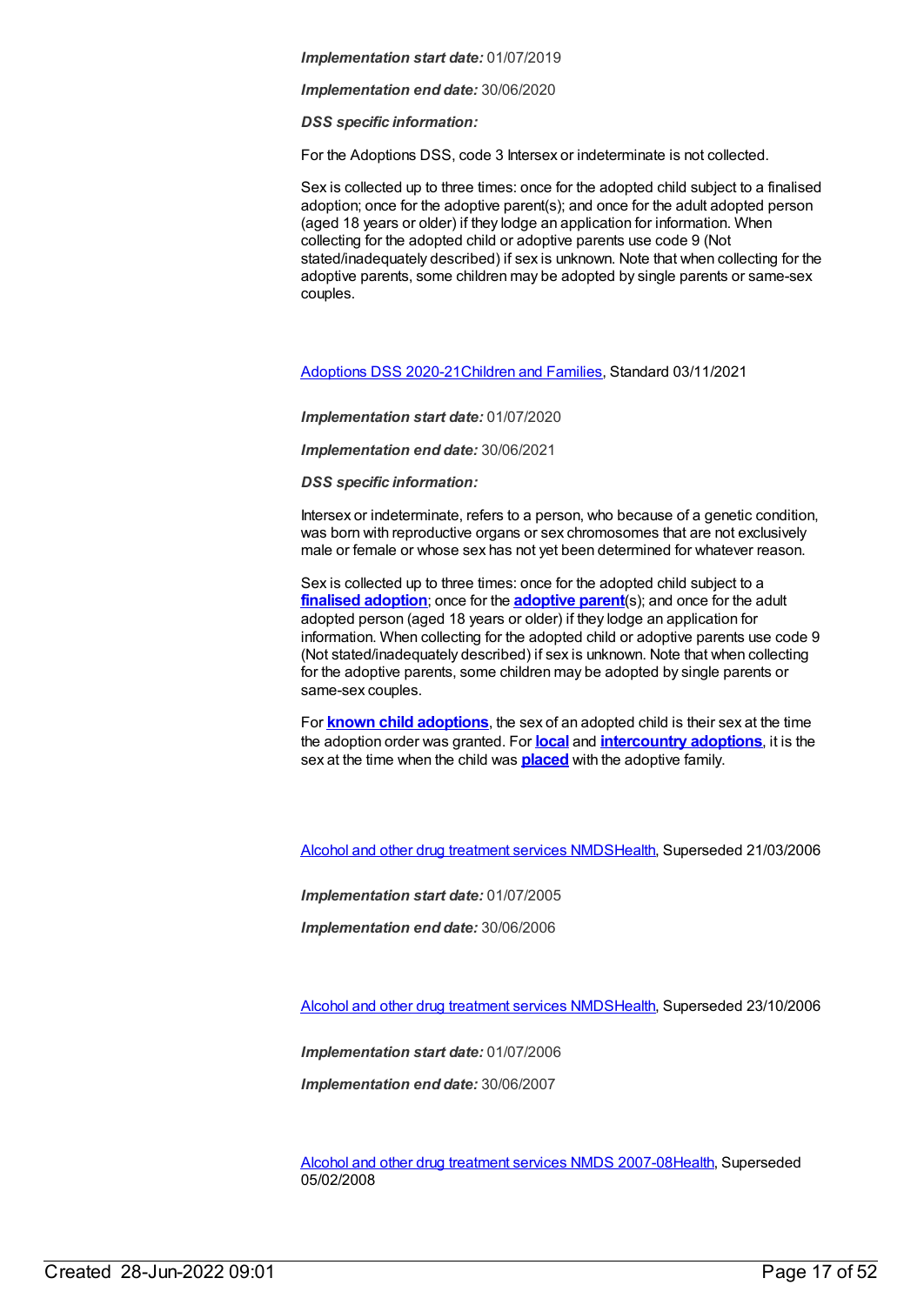*Implementation end date:* 30/06/2020

*DSS specific information:*

For the Adoptions DSS, code 3 Intersex or indeterminate is not collected.

Sex is collected up to three times: once for the adopted child subject to a finalised adoption; once for the adoptive parent(s); and once for the adult adopted person (aged 18 years or older) if they lodge an application for information. When collecting for the adopted child or adoptive parents use code 9 (Not stated/inadequately described) if sex is unknown. Note that when collecting for the adoptive parents, some children may be adopted by single parents or same-sex couples.

[Adoptions](https://meteor.aihw.gov.au/content/749045) DSS 2020-2[1Children](https://meteor.aihw.gov.au/RegistrationAuthority/17) and Families, Standard 03/11/2021

#### *Implementation start date:* 01/07/2020

*Implementation end date:* 30/06/2021

*DSS specific information:*

Intersex or indeterminate, refers to a person, who because of a genetic condition, was born with reproductive organs or sex chromosomes that are not exclusively male or female or whose sex has not yet been determined for whatever reason.

Sex is collected up to three times: once for the adopted child subject to a **finalised [adoption](https://meteor.aihw.gov.au/content/749075)**; once for the **[adoptive](https://meteor.aihw.gov.au/content/749050) parent**(s); and once for the adult adopted person (aged 18 years or older) if they lodge an application for information. When collecting for the adopted child or adoptive parents use code 9 (Not stated/inadequately described) if sex is unknown. Note that when collecting for the adoptive parents, some children may be adopted by single parents or same-sex couples.

For **known child [adoptions](https://meteor.aihw.gov.au/content/749082)**, the sex of an adopted child is their sex at the time the adoption order was granted. For **[local](https://meteor.aihw.gov.au/content/749062)** and **[intercountry](https://meteor.aihw.gov.au/content/749058) adoptions**, it is the sex at the time when the child was **[placed](https://meteor.aihw.gov.au/content/749066)** with the adoptive family.

Alcohol and other drug [treatment](https://meteor.aihw.gov.au/content/273051) services NMD[SHealth](https://meteor.aihw.gov.au/RegistrationAuthority/12), Superseded 21/03/2006

*Implementation start date:* 01/07/2005

*Implementation end date:* 30/06/2006

Alcohol and other drug [treatment](https://meteor.aihw.gov.au/content/334288) services NMD[SHealth](https://meteor.aihw.gov.au/RegistrationAuthority/12), Superseded 23/10/2006

*Implementation start date:* 01/07/2006

*Implementation end date:* 30/06/2007

Alcohol and other drug [treatment](https://meteor.aihw.gov.au/content/345144) services NMDS 2007-0[8Health](https://meteor.aihw.gov.au/RegistrationAuthority/12), Superseded 05/02/2008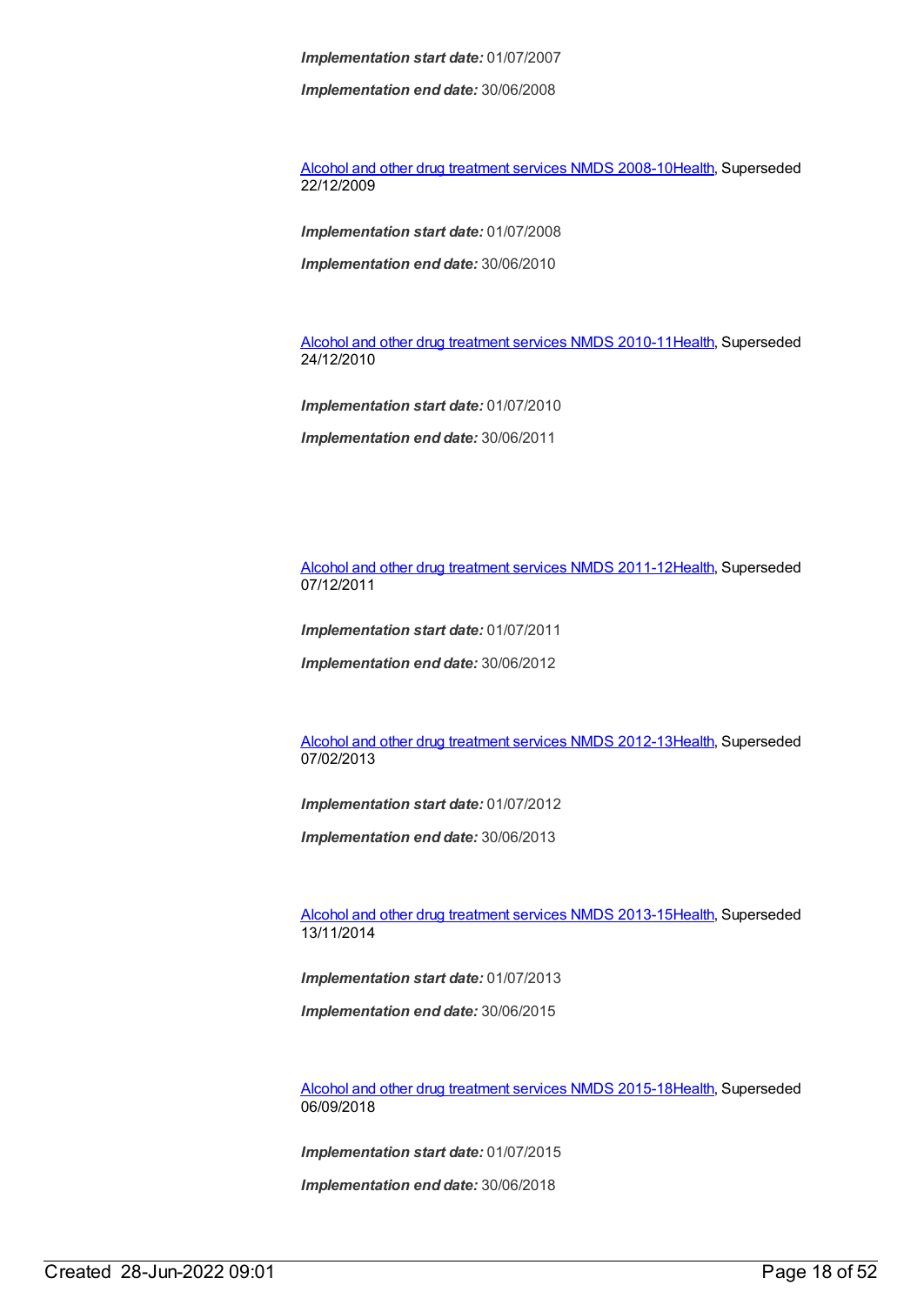*Implementation end date:* 30/06/2008

Alcohol and other drug [treatment](https://meteor.aihw.gov.au/content/362318) services NMDS 2008-1[0Health](https://meteor.aihw.gov.au/RegistrationAuthority/12), Superseded 22/12/2009

*Implementation start date:* 01/07/2008

*Implementation end date:* 30/06/2010

Alcohol and other drug [treatment](https://meteor.aihw.gov.au/content/374211) services NMDS 2010-1[1Health](https://meteor.aihw.gov.au/RegistrationAuthority/12), Superseded 24/12/2010

*Implementation start date:* 01/07/2010

*Implementation end date:* 30/06/2011

Alcohol and other drug [treatment](https://meteor.aihw.gov.au/content/427037) services NMDS 2011-1[2Health](https://meteor.aihw.gov.au/RegistrationAuthority/12), Superseded 07/12/2011

*Implementation start date:* 01/07/2011

*Implementation end date:* 30/06/2012

Alcohol and other drug [treatment](https://meteor.aihw.gov.au/content/466861) services NMDS 2012-1[3Health](https://meteor.aihw.gov.au/RegistrationAuthority/12), Superseded 07/02/2013

*Implementation start date:* 01/07/2012

*Implementation end date:* 30/06/2013

Alcohol and other drug [treatment](https://meteor.aihw.gov.au/content/498901) services NMDS 2013-1[5Health](https://meteor.aihw.gov.au/RegistrationAuthority/12), Superseded 13/11/2014

*Implementation start date:* 01/07/2013

*Implementation end date:* 30/06/2015

Alcohol and other drug [treatment](https://meteor.aihw.gov.au/content/583090) services NMDS 2015-1[8Health](https://meteor.aihw.gov.au/RegistrationAuthority/12), Superseded 06/09/2018

*Implementation start date:* 01/07/2015

*Implementation end date:* 30/06/2018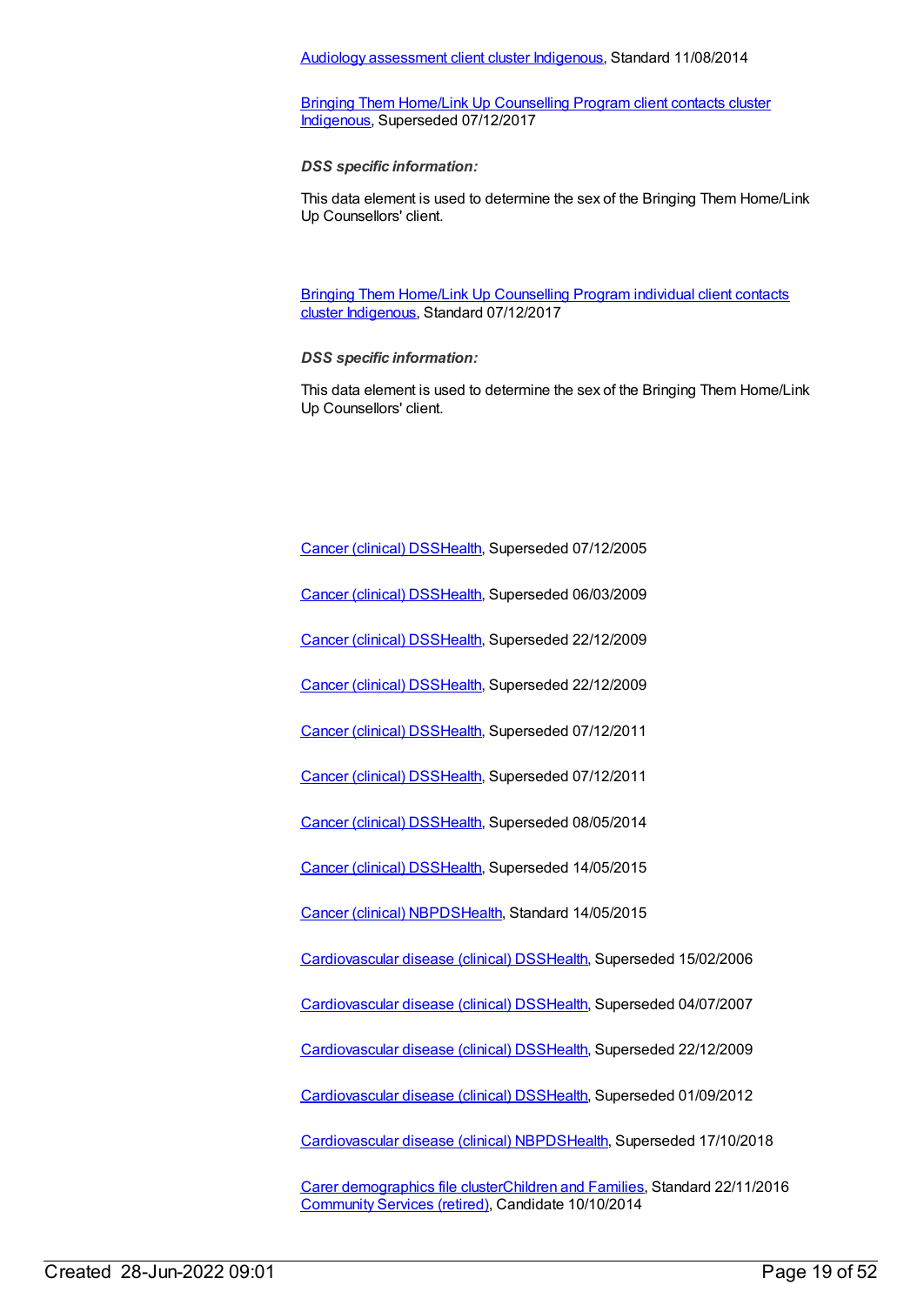#### Audiology [assessment](https://meteor.aihw.gov.au/content/525056) client cluster [Indigenous](https://meteor.aihw.gov.au/RegistrationAuthority/6), Standard 11/08/2014

Bringing Them Home/Link Up [Counselling](https://meteor.aihw.gov.au/content/578637) Program client contacts cluster [Indigenous](https://meteor.aihw.gov.au/RegistrationAuthority/6), Superseded 07/12/2017

#### *DSS specific information:*

This data element is used to determine the sex of the Bringing Them Home/Link Up Counsellors' client.

Bringing Them Home/Link Up [Counselling](https://meteor.aihw.gov.au/content/677196) Program individual client contacts cluster [Indigenous](https://meteor.aihw.gov.au/RegistrationAuthority/6), Standard 07/12/2017

#### *DSS specific information:*

This data element is used to determine the sex of the Bringing Them Home/Link Up Counsellors' client.

Cancer [\(clinical\)](https://meteor.aihw.gov.au/content/289280) DSS[Health](https://meteor.aihw.gov.au/RegistrationAuthority/12), Superseded 07/12/2005

Cancer [\(clinical\)](https://meteor.aihw.gov.au/content/334019) DSS[Health](https://meteor.aihw.gov.au/RegistrationAuthority/12), Superseded 06/03/2009

Cancer [\(clinical\)](https://meteor.aihw.gov.au/content/342187) DSS[Health](https://meteor.aihw.gov.au/RegistrationAuthority/12), Superseded 22/12/2009

Cancer [\(clinical\)](https://meteor.aihw.gov.au/content/342187) DSS[Health](https://meteor.aihw.gov.au/RegistrationAuthority/12), Superseded 22/12/2009

Cancer [\(clinical\)](https://meteor.aihw.gov.au/content/393191) DSS[Health](https://meteor.aihw.gov.au/RegistrationAuthority/12), Superseded 07/12/2011

Cancer [\(clinical\)](https://meteor.aihw.gov.au/content/393191) DSS[Health](https://meteor.aihw.gov.au/RegistrationAuthority/12), Superseded 07/12/2011

Cancer [\(clinical\)](https://meteor.aihw.gov.au/content/394731) DSS[Health](https://meteor.aihw.gov.au/RegistrationAuthority/12), Superseded 08/05/2014

Cancer [\(clinical\)](https://meteor.aihw.gov.au/content/560813) DSS[Health](https://meteor.aihw.gov.au/RegistrationAuthority/12), Superseded 14/05/2015

Cancer [\(clinical\)](https://meteor.aihw.gov.au/content/597861) NBPD[SHealth](https://meteor.aihw.gov.au/RegistrationAuthority/12), Standard 14/05/2015

[Cardiovascular](https://meteor.aihw.gov.au/content/273052) disease (clinical) DS[SHealth,](https://meteor.aihw.gov.au/RegistrationAuthority/12) Superseded 15/02/2006

[Cardiovascular](https://meteor.aihw.gov.au/content/348289) disease (clinical) DS[SHealth,](https://meteor.aihw.gov.au/RegistrationAuthority/12) Superseded 04/07/2007

[Cardiovascular](https://meteor.aihw.gov.au/content/353668) disease (clinical) DS[SHealth,](https://meteor.aihw.gov.au/RegistrationAuthority/12) Superseded 22/12/2009

[Cardiovascular](https://meteor.aihw.gov.au/content/374213) disease (clinical) DS[SHealth,](https://meteor.aihw.gov.au/RegistrationAuthority/12) Superseded 01/09/2012

[Cardiovascular](https://meteor.aihw.gov.au/content/470731) disease (clinical) NBPD[SHealth](https://meteor.aihw.gov.au/RegistrationAuthority/12), Superseded 17/10/2018

Carer [demographics](https://meteor.aihw.gov.au/content/493178) file cluste[rChildren](https://meteor.aihw.gov.au/RegistrationAuthority/17) and Families, Standard 22/11/2016 [Community](https://meteor.aihw.gov.au/RegistrationAuthority/1) Services (retired), Candidate 10/10/2014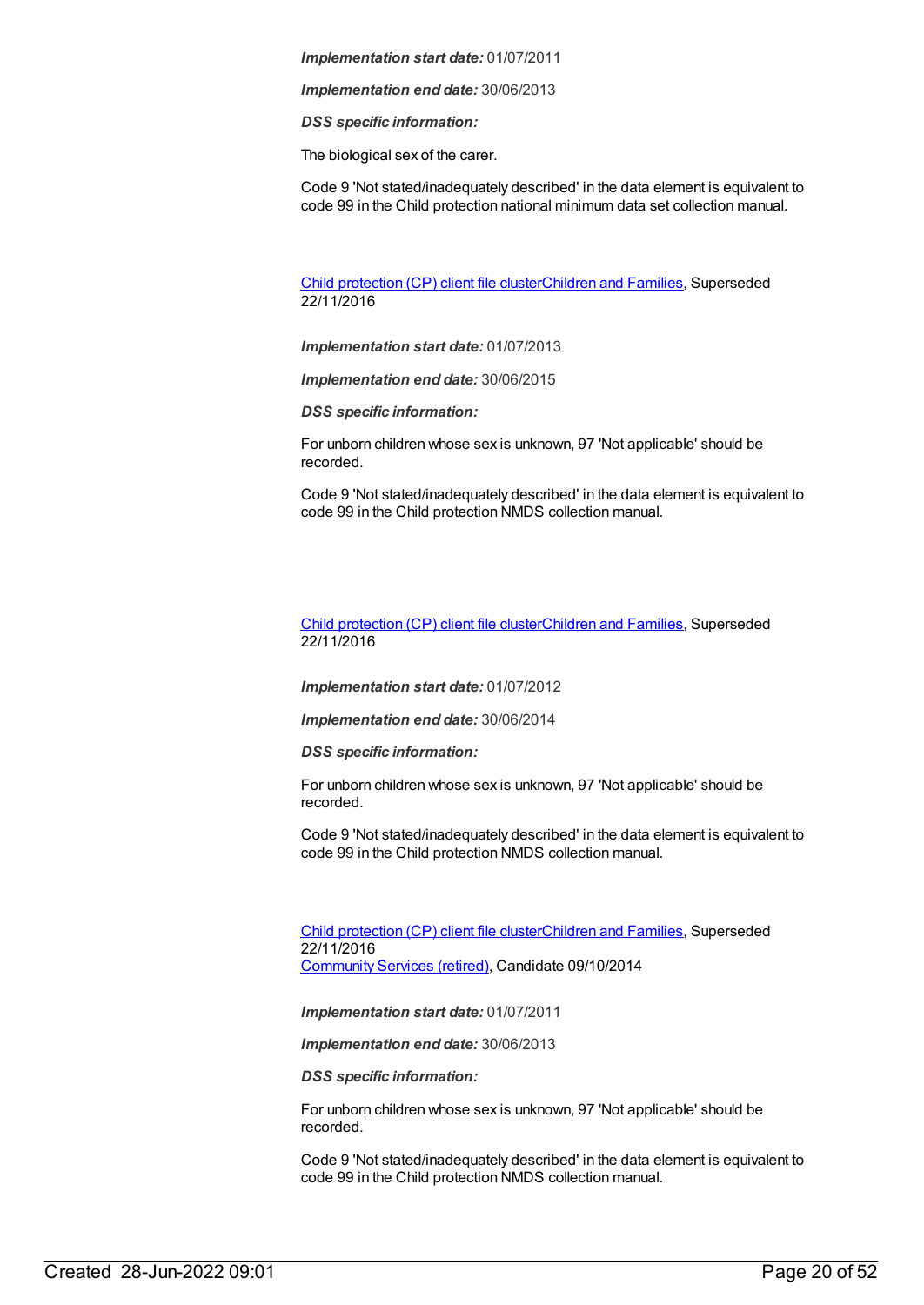*Implementation end date:* 30/06/2013

*DSS specific information:*

The biological sex of the carer.

Code 9 'Not stated/inadequately described' in the data element is equivalent to code 99 in the Child protection national minimum data set collection manual.

Child [protection](https://meteor.aihw.gov.au/content/656475) (CP) client file clusterChildren and [Families](https://meteor.aihw.gov.au/RegistrationAuthority/17), Superseded 22/11/2016

*Implementation start date:* 01/07/2013

*Implementation end date:* 30/06/2015

*DSS specific information:*

For unborn children whose sex is unknown, 97 'Not applicable' should be recorded.

Code 9 'Not stated/inadequately described' in the data element is equivalent to code 99 in the Child protection NMDS collection manual.

Child [protection](https://meteor.aihw.gov.au/content/655203) (CP) client file clusterChildren and [Families](https://meteor.aihw.gov.au/RegistrationAuthority/17), Superseded 22/11/2016

*Implementation start date:* 01/07/2012

*Implementation end date:* 30/06/2014

*DSS specific information:*

For unborn children whose sex is unknown, 97 'Not applicable' should be recorded.

Code 9 'Not stated/inadequately described' in the data element is equivalent to code 99 in the Child protection NMDS collection manual.

Child [protection](https://meteor.aihw.gov.au/content/492589) (CP) client file clusterChildren and [Families](https://meteor.aihw.gov.au/RegistrationAuthority/17), Superseded 22/11/2016 [Community](https://meteor.aihw.gov.au/RegistrationAuthority/1) Services (retired), Candidate 09/10/2014

*Implementation start date:* 01/07/2011

*Implementation end date:* 30/06/2013

*DSS specific information:*

For unborn children whose sex is unknown, 97 'Not applicable' should be recorded.

Code 9 'Not stated/inadequately described' in the data element is equivalent to code 99 in the Child protection NMDS collection manual.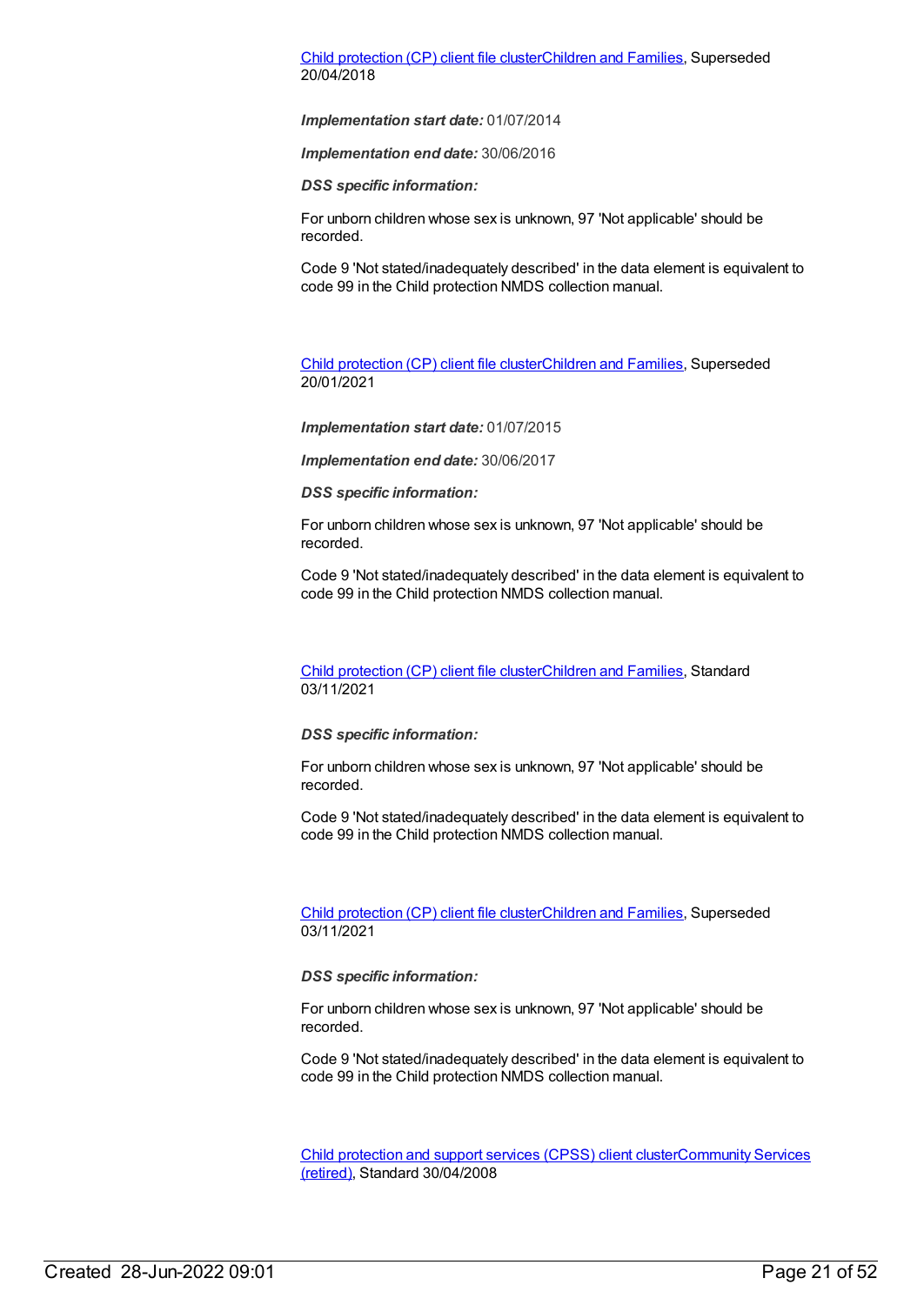#### Child [protection](https://meteor.aihw.gov.au/content/656496) (CP) client file clusterChildren and [Families](https://meteor.aihw.gov.au/RegistrationAuthority/17), Superseded 20/04/2018

*Implementation start date:* 01/07/2014

*Implementation end date:* 30/06/2016

*DSS specific information:*

For unborn children whose sex is unknown, 97 'Not applicable' should be recorded.

Code 9 'Not stated/inadequately described' in the data element is equivalent to code 99 in the Child protection NMDS collection manual.

Child [protection](https://meteor.aihw.gov.au/content/688429) (CP) client file clusterChildren and [Families](https://meteor.aihw.gov.au/RegistrationAuthority/17), Superseded 20/01/2021

*Implementation start date:* 01/07/2015

*Implementation end date:* 30/06/2017

*DSS specific information:*

For unborn children whose sex is unknown, 97 'Not applicable' should be recorded.

Code 9 'Not stated/inadequately described' in the data element is equivalent to code 99 in the Child protection NMDS collection manual.

Child [protection](https://meteor.aihw.gov.au/content/748904) (CP) client file clusterChildren and [Families](https://meteor.aihw.gov.au/RegistrationAuthority/17), Standard 03/11/2021

*DSS specific information:*

For unborn children whose sex is unknown, 97 'Not applicable' should be recorded.

Code 9 'Not stated/inadequately described' in the data element is equivalent to code 99 in the Child protection NMDS collection manual.

Child [protection](https://meteor.aihw.gov.au/content/706958) (CP) client file clusterChildren and [Families](https://meteor.aihw.gov.au/RegistrationAuthority/17), Superseded 03/11/2021

*DSS specific information:*

For unborn children whose sex is unknown, 97 'Not applicable' should be recorded.

Code 9 'Not stated/inadequately described' in the data element is equivalent to code 99 in the Child protection NMDS collection manual.

Child [protection](https://meteor.aihw.gov.au/content/355790) and support services (CPSS) client [clusterCommunity](https://meteor.aihw.gov.au/RegistrationAuthority/1) Services (retired), Standard 30/04/2008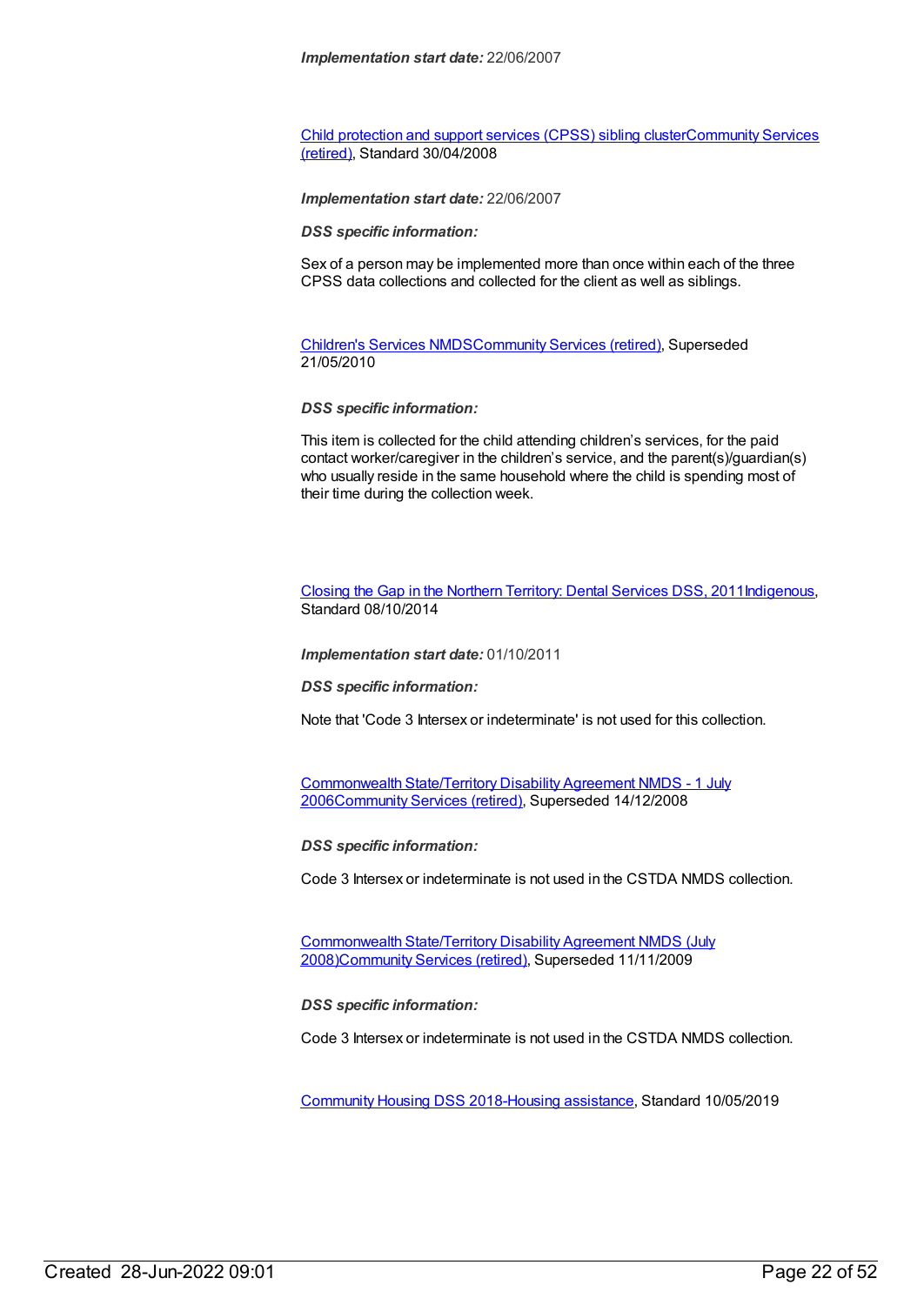Child [protection](https://meteor.aihw.gov.au/content/355795) and support services (CPSS) sibling [clusterCommunity](https://meteor.aihw.gov.au/RegistrationAuthority/1) Services (retired), Standard 30/04/2008

*Implementation start date:* 22/06/2007

*DSS specific information:*

Sex of a person may be implemented more than once within each of the three CPSS data collections and collected for the client as well as siblings.

[Children's](https://meteor.aihw.gov.au/content/308217) Services NMD[SCommunity](https://meteor.aihw.gov.au/RegistrationAuthority/1) Services (retired), Superseded 21/05/2010

*DSS specific information:*

This item is collected for the child attending children's services, for the paid contact worker/caregiver in the children's service, and the parent(s)/guardian(s) who usually reside in the same household where the child is spending most of their time during the collection week.

Closing the Gap in the Northern [Territory:](https://meteor.aihw.gov.au/content/496216) Dental Services DSS, 201[1Indigenous](https://meteor.aihw.gov.au/RegistrationAuthority/6), Standard 08/10/2014

*Implementation start date:* 01/10/2011

*DSS specific information:*

Note that 'Code 3 Intersex or indeterminate' is not used for this collection.

[Commonwealth](https://meteor.aihw.gov.au/content/317350) State/Territory Disability Agreement NMDS - 1 July 200[6Community](https://meteor.aihw.gov.au/RegistrationAuthority/1) Services (retired), Superseded 14/12/2008

*DSS specific information:*

Code 3 Intersex or indeterminate is not used in the CSTDA NMDS collection.

[Commonwealth](https://meteor.aihw.gov.au/content/372123) State/Territory Disability Agreement NMDS (July 2008[\)Community](https://meteor.aihw.gov.au/RegistrationAuthority/1) Services (retired), Superseded 11/11/2009

*DSS specific information:*

Code 3 Intersex or indeterminate is not used in the CSTDA NMDS collection.

[Community](https://meteor.aihw.gov.au/content/710899) Housing DSS 2018-Housing [assistance](https://meteor.aihw.gov.au/RegistrationAuthority/11), Standard 10/05/2019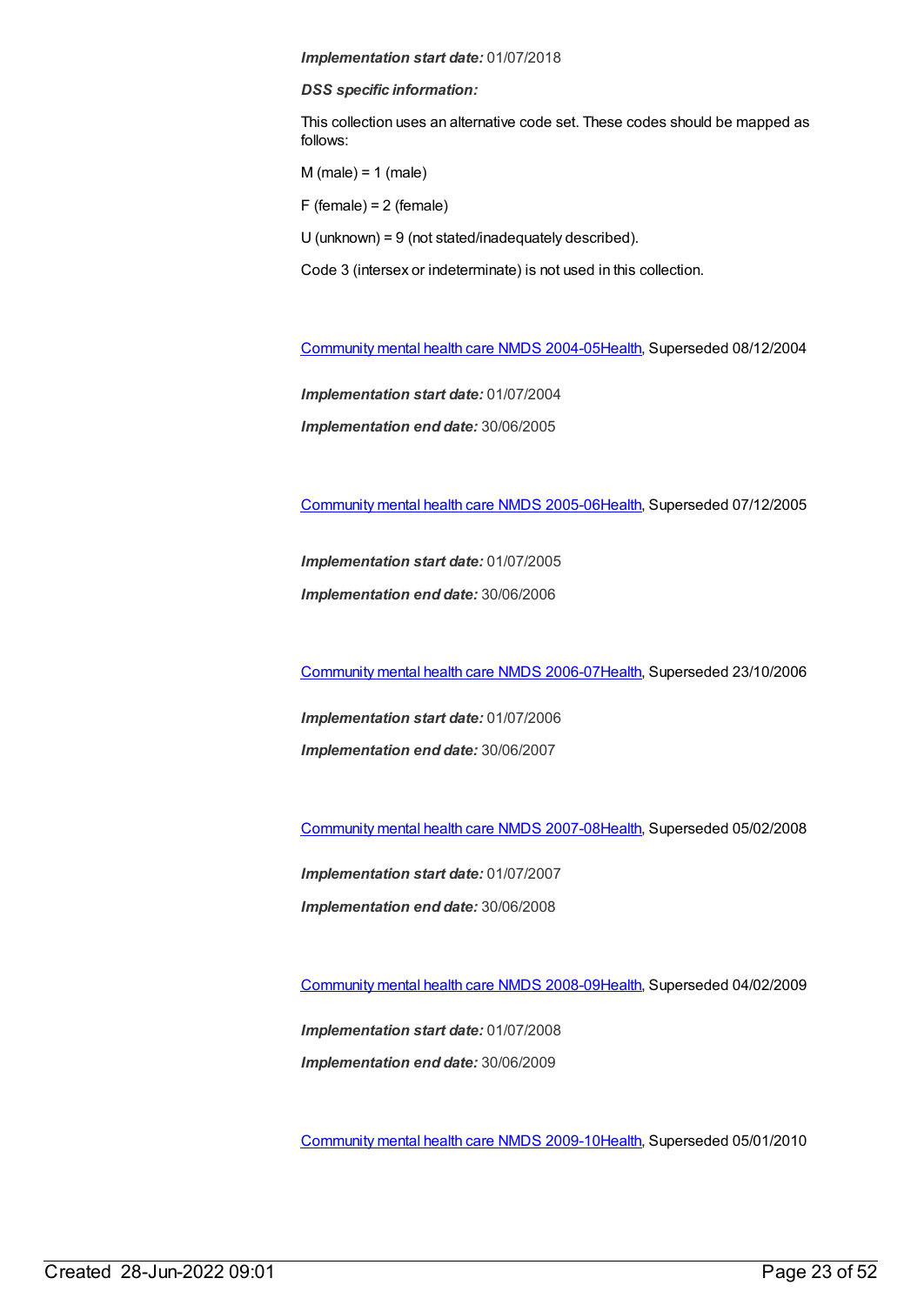#### *DSS specific information:*

This collection uses an alternative code set. These codes should be mapped as follows:

 $M$  (male) = 1 (male)

F (female) = 2 (female)

U (unknown) = 9 (not stated/inadequately described).

Code 3 (intersex or indeterminate) is not used in this collection.

[Community](https://meteor.aihw.gov.au/content/273044) mental health care NMDS 2004-0[5Health](https://meteor.aihw.gov.au/RegistrationAuthority/12), Superseded 08/12/2004

*Implementation start date:* 01/07/2004

*Implementation end date:* 30/06/2005

[Community](https://meteor.aihw.gov.au/content/285489) mental health care NMDS 2005-0[6Health](https://meteor.aihw.gov.au/RegistrationAuthority/12), Superseded 07/12/2005

*Implementation start date:* 01/07/2005 *Implementation end date:* 30/06/2006

[Community](https://meteor.aihw.gov.au/content/334069) mental health care NMDS 2006-0[7Health](https://meteor.aihw.gov.au/RegistrationAuthority/12), Superseded 23/10/2006

*Implementation start date:* 01/07/2006 *Implementation end date:* 30/06/2007

[Community](https://meteor.aihw.gov.au/content/345116) mental health care NMDS 2007-0[8Health](https://meteor.aihw.gov.au/RegistrationAuthority/12), Superseded 05/02/2008

*Implementation start date:* 01/07/2007 *Implementation end date:* 30/06/2008

[Community](https://meteor.aihw.gov.au/content/362308) mental health care NMDS 2008-0[9Health](https://meteor.aihw.gov.au/RegistrationAuthority/12), Superseded 04/02/2009

*Implementation start date:* 01/07/2008 *Implementation end date:* 30/06/2009

[Community](https://meteor.aihw.gov.au/content/374216) mental health care NMDS 2009-1[0Health](https://meteor.aihw.gov.au/RegistrationAuthority/12), Superseded 05/01/2010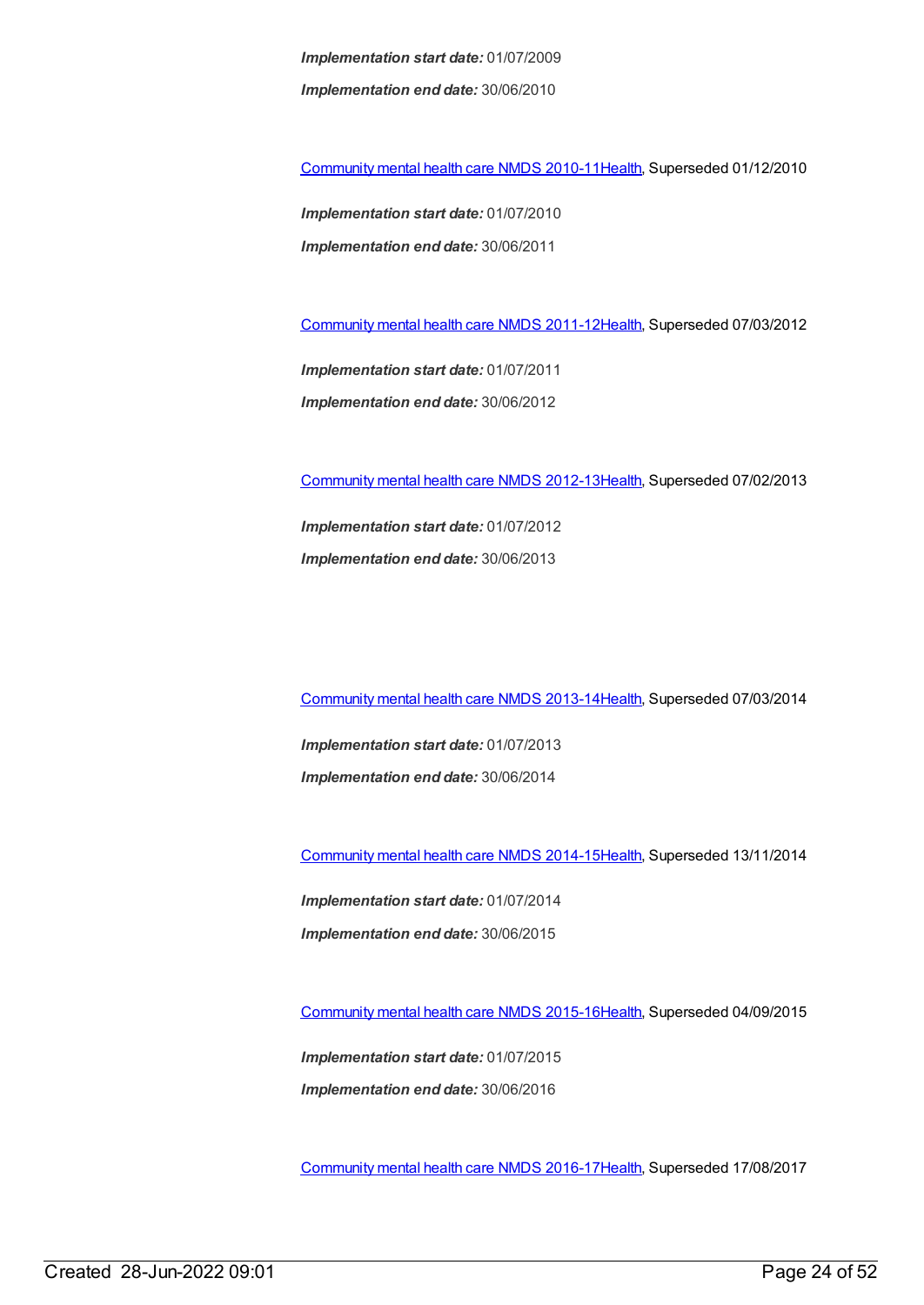*Implementation start date:* 01/07/2009 *Implementation end date:* 30/06/2010

[Community](https://meteor.aihw.gov.au/content/386803) mental health care NMDS 2010-1[1Health](https://meteor.aihw.gov.au/RegistrationAuthority/12), Superseded 01/12/2010

*Implementation start date:* 01/07/2010 *Implementation end date:* 30/06/2011

[Community](https://meteor.aihw.gov.au/content/424727) mental health care NMDS 2011-1[2Health](https://meteor.aihw.gov.au/RegistrationAuthority/12), Superseded 07/03/2012

*Implementation start date:* 01/07/2011 *Implementation end date:* 30/06/2012

[Community](https://meteor.aihw.gov.au/content/468200) mental health care NMDS 2012-1[3Health](https://meteor.aihw.gov.au/RegistrationAuthority/12), Superseded 07/02/2013

*Implementation start date:* 01/07/2012 *Implementation end date:* 30/06/2013

[Community](https://meteor.aihw.gov.au/content/493658) mental health care NMDS 2013-1[4Health](https://meteor.aihw.gov.au/RegistrationAuthority/12), Superseded 07/03/2014

*Implementation start date:* 01/07/2013 *Implementation end date:* 30/06/2014

[Community](https://meteor.aihw.gov.au/content/549878) mental health care NMDS 2014-1[5Health](https://meteor.aihw.gov.au/RegistrationAuthority/12), Superseded 13/11/2014

*Implementation start date:* 01/07/2014 *Implementation end date:* 30/06/2015

[Community](https://meteor.aihw.gov.au/content/565694) mental health care NMDS 2015-1[6Health](https://meteor.aihw.gov.au/RegistrationAuthority/12), Superseded 04/09/2015

*Implementation start date:* 01/07/2015 *Implementation end date:* 30/06/2016

[Community](https://meteor.aihw.gov.au/content/608534) mental health care NMDS 2016-1[7Health](https://meteor.aihw.gov.au/RegistrationAuthority/12), Superseded 17/08/2017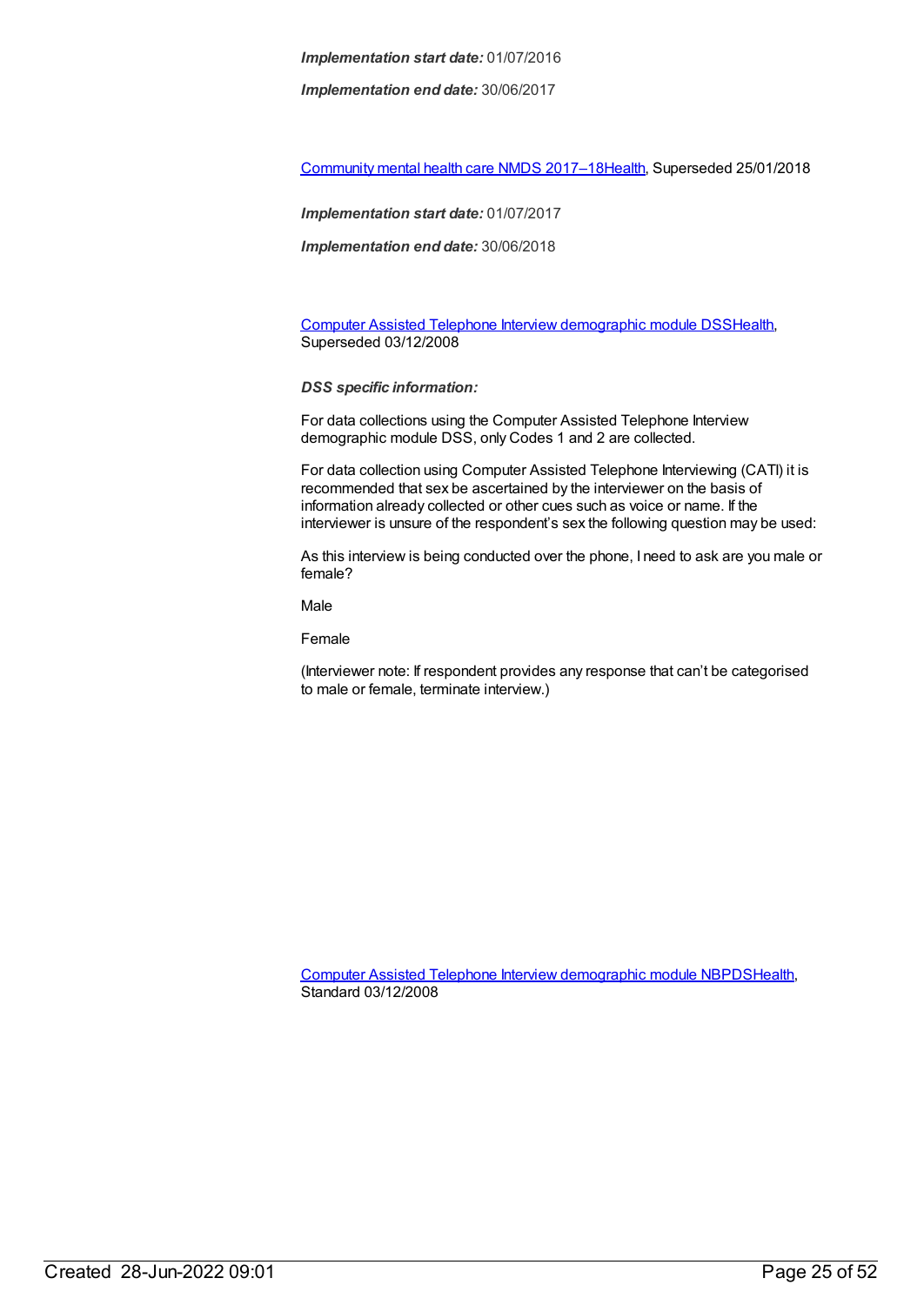*Implementation end date:* 30/06/2017

[Community](https://meteor.aihw.gov.au/content/645692) mental health care NMDS 2017–1[8Health](https://meteor.aihw.gov.au/RegistrationAuthority/12), Superseded 25/01/2018

*Implementation start date:* 01/07/2017

*Implementation end date:* 30/06/2018

Computer Assisted Telephone Interview [demographic](https://meteor.aihw.gov.au/content/291112) module DS[SHealth](https://meteor.aihw.gov.au/RegistrationAuthority/12), Superseded 03/12/2008

*DSS specific information:*

For data collections using the Computer Assisted Telephone Interview demographic module DSS, only Codes 1 and 2 are collected.

For data collection using Computer Assisted Telephone Interviewing (CATI) it is recommended that sex be ascertained by the interviewer on the basis of information already collected or other cues such as voice or name. If the interviewer is unsure of the respondent's sex the following question may be used:

As this interview is being conducted over the phone, I need to ask are you male or female?

Male

Female

(Interviewer note: If respondent provides any response that can't be categorised to male or female, terminate interview.)

Computer Assisted Telephone Interview [demographic](https://meteor.aihw.gov.au/content/374218) module NBPD[SHealth](https://meteor.aihw.gov.au/RegistrationAuthority/12), Standard 03/12/2008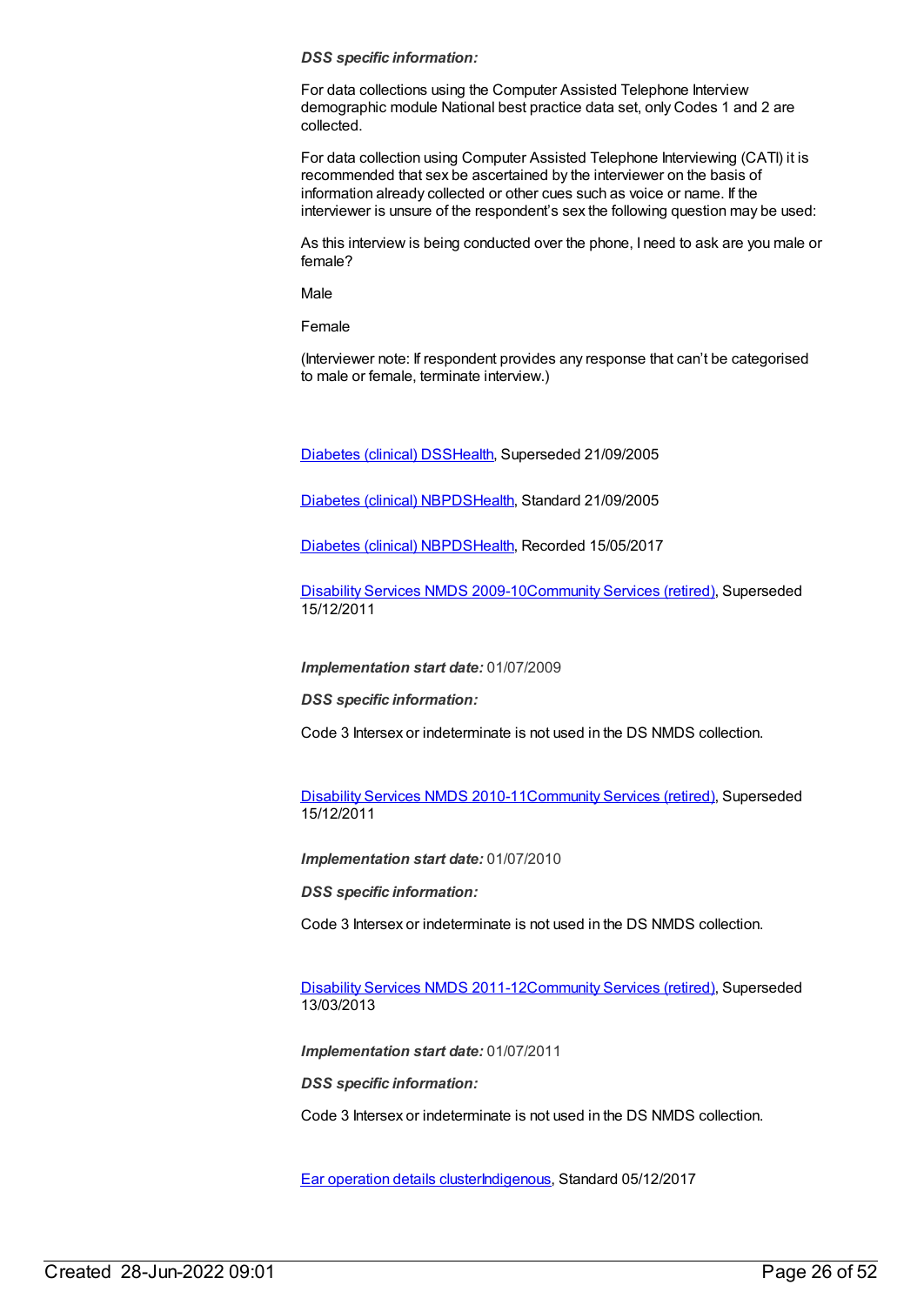#### *DSS specific information:*

For data collections using the Computer Assisted Telephone Interview demographic module National best practice data set, only Codes 1 and 2 are collected.

For data collection using Computer Assisted Telephone Interviewing (CATI) it is recommended that sex be ascertained by the interviewer on the basis of information already collected or other cues such as voice or name. If the interviewer is unsure of the respondent's sex the following question may be used:

As this interview is being conducted over the phone, I need to ask are you male or female?

Male

Female

(Interviewer note: If respondent provides any response that can't be categorised to male or female, terminate interview.)

[Diabetes](https://meteor.aihw.gov.au/content/273054) (clinical) DSS[Health](https://meteor.aihw.gov.au/RegistrationAuthority/12), Superseded 21/09/2005

[Diabetes](https://meteor.aihw.gov.au/content/304865) (clinical) NBPD[SHealth](https://meteor.aihw.gov.au/RegistrationAuthority/12), Standard 21/09/2005

[Diabetes](https://meteor.aihw.gov.au/content/621784) (clinical) NBPD[SHealth](https://meteor.aihw.gov.au/RegistrationAuthority/12), Recorded 15/05/2017

[Disability](https://meteor.aihw.gov.au/content/386485) Services NMDS 2009-10[Community](https://meteor.aihw.gov.au/RegistrationAuthority/1) Services (retired), Superseded 15/12/2011

*Implementation start date:* 01/07/2009

*DSS specific information:*

Code 3 Intersex or indeterminate is not used in the DS NMDS collection.

[Disability](https://meteor.aihw.gov.au/content/428708) Services NMDS 2010-11[Community](https://meteor.aihw.gov.au/RegistrationAuthority/1) Services (retired), Superseded 15/12/2011

*Implementation start date:* 01/07/2010

*DSS specific information:*

Code 3 Intersex or indeterminate is not used in the DS NMDS collection.

[Disability](https://meteor.aihw.gov.au/content/461636) Services NMDS 2011-12[Community](https://meteor.aihw.gov.au/RegistrationAuthority/1) Services (retired), Superseded 13/03/2013

*Implementation start date:* 01/07/2011

*DSS specific information:*

Code 3 Intersex or indeterminate is not used in the DS NMDS collection.

Ear [operation](https://meteor.aihw.gov.au/content/567130) details cluste[rIndigenous,](https://meteor.aihw.gov.au/RegistrationAuthority/6) Standard 05/12/2017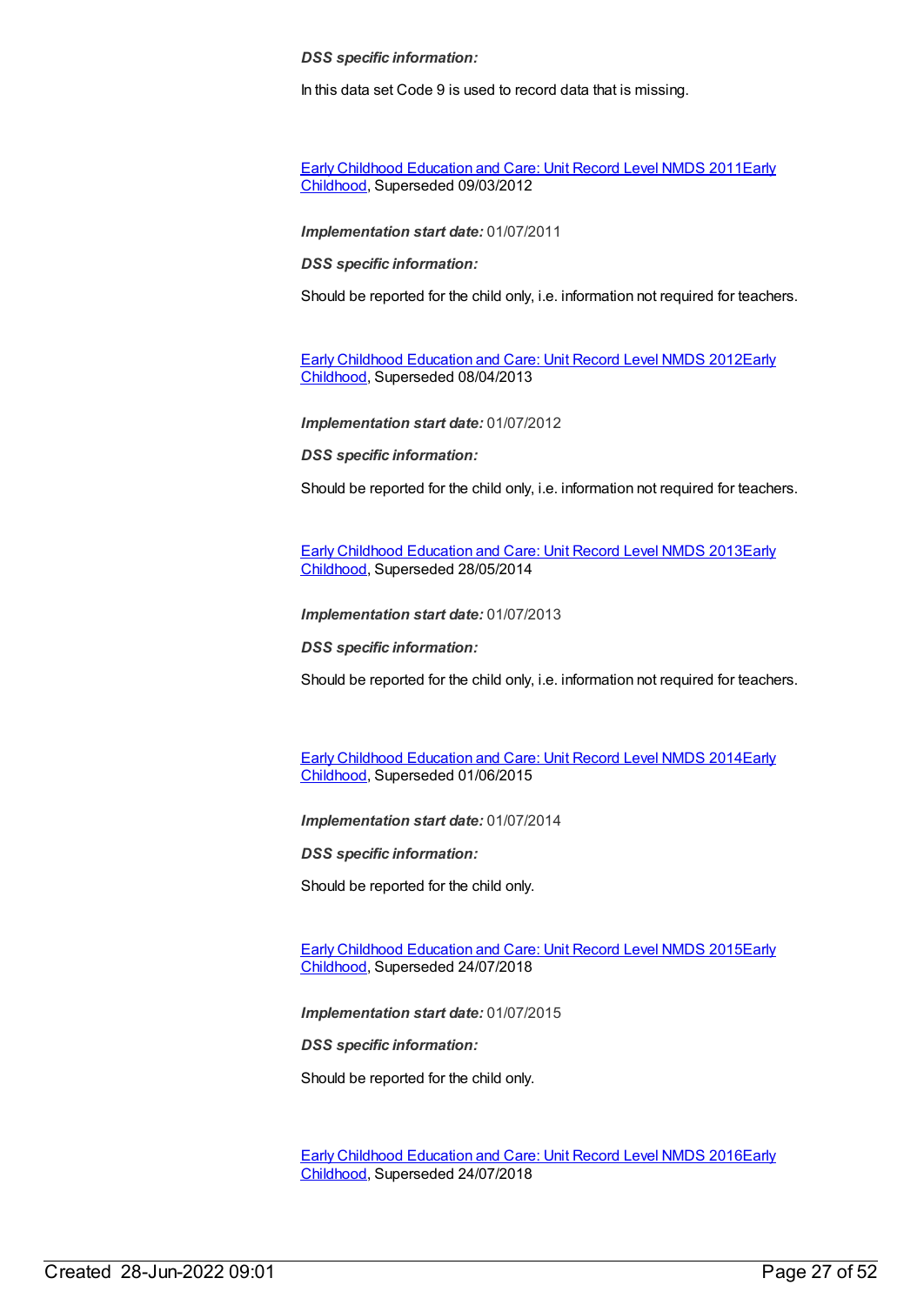*DSS specific information:*

In this data set Code 9 is used to record data that is missing.

Early Childhood [Education](https://meteor.aihw.gov.au/content/438006) and Care: Unit Record Level NMDS 2011Early Childhood, [Superseded](https://meteor.aihw.gov.au/RegistrationAuthority/13) 09/03/2012

*Implementation start date:* 01/07/2011

*DSS specific information:*

Should be reported for the child only, i.e. information not required for teachers.

Early Childhood [Education](https://meteor.aihw.gov.au/content/466523) and Care: Unit Record Level NMDS 2012Early Childhood, [Superseded](https://meteor.aihw.gov.au/RegistrationAuthority/13) 08/04/2013

*Implementation start date:* 01/07/2012

*DSS specific information:*

Should be reported for the child only, i.e. information not required for teachers.

Early Childhood [Education](https://meteor.aihw.gov.au/RegistrationAuthority/13) and Care: Unit Record Level NMDS 2013Early Childhood, Superseded 28/05/2014

*Implementation start date:* 01/07/2013

*DSS specific information:*

Should be reported for the child only, i.e. information not required for teachers.

Early Childhood [Education](https://meteor.aihw.gov.au/content/555380) and Care: Unit Record Level NMDS 2014Early Childhood, [Superseded](https://meteor.aihw.gov.au/RegistrationAuthority/13) 01/06/2015

*Implementation start date:* 01/07/2014

*DSS specific information:*

Should be reported for the child only.

Early Childhood [Education](https://meteor.aihw.gov.au/content/602247) and Care: Unit Record Level NMDS 2015Early Childhood, [Superseded](https://meteor.aihw.gov.au/RegistrationAuthority/13) 24/07/2018

*Implementation start date:* 01/07/2015

*DSS specific information:*

Should be reported for the child only.

Early Childhood [Education](https://meteor.aihw.gov.au/content/686022) and Care: Unit Record Level NMDS 2016Early Childhood, [Superseded](https://meteor.aihw.gov.au/RegistrationAuthority/13) 24/07/2018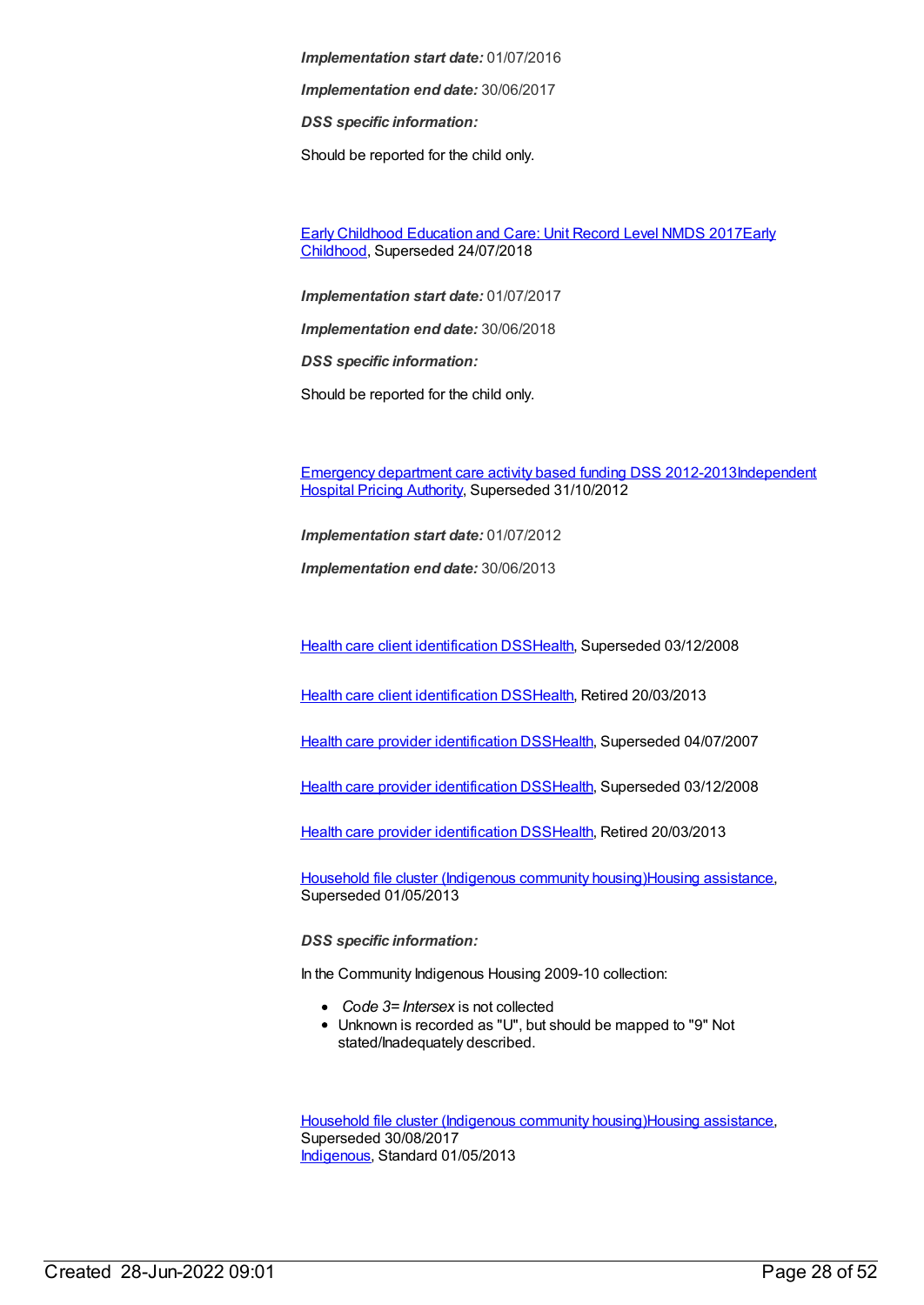*Implementation end date:* 30/06/2017

*DSS specific information:*

Should be reported for the child only.

Early Childhood [Education](https://meteor.aihw.gov.au/content/686135) and Care: Unit Record Level NMDS 2017Early Childhood, [Superseded](https://meteor.aihw.gov.au/RegistrationAuthority/13) 24/07/2018

*Implementation start date:* 01/07/2017

*Implementation end date:* 30/06/2018

*DSS specific information:*

Should be reported for the child only.

[Emergency](https://meteor.aihw.gov.au/content/496522) department care activity based funding DSS [2012-2013Independent](https://meteor.aihw.gov.au/RegistrationAuthority/3) Hospital Pricing Authority, Superseded 31/10/2012

*Implementation start date:* 01/07/2012

*Implementation end date:* 30/06/2013

Health care client [identification](https://meteor.aihw.gov.au/content/288765) DSS[Health,](https://meteor.aihw.gov.au/RegistrationAuthority/12) Superseded 03/12/2008

Health care client [identification](https://meteor.aihw.gov.au/content/374201) DSS[Health,](https://meteor.aihw.gov.au/RegistrationAuthority/12) Retired 20/03/2013

Health care provider [identification](https://meteor.aihw.gov.au/content/289061) DSS[Health](https://meteor.aihw.gov.au/RegistrationAuthority/12), Superseded 04/07/2007

Health care provider [identification](https://meteor.aihw.gov.au/content/356020) DSS[Health](https://meteor.aihw.gov.au/RegistrationAuthority/12), Superseded 03/12/2008

Health care provider [identification](https://meteor.aihw.gov.au/content/374199) DSS[Health](https://meteor.aihw.gov.au/RegistrationAuthority/12), Retired 20/03/2013

Household file cluster [\(Indigenous](https://meteor.aihw.gov.au/content/464709) community housing)Housing [assistance](https://meteor.aihw.gov.au/RegistrationAuthority/11), Superseded 01/05/2013

*DSS specific information:*

In the Community Indigenous Housing 2009-10 collection:

- *C*o*de 3= Intersex* is not collected
- Unknown is recorded as "U", but should be mapped to "9" Not stated/Inadequately described.

Household file cluster [\(Indigenous](https://meteor.aihw.gov.au/content/480535) community housing)Housing [assistance](https://meteor.aihw.gov.au/RegistrationAuthority/11), Superseded 30/08/2017 [Indigenous](https://meteor.aihw.gov.au/RegistrationAuthority/6), Standard 01/05/2013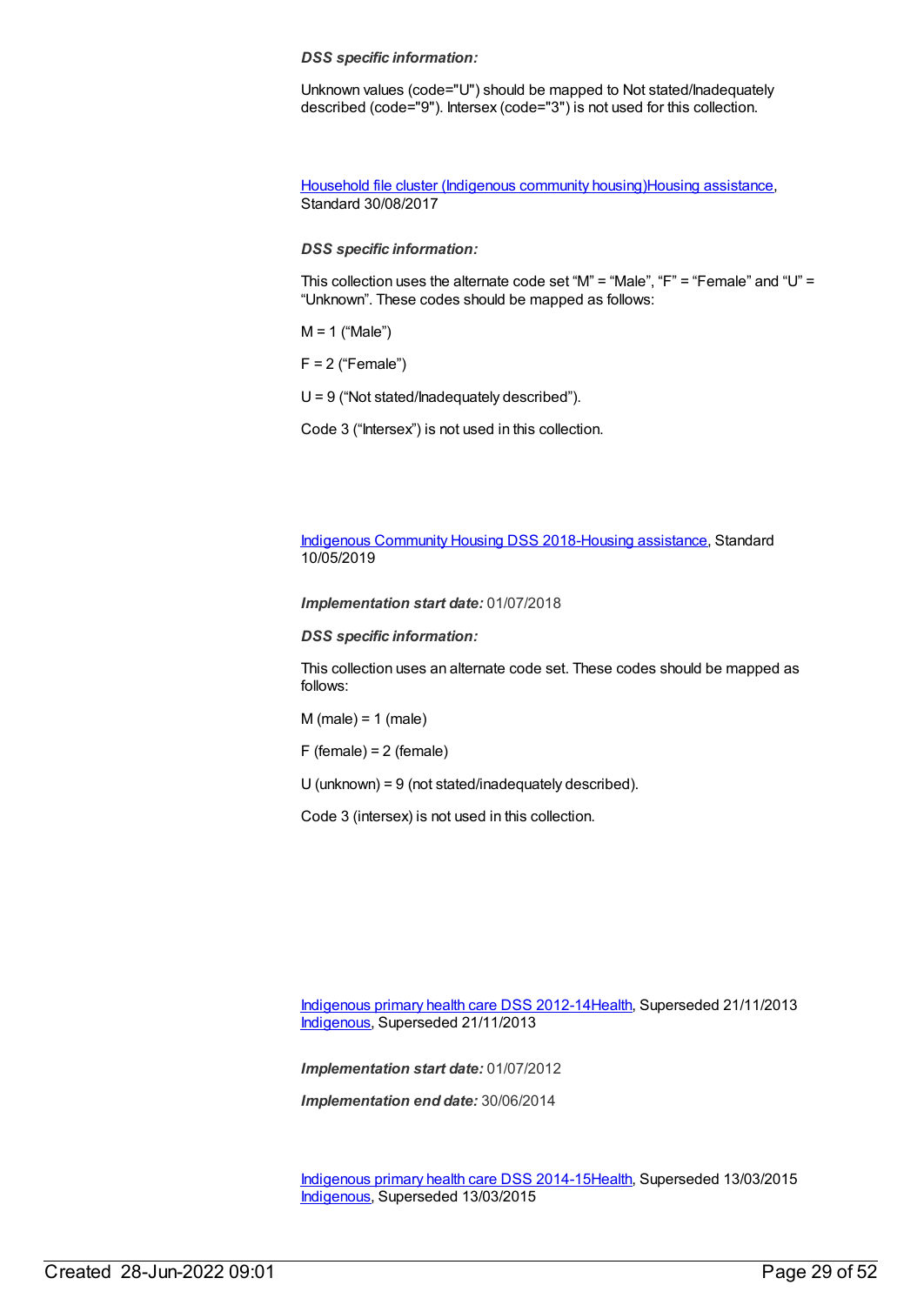#### *DSS specific information:*

Unknown values (code="U") should be mapped to Not stated/Inadequately described (code="9"). Intersex (code="3") is not used for this collection.

Household file cluster [\(Indigenous](https://meteor.aihw.gov.au/content/605356) community housing)Housing [assistance](https://meteor.aihw.gov.au/RegistrationAuthority/11), Standard 30/08/2017

#### *DSS specific information:*

This collection uses the alternate code set "M" = "Male", "F" = "Female" and "U" = "Unknown". These codes should be mapped as follows:

 $M = 1$  ("Male")

 $F = 2$  ("Female")

U = 9 ("Not stated/Inadequately described").

Code 3 ("Intersex") is not used in this collection.

Indigenous [Community](https://meteor.aihw.gov.au/content/711226) Housing DSS 2018-Housing [assistance](https://meteor.aihw.gov.au/RegistrationAuthority/11), Standard 10/05/2019

*Implementation start date:* 01/07/2018

*DSS specific information:*

This collection uses an alternate code set. These codes should be mapped as follows:

 $M$  (male) = 1 (male)

F (female) = 2 (female)

U (unknown) = 9 (not stated/inadequately described).

Code 3 (intersex) is not used in this collection.

[Indigenous](https://meteor.aihw.gov.au/content/430629) primary health care DSS 2012-1[4Health](https://meteor.aihw.gov.au/RegistrationAuthority/12), Superseded 21/11/2013 [Indigenous](https://meteor.aihw.gov.au/RegistrationAuthority/6), Superseded 21/11/2013

*Implementation start date:* 01/07/2012

*Implementation end date:* 30/06/2014

[Indigenous](https://meteor.aihw.gov.au/content/504325) primary health care DSS 2014-1[5Health](https://meteor.aihw.gov.au/RegistrationAuthority/12), Superseded 13/03/2015 [Indigenous](https://meteor.aihw.gov.au/RegistrationAuthority/6), Superseded 13/03/2015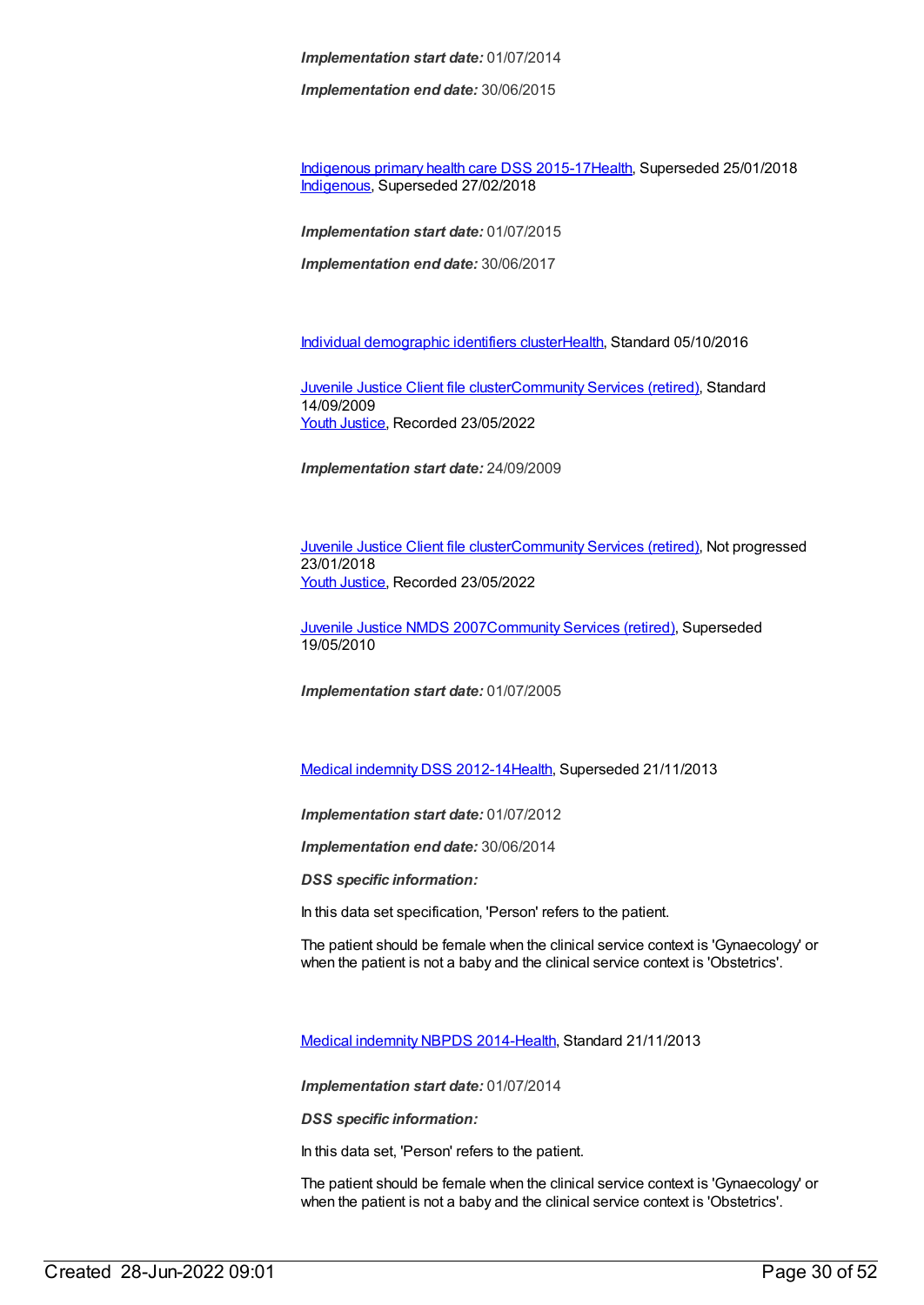*Implementation end date:* 30/06/2015

[Indigenous](https://meteor.aihw.gov.au/content/585036) primary health care DSS 2015-1[7Health](https://meteor.aihw.gov.au/RegistrationAuthority/12), Superseded 25/01/2018 [Indigenous](https://meteor.aihw.gov.au/RegistrationAuthority/6), Superseded 27/02/2018

*Implementation start date:* 01/07/2015

*Implementation end date:* 30/06/2017

Individual [demographic](https://meteor.aihw.gov.au/content/528542) identifiers cluste[rHealth](https://meteor.aihw.gov.au/RegistrationAuthority/12), Standard 05/10/2016

[Juvenile](https://meteor.aihw.gov.au/content/386845) Justice Client file cluste[rCommunity](https://meteor.aihw.gov.au/RegistrationAuthority/1) Services (retired), Standard 14/09/2009 Youth [Justice](https://meteor.aihw.gov.au/RegistrationAuthority/4), Recorded 23/05/2022

*Implementation start date:* 24/09/2009

[Juvenile](https://meteor.aihw.gov.au/content/513199) Justice Client file cluste[rCommunity](https://meteor.aihw.gov.au/RegistrationAuthority/1) Services (retired), Not progressed 23/01/2018 Youth [Justice](https://meteor.aihw.gov.au/RegistrationAuthority/4), Recorded 23/05/2022

[Juvenile](https://meteor.aihw.gov.au/content/314122) Justice NMDS 200[7Community](https://meteor.aihw.gov.au/RegistrationAuthority/1) Services (retired), Superseded 19/05/2010

*Implementation start date:* 01/07/2005

Medical [indemnity](https://meteor.aihw.gov.au/content/329638) DSS 2012-1[4Health](https://meteor.aihw.gov.au/RegistrationAuthority/12), Superseded 21/11/2013

*Implementation start date:* 01/07/2012

*Implementation end date:* 30/06/2014

*DSS specific information:*

In this data set specification, 'Person' refers to the patient.

The patient should be female when the clinical service context is 'Gynaecology' or when the patient is not a baby and the clinical service context is 'Obstetrics'.

Medical [indemnity](https://meteor.aihw.gov.au/content/531844) NBPDS 2014[-Health](https://meteor.aihw.gov.au/RegistrationAuthority/12), Standard 21/11/2013

*Implementation start date:* 01/07/2014

*DSS specific information:*

In this data set, 'Person' refers to the patient.

The patient should be female when the clinical service context is 'Gynaecology' or when the patient is not a baby and the clinical service context is 'Obstetrics'.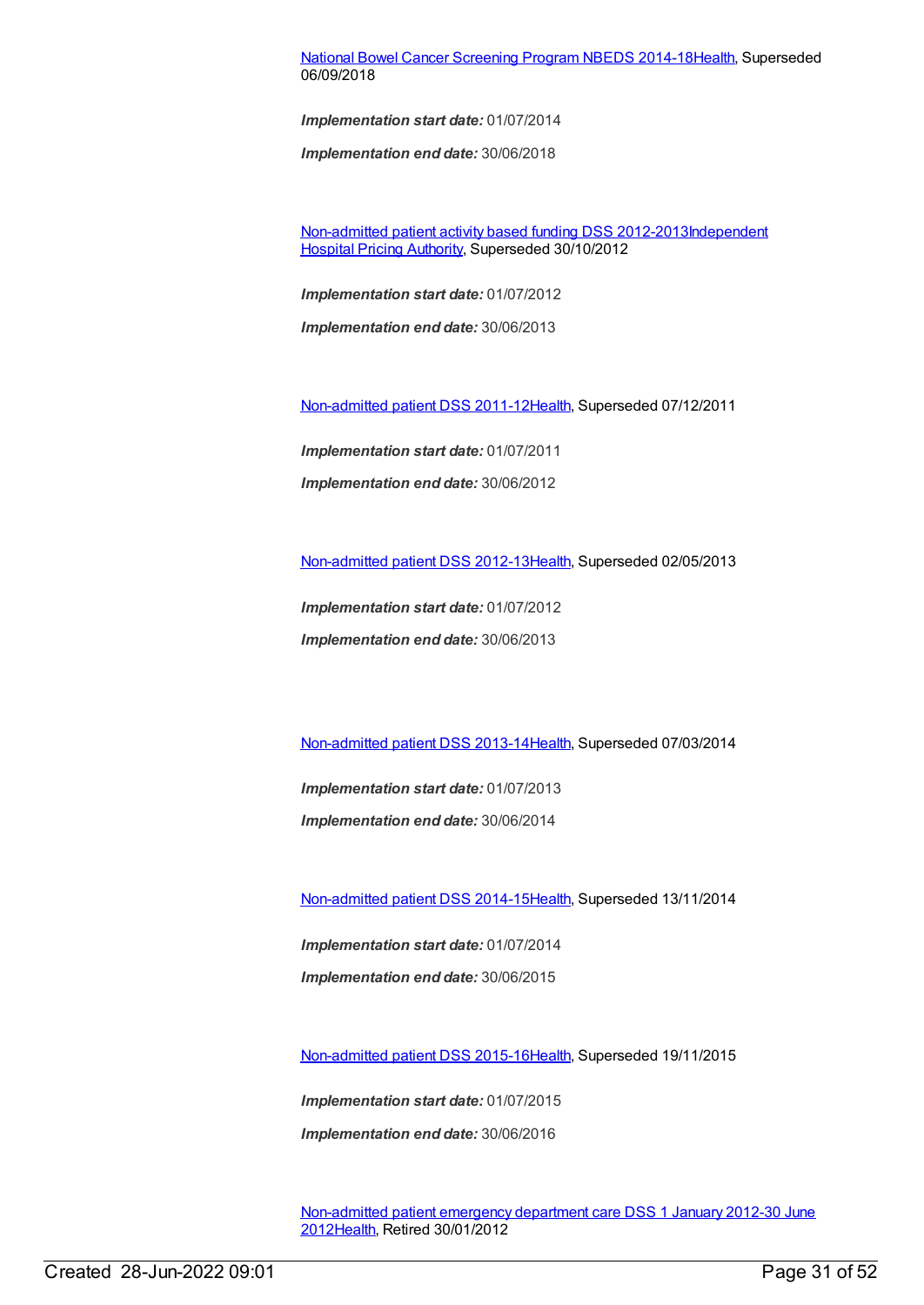#### National Bowel Cancer [Screening](https://meteor.aihw.gov.au/content/529201) Program NBEDS 2014-1[8Health](https://meteor.aihw.gov.au/RegistrationAuthority/12), Superseded 06/09/2018

*Implementation start date:* 01/07/2014

*Implementation end date:* 30/06/2018

[Non-admitted](https://meteor.aihw.gov.au/content/453284) patient activity based funding DSS [2012-2013Independent](https://meteor.aihw.gov.au/RegistrationAuthority/3) Hospital Pricing Authority, Superseded 30/10/2012

*Implementation start date:* 01/07/2012

*Implementation end date:* 30/06/2013

[Non-admitted](https://meteor.aihw.gov.au/content/399390) patient DSS 2011-1[2Health](https://meteor.aihw.gov.au/RegistrationAuthority/12), Superseded 07/12/2011

*Implementation start date:* 01/07/2011 *Implementation end date:* 30/06/2012

[Non-admitted](https://meteor.aihw.gov.au/content/471846) patient DSS 2012-1[3Health](https://meteor.aihw.gov.au/RegistrationAuthority/12), Superseded 02/05/2013

*Implementation start date:* 01/07/2012

*Implementation end date:* 30/06/2013

[Non-admitted](https://meteor.aihw.gov.au/content/509071) patient DSS 2013-1[4Health](https://meteor.aihw.gov.au/RegistrationAuthority/12), Superseded 07/03/2014

*Implementation start date:* 01/07/2013 *Implementation end date:* 30/06/2014

[Non-admitted](https://meteor.aihw.gov.au/content/548176) patient DSS 2014-1[5Health](https://meteor.aihw.gov.au/RegistrationAuthority/12), Superseded 13/11/2014

*Implementation start date:* 01/07/2014 *Implementation end date:* 30/06/2015

[Non-admitted](https://meteor.aihw.gov.au/content/584108) patient DSS 2015-1[6Health](https://meteor.aihw.gov.au/RegistrationAuthority/12), Superseded 19/11/2015

*Implementation start date:* 01/07/2015

*Implementation end date:* 30/06/2016

[Non-admitted](https://meteor.aihw.gov.au/content/471595) patient emergency department care DSS 1 January 2012-30 June 201[2Health](https://meteor.aihw.gov.au/RegistrationAuthority/12), Retired 30/01/2012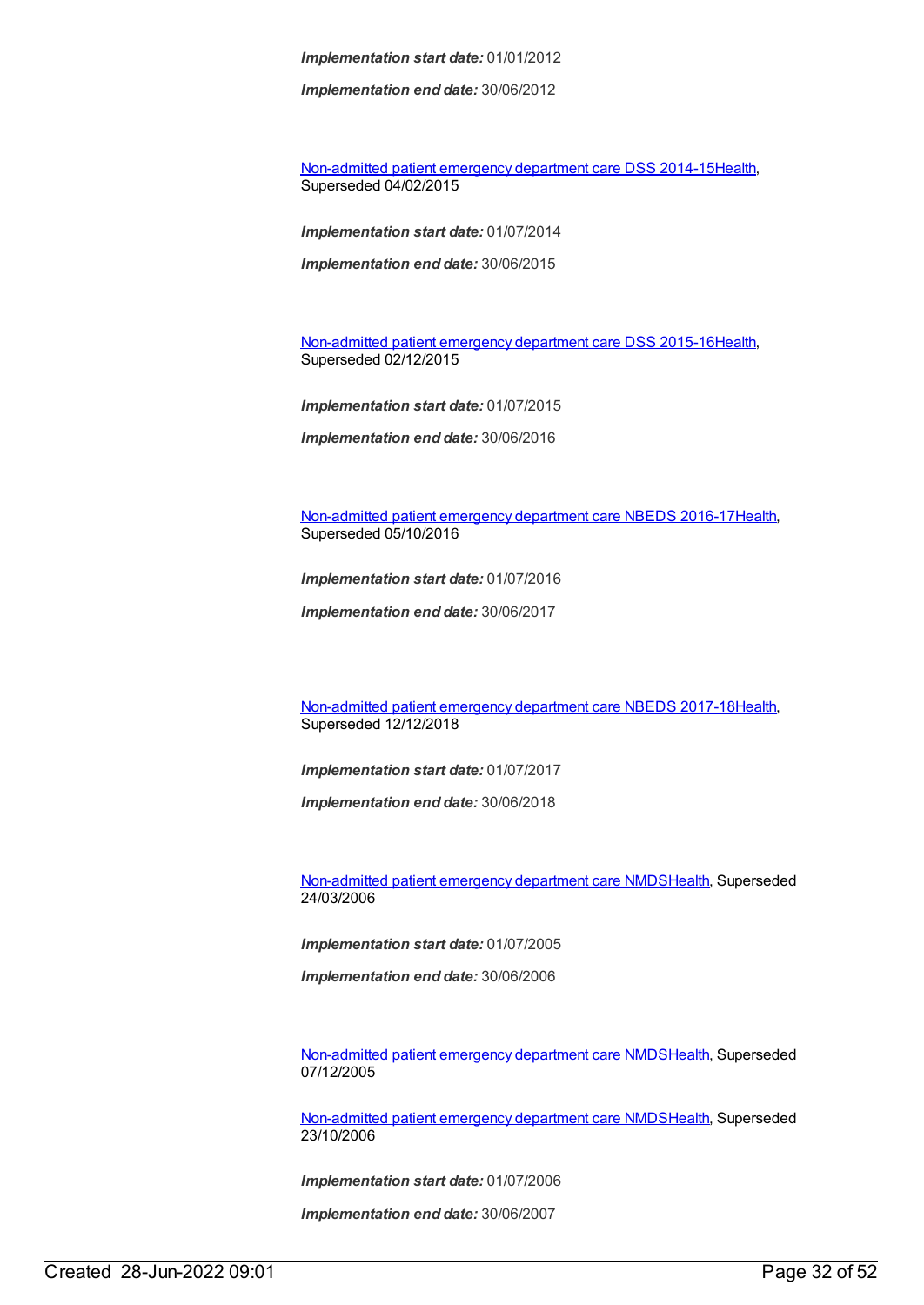*Implementation end date:* 30/06/2012

[Non-admitted](https://meteor.aihw.gov.au/content/567462) patient emergency department care DSS 2014-1[5Health](https://meteor.aihw.gov.au/RegistrationAuthority/12), Superseded 04/02/2015

*Implementation start date:* 01/07/2014

*Implementation end date:* 30/06/2015

[Non-admitted](https://meteor.aihw.gov.au/content/590675) patient emergency department care DSS 2015-1[6Health](https://meteor.aihw.gov.au/RegistrationAuthority/12), Superseded 02/12/2015

*Implementation start date:* 01/07/2015

*Implementation end date:* 30/06/2016

[Non-admitted](https://meteor.aihw.gov.au/content/617933) patient emergency department care NBEDS 2016-1[7Health](https://meteor.aihw.gov.au/RegistrationAuthority/12), Superseded 05/10/2016

*Implementation start date:* 01/07/2016

*Implementation end date:* 30/06/2017

[Non-admitted](https://meteor.aihw.gov.au/content/655704) patient emergency department care NBEDS 2017-1[8Health](https://meteor.aihw.gov.au/RegistrationAuthority/12), Superseded 12/12/2018

*Implementation start date:* 01/07/2017

*Implementation end date:* 30/06/2018

[Non-admitted](https://meteor.aihw.gov.au/content/319769) patient emergency department care NMD[SHealth](https://meteor.aihw.gov.au/RegistrationAuthority/12), Superseded 24/03/2006

*Implementation start date:* 01/07/2005

*Implementation end date:* 30/06/2006

[Non-admitted](https://meteor.aihw.gov.au/content/273053) patient emergency department care NMD[SHealth](https://meteor.aihw.gov.au/RegistrationAuthority/12), Superseded 07/12/2005

[Non-admitted](https://meteor.aihw.gov.au/content/322655) patient emergency department care NMD[SHealth](https://meteor.aihw.gov.au/RegistrationAuthority/12), Superseded 23/10/2006

*Implementation start date:* 01/07/2006

*Implementation end date:* 30/06/2007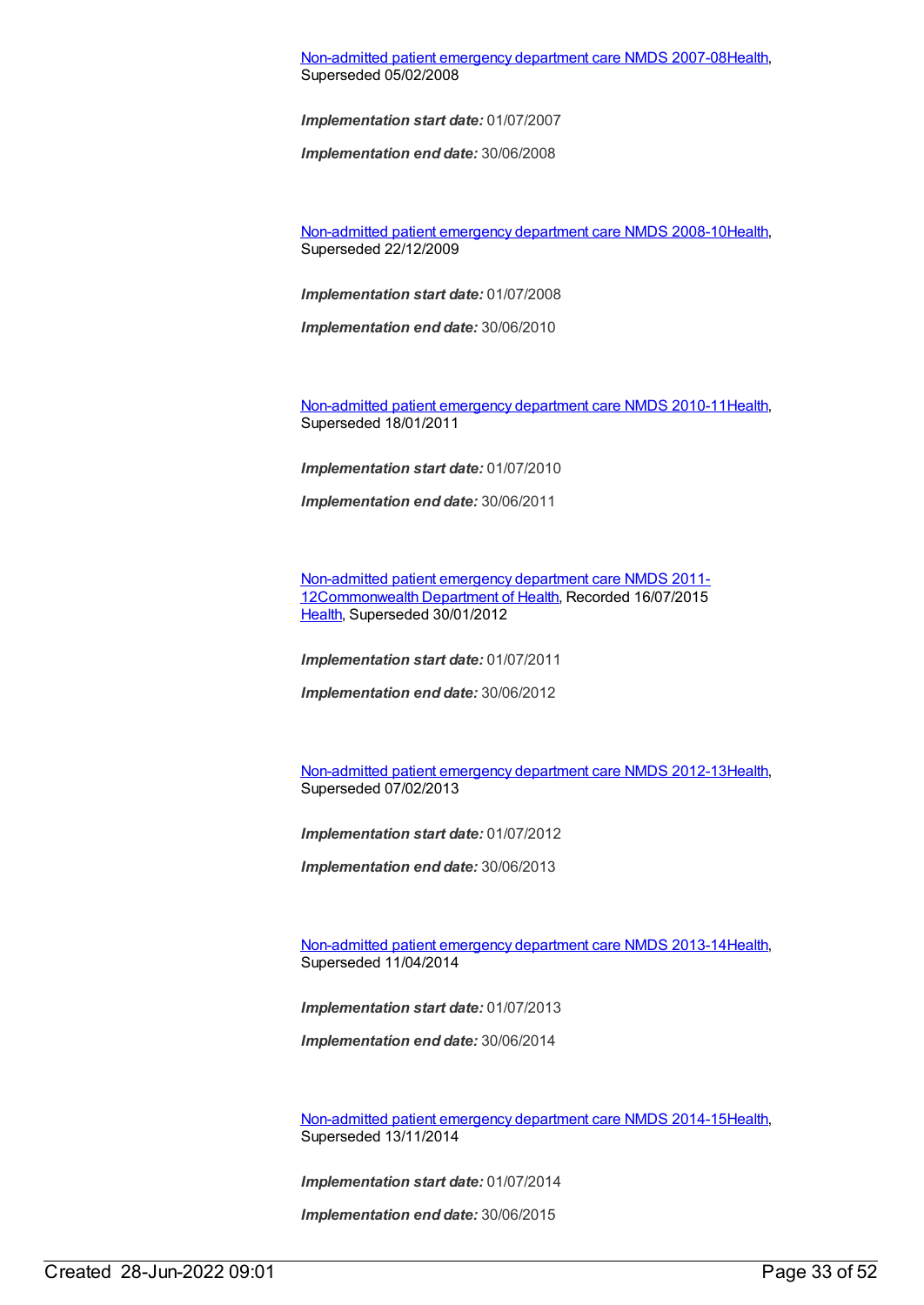[Non-admitted](https://meteor.aihw.gov.au/content/349836) patient emergency department care NMDS 2007-08[Health](https://meteor.aihw.gov.au/RegistrationAuthority/12), Superseded 05/02/2008

*Implementation start date:* 01/07/2007

*Implementation end date:* 30/06/2008

[Non-admitted](https://meteor.aihw.gov.au/content/363530) patient emergency department care NMDS 2008-10[Health](https://meteor.aihw.gov.au/RegistrationAuthority/12), Superseded 22/12/2009

*Implementation start date:* 01/07/2008

*Implementation end date:* 30/06/2010

[Non-admitted](https://meteor.aihw.gov.au/content/374220) patient emergency department care NMDS 2010-11[Health](https://meteor.aihw.gov.au/RegistrationAuthority/12), Superseded 18/01/2011

*Implementation start date:* 01/07/2010

*Implementation end date:* 30/06/2011

Non-admitted patient emergency department care NMDS 2011- [12](https://meteor.aihw.gov.au/content/426881)[Commonwealth](https://meteor.aihw.gov.au/RegistrationAuthority/10) Department of Health, Recorded 16/07/2015 [Health](https://meteor.aihw.gov.au/RegistrationAuthority/12), Superseded 30/01/2012

*Implementation start date:* 01/07/2011

*Implementation end date:* 30/06/2012

[Non-admitted](https://meteor.aihw.gov.au/content/474371) patient emergency department care NMDS 2012-13[Health](https://meteor.aihw.gov.au/RegistrationAuthority/12), Superseded 07/02/2013

*Implementation start date:* 01/07/2012

*Implementation end date:* 30/06/2013

[Non-admitted](https://meteor.aihw.gov.au/content/509116) patient emergency department care NMDS 2013-14[Health](https://meteor.aihw.gov.au/RegistrationAuthority/12), Superseded 11/04/2014

*Implementation start date:* 01/07/2013

*Implementation end date:* 30/06/2014

[Non-admitted](https://meteor.aihw.gov.au/content/566909) patient emergency department care NMDS 2014-15[Health](https://meteor.aihw.gov.au/RegistrationAuthority/12), Superseded 13/11/2014

*Implementation start date:* 01/07/2014

*Implementation end date:* 30/06/2015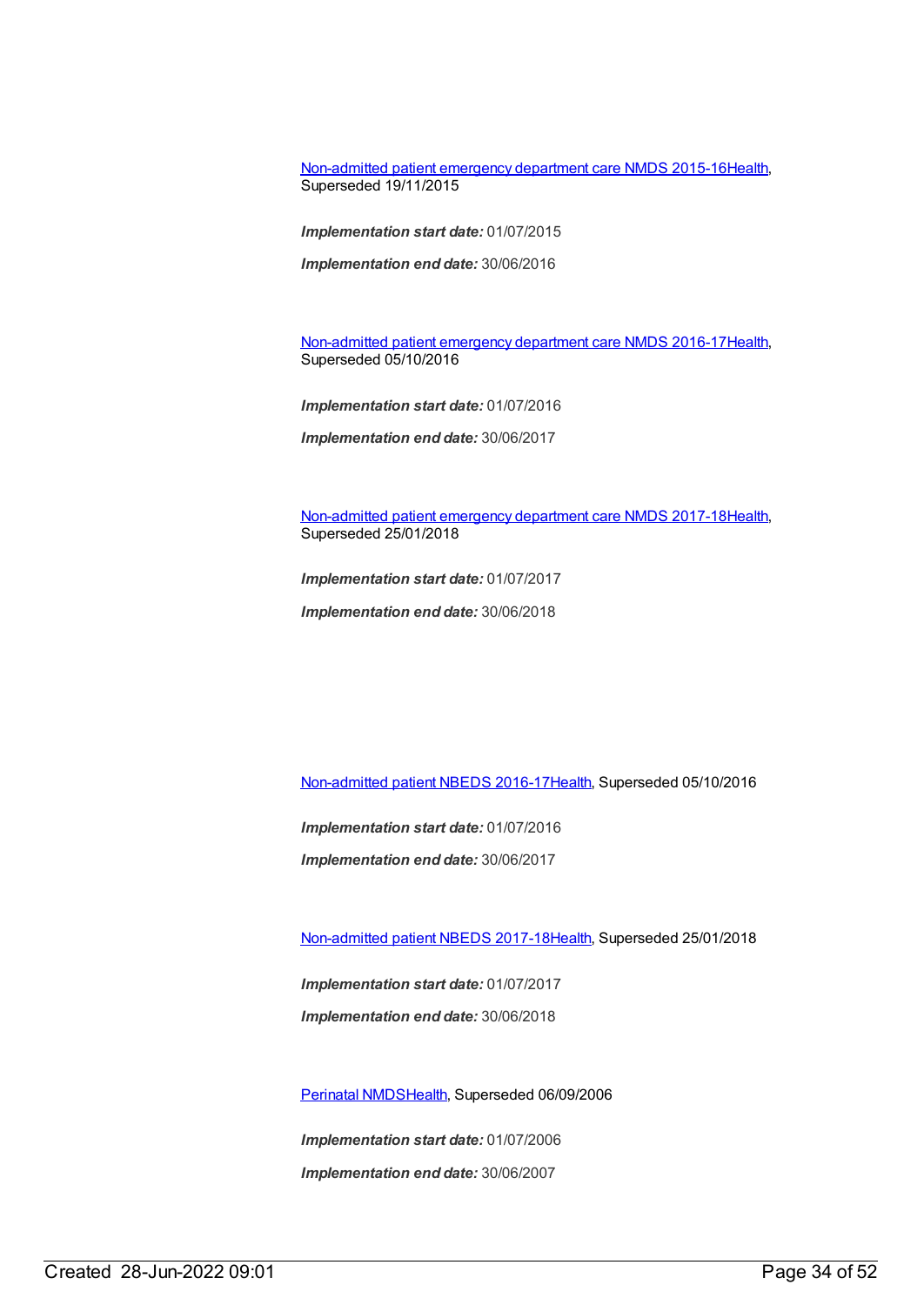[Non-admitted](https://meteor.aihw.gov.au/content/588932) patient emergency department care NMDS 2015-16[Health](https://meteor.aihw.gov.au/RegistrationAuthority/12), Superseded 19/11/2015

*Implementation start date:* 01/07/2015

*Implementation end date:* 30/06/2016

[Non-admitted](https://meteor.aihw.gov.au/content/612346) patient emergency department care NMDS 2016-17[Health](https://meteor.aihw.gov.au/RegistrationAuthority/12), Superseded 05/10/2016

*Implementation start date:* 01/07/2016

*Implementation end date:* 30/06/2017

[Non-admitted](https://meteor.aihw.gov.au/content/651856) patient emergency department care NMDS 2017-18[Health](https://meteor.aihw.gov.au/RegistrationAuthority/12), Superseded 25/01/2018

*Implementation start date:* 01/07/2017

*Implementation end date:* 30/06/2018

[Non-admitted](https://meteor.aihw.gov.au/content/612297) patient NBEDS 2016-17[Health](https://meteor.aihw.gov.au/RegistrationAuthority/12), Superseded 05/10/2016

*Implementation start date:* 01/07/2016

*Implementation end date:* 30/06/2017

[Non-admitted](https://meteor.aihw.gov.au/content/650086) patient NBEDS 2017-18[Health](https://meteor.aihw.gov.au/RegistrationAuthority/12), Superseded 25/01/2018

*Implementation start date:* 01/07/2017 *Implementation end date:* 30/06/2018

[Perinatal](https://meteor.aihw.gov.au/content/290828) NMDS[Health](https://meteor.aihw.gov.au/RegistrationAuthority/12), Superseded 06/09/2006

*Implementation start date:* 01/07/2006 *Implementation end date:* 30/06/2007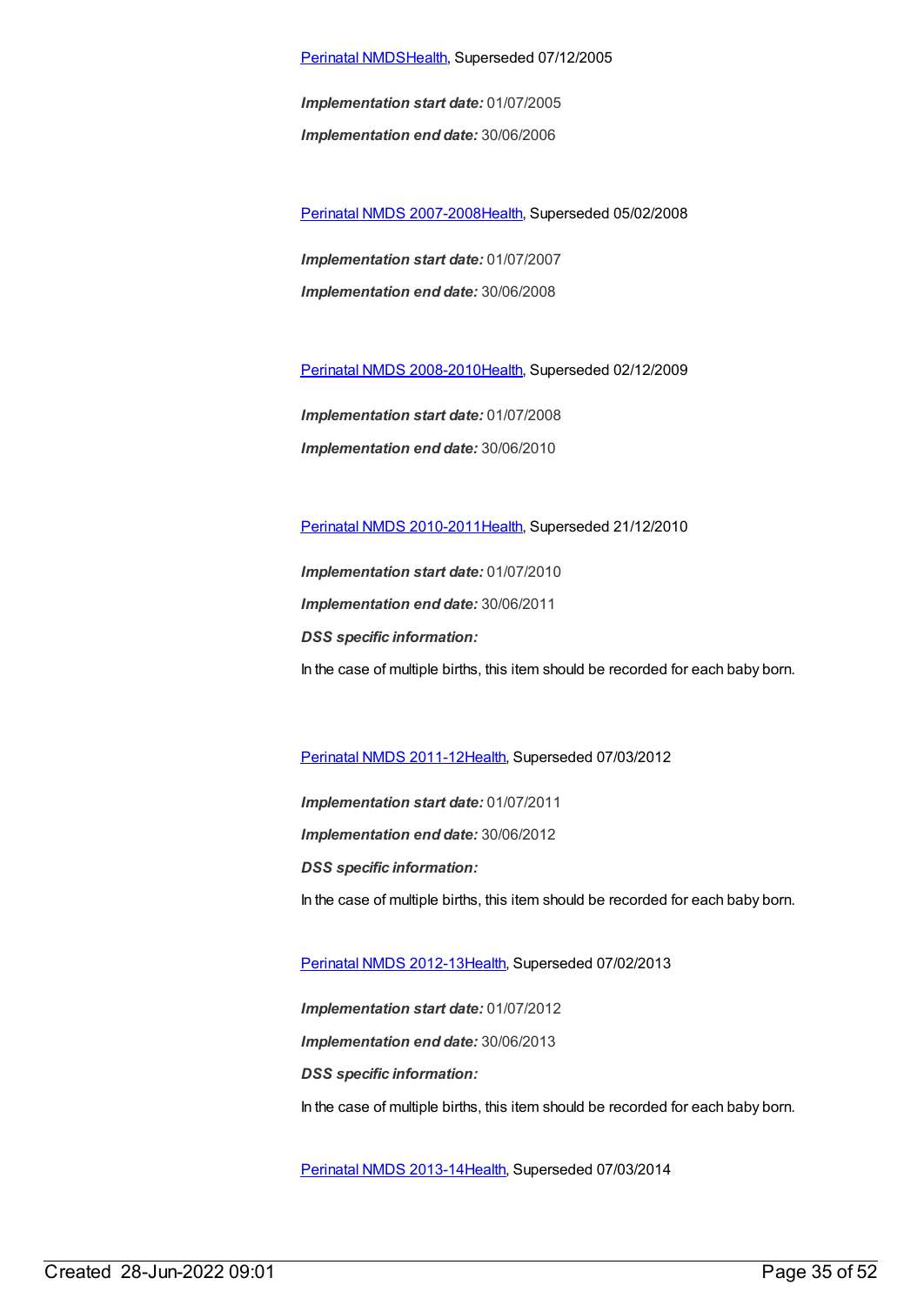#### [Perinatal](https://meteor.aihw.gov.au/content/273043) NMDS[Health](https://meteor.aihw.gov.au/RegistrationAuthority/12), Superseded 07/12/2005

*Implementation start date:* 01/07/2005 *Implementation end date:* 30/06/2006

Perinatal NMDS [2007-2008](https://meteor.aihw.gov.au/content/340684)[Health,](https://meteor.aihw.gov.au/RegistrationAuthority/12) Superseded 05/02/2008

*Implementation start date:* 01/07/2007 *Implementation end date:* 30/06/2008

Perinatal NMDS [2008-2010](https://meteor.aihw.gov.au/content/362313)[Health,](https://meteor.aihw.gov.au/RegistrationAuthority/12) Superseded 02/12/2009

*Implementation start date:* 01/07/2008 *Implementation end date:* 30/06/2010

Perinatal NMDS [2010-2011](https://meteor.aihw.gov.au/content/363256)[Health,](https://meteor.aihw.gov.au/RegistrationAuthority/12) Superseded 21/12/2010

*Implementation start date:* 01/07/2010 *Implementation end date:* 30/06/2011 *DSS specific information:* In the case of multiple births, this item should be recorded for each baby born.

[Perinatal](https://meteor.aihw.gov.au/content/426735) NMDS 2011-1[2Health](https://meteor.aihw.gov.au/RegistrationAuthority/12), Superseded 07/03/2012

*Implementation start date:* 01/07/2011 *Implementation end date:* 30/06/2012 *DSS specific information:* In the case of multiple births, this item should be recorded for each baby born.

[Perinatal](https://meteor.aihw.gov.au/content/461787) NMDS 2012-1[3Health](https://meteor.aihw.gov.au/RegistrationAuthority/12), Superseded 07/02/2013

*Implementation start date:* 01/07/2012 *Implementation end date:* 30/06/2013 *DSS specific information:* In the case of multiple births, this item should be recorded for each baby born.

[Perinatal](https://meteor.aihw.gov.au/content/489433) NMDS 2013-1[4Health](https://meteor.aihw.gov.au/RegistrationAuthority/12), Superseded 07/03/2014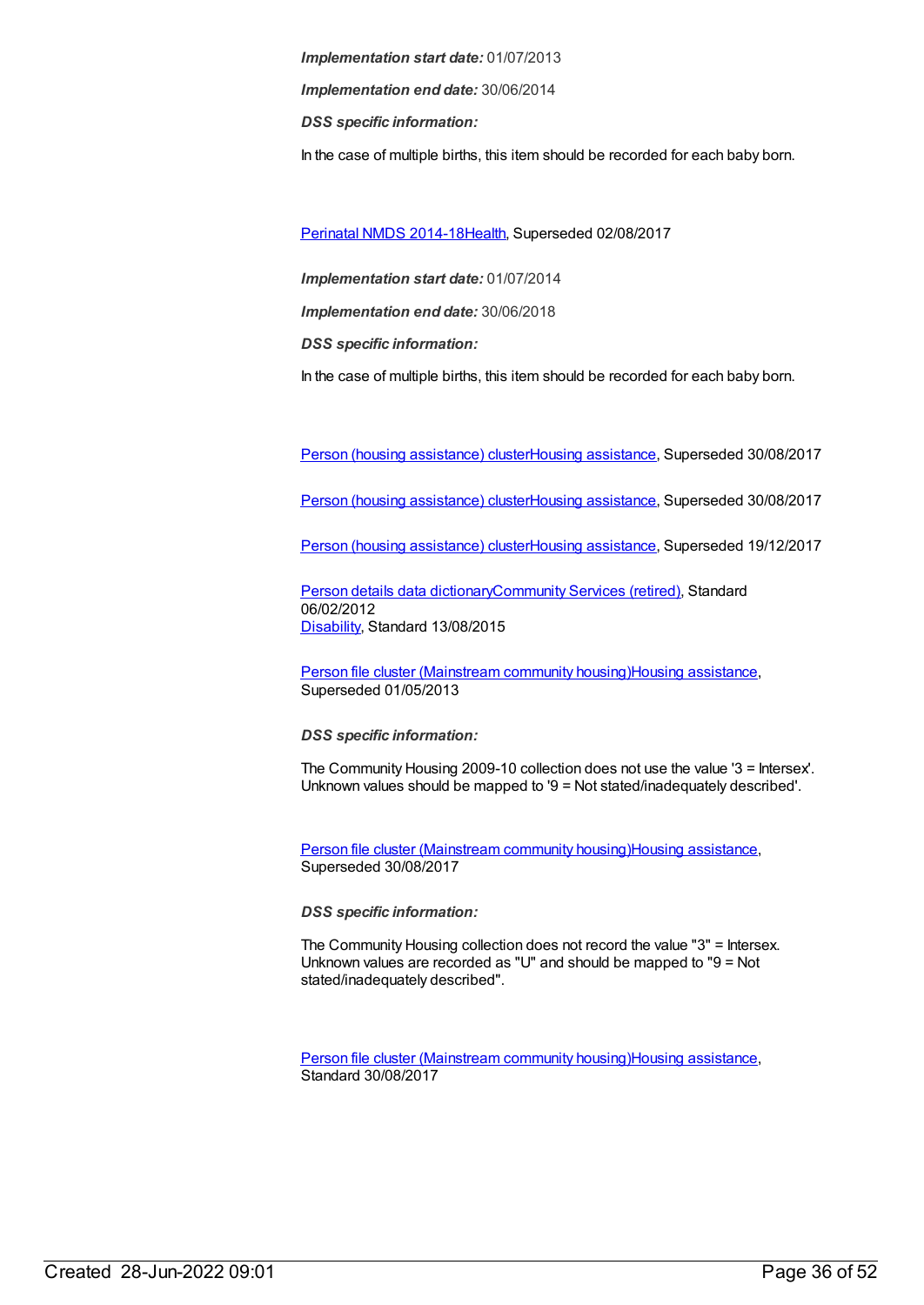*Implementation start date:* 01/07/2013 *Implementation end date:* 30/06/2014 *DSS specific information:* In the case of multiple births, this item should be recorded for each baby born.

[Perinatal](https://meteor.aihw.gov.au/content/517456) NMDS 2014-1[8Health](https://meteor.aihw.gov.au/RegistrationAuthority/12), Superseded 02/08/2017

*Implementation start date:* 01/07/2014

*Implementation end date:* 30/06/2018

*DSS specific information:*

In the case of multiple births, this item should be recorded for each baby born.

Person (housing [assistance\)](https://meteor.aihw.gov.au/content/459133) clusterHousing [assistance](https://meteor.aihw.gov.au/RegistrationAuthority/11), Superseded 30/08/2017

Person (housing [assistance\)](https://meteor.aihw.gov.au/content/605260) clusterHousing [assistance](https://meteor.aihw.gov.au/RegistrationAuthority/11), Superseded 30/08/2017

Person (housing [assistance\)](https://meteor.aihw.gov.au/content/635954) clusterHousing [assistance](https://meteor.aihw.gov.au/RegistrationAuthority/11), Superseded 19/12/2017

Person details data [dictionary](https://meteor.aihw.gov.au/content/430772)[Community](https://meteor.aihw.gov.au/RegistrationAuthority/1) Services (retired), Standard 06/02/2012 [Disability](https://meteor.aihw.gov.au/RegistrationAuthority/16), Standard 13/08/2015

Person file cluster [\(Mainstream](https://meteor.aihw.gov.au/content/463082) community housing)Housing [assistance](https://meteor.aihw.gov.au/RegistrationAuthority/11), Superseded 01/05/2013

#### *DSS specific information:*

The Community Housing 2009-10 collection does not use the value '3 = Intersex'. Unknown values should be mapped to '9 = Not stated/inadequately described'.

Person file cluster [\(Mainstream](https://meteor.aihw.gov.au/content/480125) community housing)Housing [assistance](https://meteor.aihw.gov.au/RegistrationAuthority/11), Superseded 30/08/2017

*DSS specific information:*

The Community Housing collection does not record the value "3" = Intersex. Unknown values are recorded as "U" and should be mapped to "9 = Not stated/inadequately described".

Person file cluster [\(Mainstream](https://meteor.aihw.gov.au/content/605348) community housing)Housing [assistance](https://meteor.aihw.gov.au/RegistrationAuthority/11), Standard 30/08/2017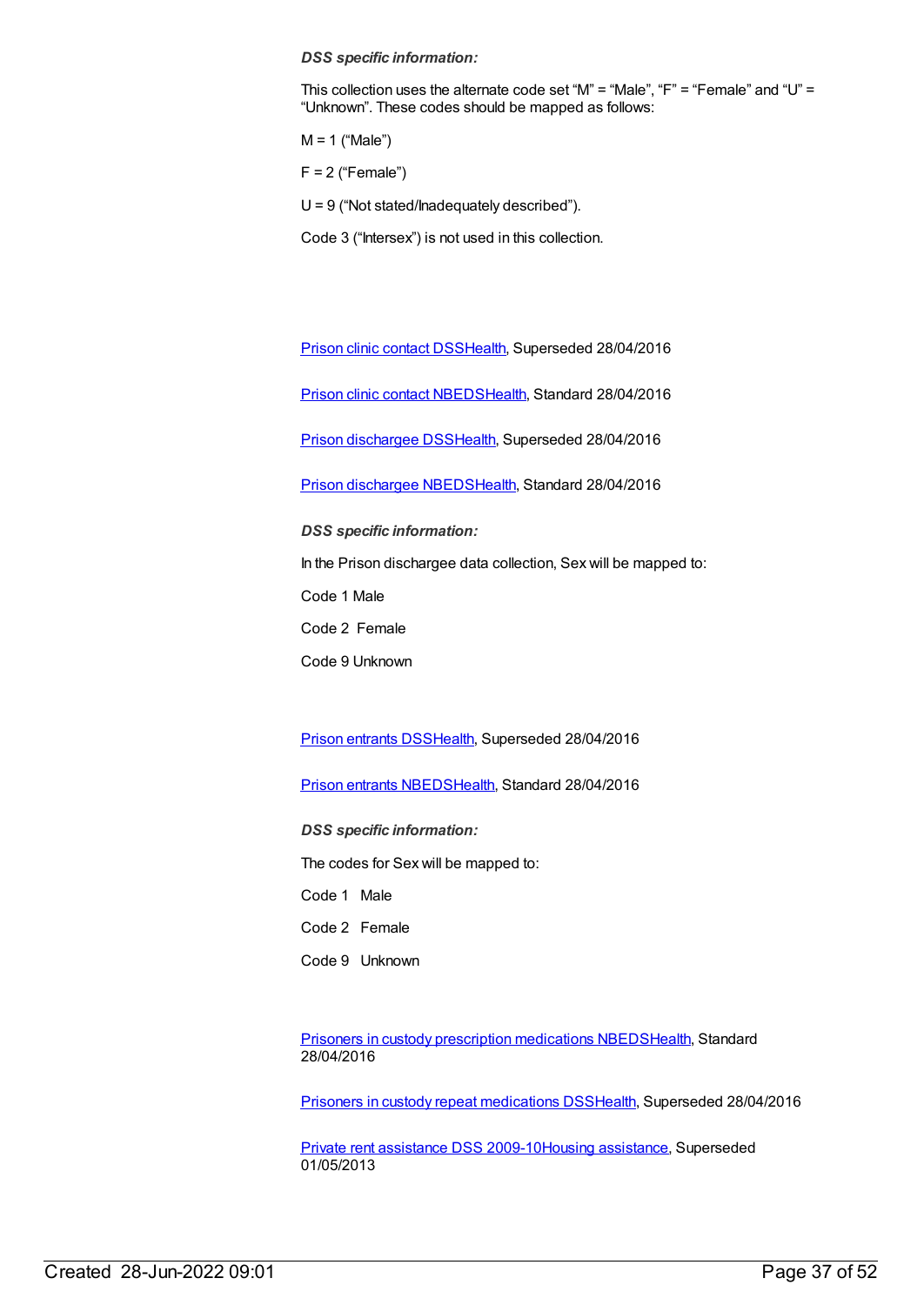#### *DSS specific information:*

This collection uses the alternate code set "M" = "Male", "F" = "Female" and "U" = "Unknown". These codes should be mapped as follows:

 $M = 1$  ("Male")

 $F = 2$  ("Female")

 $U = 9$  ("Not stated/lnadequately described").

Code 3 ("Intersex") is not used in this collection.

Prison clinic [contact](https://meteor.aihw.gov.au/content/396072) DS[SHealth](https://meteor.aihw.gov.au/RegistrationAuthority/12), Superseded 28/04/2016

Prison clinic contact [NBEDS](https://meteor.aihw.gov.au/content/482314)[Health](https://meteor.aihw.gov.au/RegistrationAuthority/12), Standard 28/04/2016

Prison [dischargee](https://meteor.aihw.gov.au/content/482303) DS[SHealth](https://meteor.aihw.gov.au/RegistrationAuthority/12), Superseded 28/04/2016

Prison [dischargee](https://meteor.aihw.gov.au/content/624543) NBED[SHealth](https://meteor.aihw.gov.au/RegistrationAuthority/12), Standard 28/04/2016

*DSS specific information:*

In the Prison dischargee data collection, Sex will be mapped to:

Code 1 Male

Code 2 Female

Code 9 Unknown

Prison [entrants](https://meteor.aihw.gov.au/content/395955) DS[SHealth](https://meteor.aihw.gov.au/RegistrationAuthority/12), Superseded 28/04/2016

Prison entrants [NBEDS](https://meteor.aihw.gov.au/content/482353)[Health,](https://meteor.aihw.gov.au/RegistrationAuthority/12) Standard 28/04/2016

*DSS specific information:*

The codes for Sex will be mapped to:

Code 1 Male

Code 2 Female

Code 9 Unknown

Prisoners in custody prescription [medications](https://meteor.aihw.gov.au/content/618258) NBED[SHealth](https://meteor.aihw.gov.au/RegistrationAuthority/12), Standard 28/04/2016

Prisoners in custody repeat [medications](https://meteor.aihw.gov.au/content/396074) DS[SHealth](https://meteor.aihw.gov.au/RegistrationAuthority/12), Superseded 28/04/2016

Private rent [assistance](https://meteor.aihw.gov.au/content/385238) DSS 2009-10Housing [assistance](https://meteor.aihw.gov.au/RegistrationAuthority/11), Superseded 01/05/2013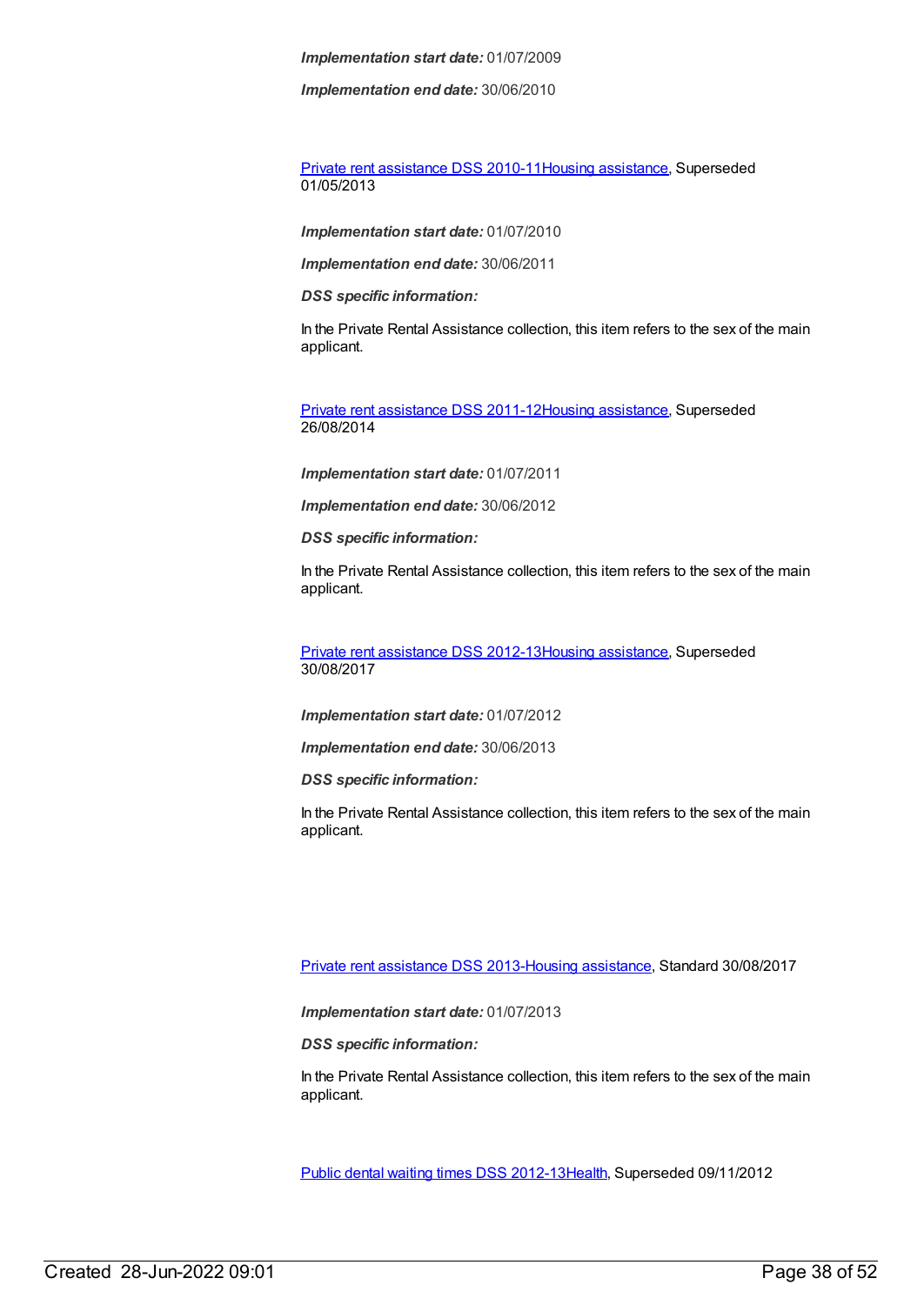*Implementation end date:* 30/06/2010

Private rent [assistance](https://meteor.aihw.gov.au/content/478801) DSS 2010-11Housing [assistance](https://meteor.aihw.gov.au/RegistrationAuthority/11), Superseded 01/05/2013

*Implementation start date:* 01/07/2010

*Implementation end date:* 30/06/2011

*DSS specific information:*

In the Private Rental Assistance collection, this item refers to the sex of the main applicant.

Private rent [assistance](https://meteor.aihw.gov.au/content/480492) DSS 2011-12Housing [assistance](https://meteor.aihw.gov.au/RegistrationAuthority/11), Superseded 26/08/2014

*Implementation start date:* 01/07/2011

*Implementation end date:* 30/06/2012

*DSS specific information:*

In the Private Rental Assistance collection, this item refers to the sex of the main applicant.

Private rent [assistance](https://meteor.aihw.gov.au/content/565255) DSS 2012-13Housing [assistance](https://meteor.aihw.gov.au/RegistrationAuthority/11), Superseded 30/08/2017

*Implementation start date:* 01/07/2012

*Implementation end date:* 30/06/2013

*DSS specific information:*

In the Private Rental Assistance collection, this item refers to the sex of the main applicant.

Private rent [assistance](https://meteor.aihw.gov.au/content/596529) DSS 2013-Housing [assistance](https://meteor.aihw.gov.au/RegistrationAuthority/11), Standard 30/08/2017

*Implementation start date:* 01/07/2013

*DSS specific information:*

In the Private Rental Assistance collection, this item refers to the sex of the main applicant.

Public dental waiting times DSS [2012-13](https://meteor.aihw.gov.au/content/424019)[Health](https://meteor.aihw.gov.au/RegistrationAuthority/12), Superseded 09/11/2012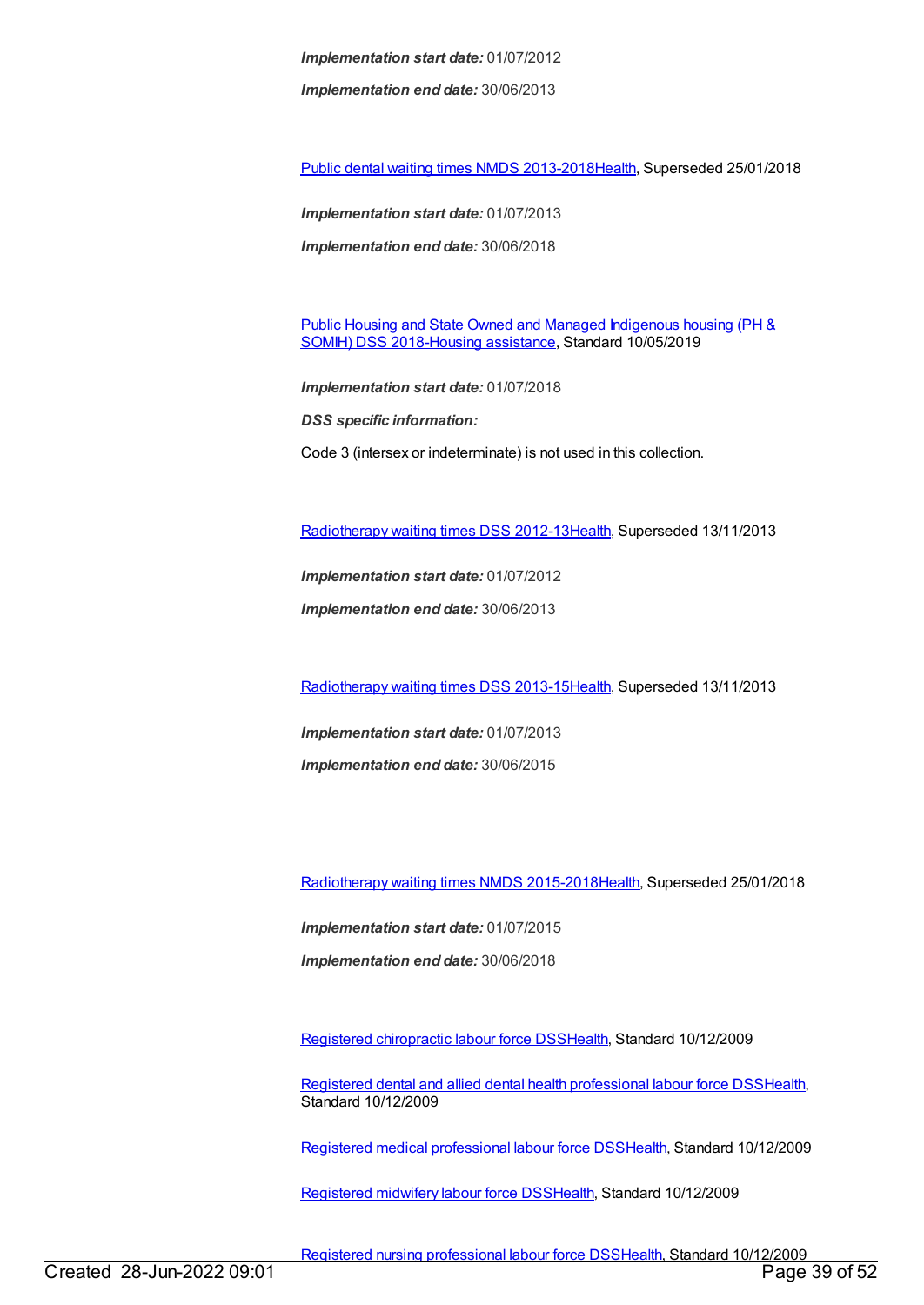*Implementation end date:* 30/06/2013

Public dental waiting times NMDS [2013-2018](https://meteor.aihw.gov.au/content/494562)[Health](https://meteor.aihw.gov.au/RegistrationAuthority/12), Superseded 25/01/2018

*Implementation start date:* 01/07/2013

*Implementation end date:* 30/06/2018

Public Housing and State Owned and Managed Indigenous housing (PH & SOMIH) DSS [2018-Housing](https://meteor.aihw.gov.au/content/711016) [assistance](https://meteor.aihw.gov.au/RegistrationAuthority/11), Standard 10/05/2019

*Implementation start date:* 01/07/2018

*DSS specific information:*

Code 3 (intersex or indeterminate) is not used in this collection.

[Radiotherapy](https://meteor.aihw.gov.au/content/447921) waiting times DSS 2012-13[Health](https://meteor.aihw.gov.au/RegistrationAuthority/12), Superseded 13/11/2013

*Implementation start date:* 01/07/2012

*Implementation end date:* 30/06/2013

[Radiotherapy](https://meteor.aihw.gov.au/content/517220) waiting times DSS 2013-15[Health](https://meteor.aihw.gov.au/RegistrationAuthority/12), Superseded 13/11/2013

*Implementation start date:* 01/07/2013

*Implementation end date:* 30/06/2015

[Radiotherapy](https://meteor.aihw.gov.au/content/579304) waiting times NMDS 2015-201[8Health](https://meteor.aihw.gov.au/RegistrationAuthority/12), Superseded 25/01/2018

*Implementation start date:* 01/07/2015

*Implementation end date:* 30/06/2018

Registered [chiropractic](https://meteor.aihw.gov.au/content/384097) labour force DS[SHealth](https://meteor.aihw.gov.au/RegistrationAuthority/12), Standard 10/12/2009

Registered dental and allied dental health [professional](https://meteor.aihw.gov.au/content/384102) labour force DSS[Health](https://meteor.aihw.gov.au/RegistrationAuthority/12), Standard 10/12/2009

Registered medical [professional](https://meteor.aihw.gov.au/content/375422) labour force DSS[Health](https://meteor.aihw.gov.au/RegistrationAuthority/12), Standard 10/12/2009

[Registered](https://meteor.aihw.gov.au/content/384118) midwifery labour force DS[SHealth](https://meteor.aihw.gov.au/RegistrationAuthority/12), Standard 10/12/2009

Registered nursing [professional](https://meteor.aihw.gov.au/content/384109) labour force DS[SHealth](https://meteor.aihw.gov.au/RegistrationAuthority/12), Standard 10/12/2009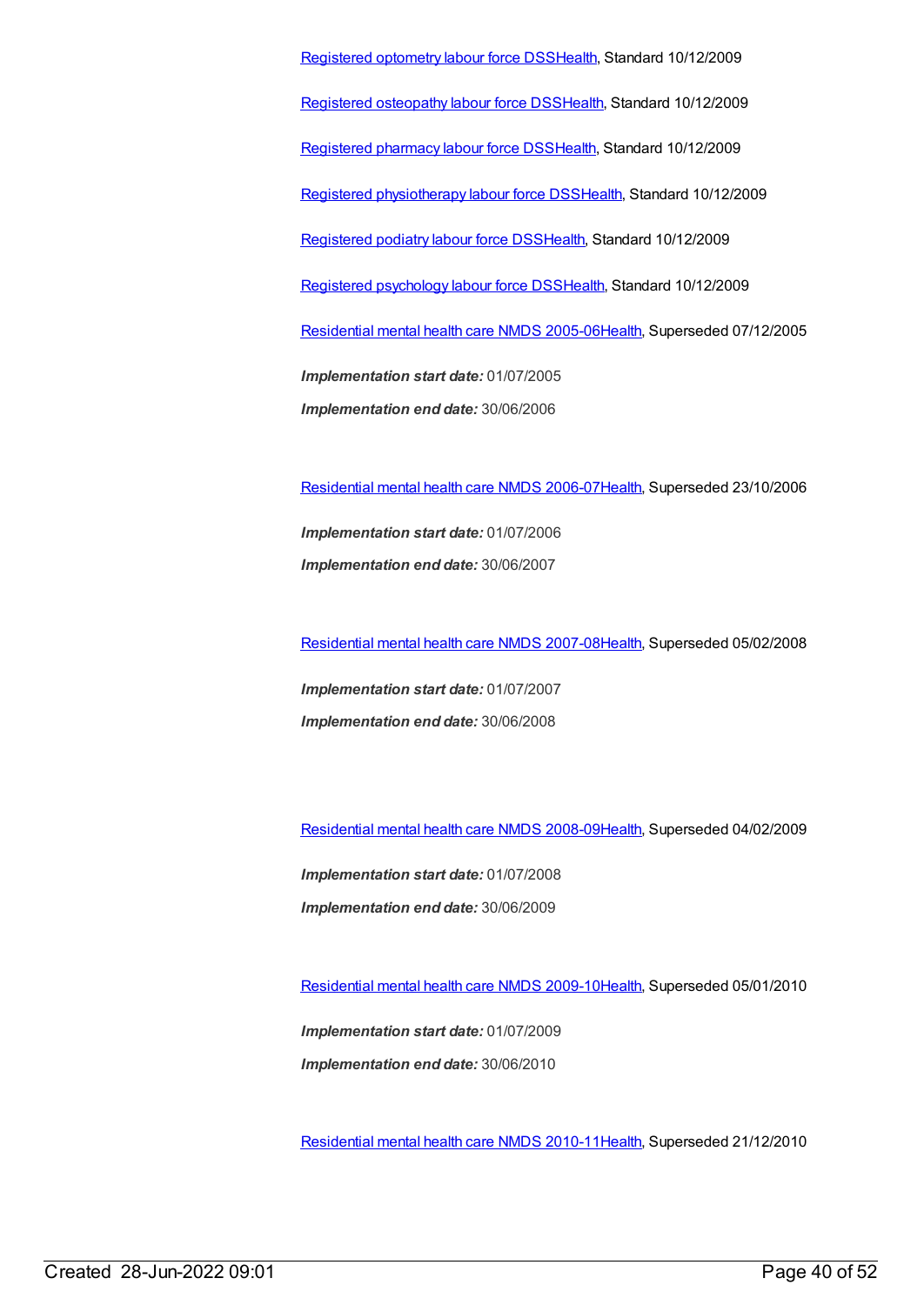[Registered](https://meteor.aihw.gov.au/content/384124) optometry labour force DS[SHealth,](https://meteor.aihw.gov.au/RegistrationAuthority/12) Standard 10/12/2009 Registered [osteopathy](https://meteor.aihw.gov.au/content/384128) labour force DS[SHealth](https://meteor.aihw.gov.au/RegistrationAuthority/12), Standard 10/12/2009 [Registered](https://meteor.aihw.gov.au/content/384152) pharmacy labour force DSS[Health](https://meteor.aihw.gov.au/RegistrationAuthority/12), Standard 10/12/2009 Registered [physiotherapy](https://meteor.aihw.gov.au/content/384162) labour force DS[SHealth](https://meteor.aihw.gov.au/RegistrationAuthority/12), Standard 10/12/2009 [Registered](https://meteor.aihw.gov.au/content/384166) podiatry labour force DS[SHealth](https://meteor.aihw.gov.au/RegistrationAuthority/12), Standard 10/12/2009 Registered [psychology](https://meteor.aihw.gov.au/content/384170) labour force DS[SHealth](https://meteor.aihw.gov.au/RegistrationAuthority/12), Standard 10/12/2009 [Residential](https://meteor.aihw.gov.au/content/273056) mental health care NMDS 2005-0[6Health](https://meteor.aihw.gov.au/RegistrationAuthority/12), Superseded 07/12/2005 *Implementation start date:* 01/07/2005 *Implementation end date:* 30/06/2006

[Residential](https://meteor.aihw.gov.au/content/334067) mental health care NMDS 2006-0[7Health](https://meteor.aihw.gov.au/RegistrationAuthority/12), Superseded 23/10/2006 *Implementation start date:* 01/07/2006 *Implementation end date:* 30/06/2007

[Residential](https://meteor.aihw.gov.au/content/345122) mental health care NMDS 2007-0[8Health](https://meteor.aihw.gov.au/RegistrationAuthority/12), Superseded 05/02/2008

*Implementation start date:* 01/07/2007 *Implementation end date:* 30/06/2008

[Residential](https://meteor.aihw.gov.au/content/362316) mental health care NMDS 2008-0[9Health](https://meteor.aihw.gov.au/RegistrationAuthority/12), Superseded 04/02/2009

*Implementation start date:* 01/07/2008 *Implementation end date:* 30/06/2009

[Residential](https://meteor.aihw.gov.au/content/374223) mental health care NMDS 2009-1[0Health](https://meteor.aihw.gov.au/RegistrationAuthority/12), Superseded 05/01/2010

*Implementation start date:* 01/07/2009 *Implementation end date:* 30/06/2010

[Residential](https://meteor.aihw.gov.au/content/386809) mental health care NMDS 2010-1[1Health](https://meteor.aihw.gov.au/RegistrationAuthority/12), Superseded 21/12/2010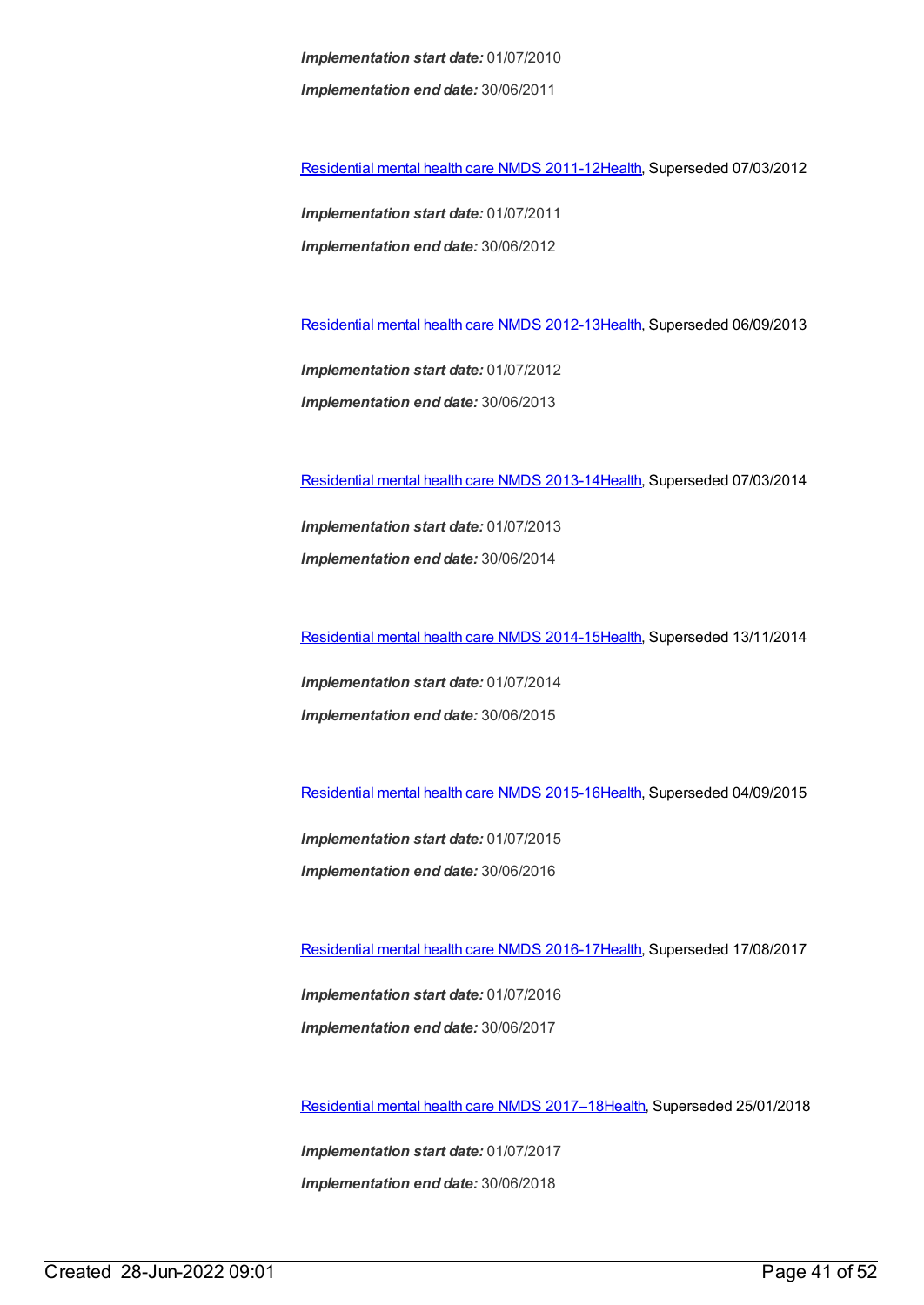*Implementation start date:* 01/07/2010 *Implementation end date:* 30/06/2011

[Residential](https://meteor.aihw.gov.au/content/426754) mental health care NMDS 2011-1[2Health](https://meteor.aihw.gov.au/RegistrationAuthority/12), Superseded 07/03/2012

*Implementation start date:* 01/07/2011 *Implementation end date:* 30/06/2012

[Residential](https://meteor.aihw.gov.au/content/468206) mental health care NMDS 2012-1[3Health](https://meteor.aihw.gov.au/RegistrationAuthority/12), Superseded 06/09/2013

*Implementation start date:* 01/07/2012 *Implementation end date:* 30/06/2013

[Residential](https://meteor.aihw.gov.au/content/539453) mental health care NMDS 2013-1[4Health](https://meteor.aihw.gov.au/RegistrationAuthority/12), Superseded 07/03/2014

*Implementation start date:* 01/07/2013 *Implementation end date:* 30/06/2014

[Residential](https://meteor.aihw.gov.au/content/525052) mental health care NMDS 2014-1[5Health](https://meteor.aihw.gov.au/RegistrationAuthority/12), Superseded 13/11/2014

*Implementation start date:* 01/07/2014 *Implementation end date:* 30/06/2015

[Residential](https://meteor.aihw.gov.au/content/565678) mental health care NMDS 2015-1[6Health](https://meteor.aihw.gov.au/RegistrationAuthority/12), Superseded 04/09/2015

*Implementation start date:* 01/07/2015 *Implementation end date:* 30/06/2016

[Residential](https://meteor.aihw.gov.au/content/608539) mental health care NMDS 2016-1[7Health](https://meteor.aihw.gov.au/RegistrationAuthority/12), Superseded 17/08/2017

*Implementation start date:* 01/07/2016 *Implementation end date:* 30/06/2017

[Residential](https://meteor.aihw.gov.au/content/645718) mental health care NMDS 2017–1[8Health](https://meteor.aihw.gov.au/RegistrationAuthority/12), Superseded 25/01/2018

*Implementation start date:* 01/07/2017 *Implementation end date:* 30/06/2018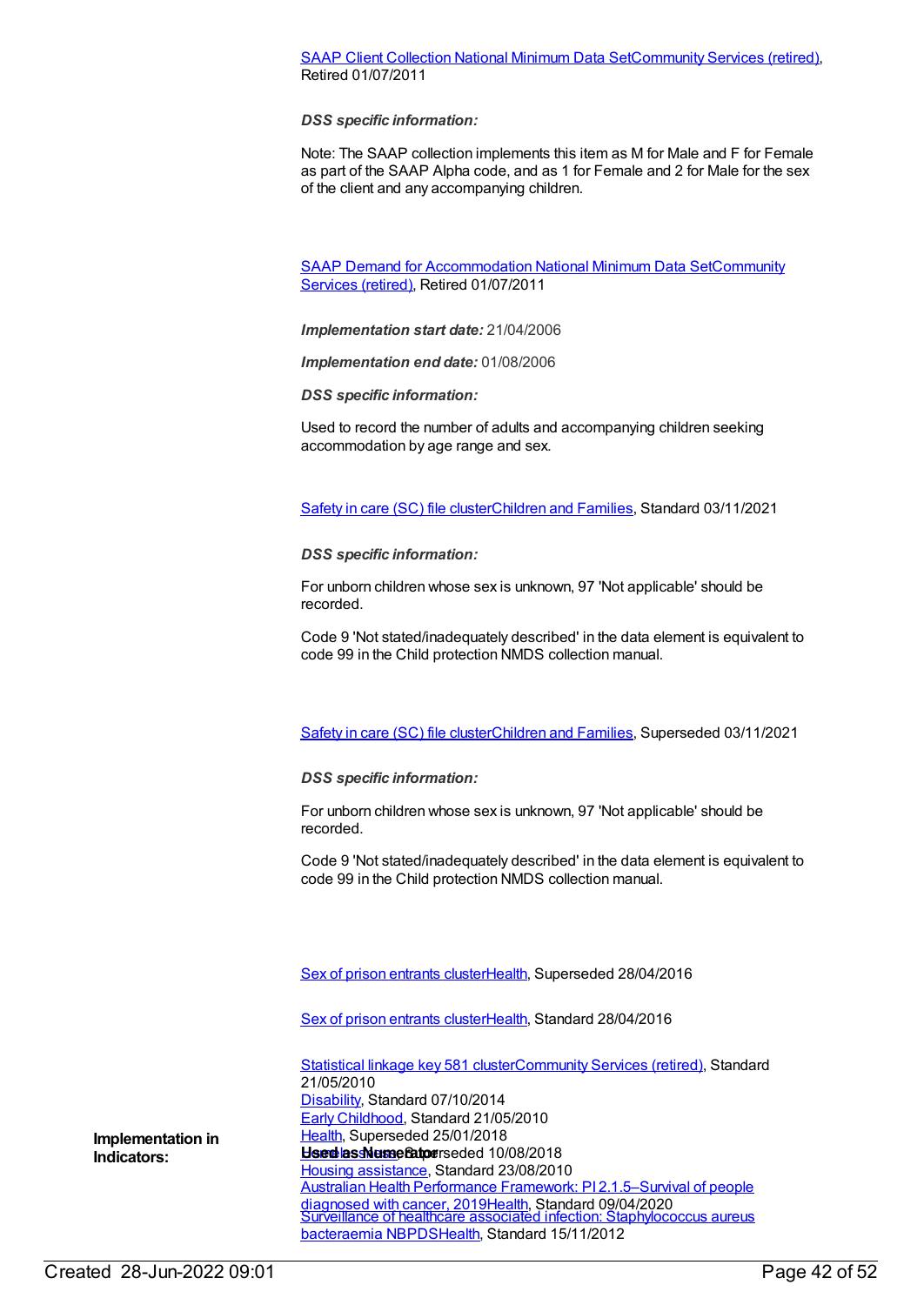#### SAAP Client [Collection](https://meteor.aihw.gov.au/content/339019) National Minimum Data Se[tCommunity](https://meteor.aihw.gov.au/RegistrationAuthority/1) Services (retired), Retired 01/07/2011

*DSS specific information:*

Note: The SAAP collection implements this item as M for Male and F for Female as part of the SAAP Alpha code, and as 1 for Female and 2 for Male for the sex of the client and any accompanying children.

SAAP Demand for [Accommodation](https://meteor.aihw.gov.au/RegistrationAuthority/1) National Minimum Data SetCommunity Services (retired), Retired 01/07/2011

*Implementation start date:* 21/04/2006

*Implementation end date:* 01/08/2006

*DSS specific information:*

Used to record the number of adults and accompanying children seeking accommodation by age range and sex.

[Safety](https://meteor.aihw.gov.au/content/748884) in care (SC) file cluste[rChildren](https://meteor.aihw.gov.au/RegistrationAuthority/17) and Families, Standard 03/11/2021

*DSS specific information:*

For unborn children whose sex is unknown, 97 'Not applicable' should be recorded.

Code 9 'Not stated/inadequately described' in the data element is equivalent to code 99 in the Child protection NMDS collection manual.

[Safety](https://meteor.aihw.gov.au/content/740182) in care (SC) file cluste[rChildren](https://meteor.aihw.gov.au/RegistrationAuthority/17) and Families, Superseded 03/11/2021

*DSS specific information:*

For unborn children whose sex is unknown, 97 'Not applicable' should be recorded.

Code 9 'Not stated/inadequately described' in the data element is equivalent to code 99 in the Child protection NMDS collection manual.

Sex of prison [entrants](https://meteor.aihw.gov.au/content/412252) cluster[Health,](https://meteor.aihw.gov.au/RegistrationAuthority/12) Superseded 28/04/2016

Sex of prison [entrants](https://meteor.aihw.gov.au/content/624298) cluster[Health,](https://meteor.aihw.gov.au/RegistrationAuthority/12) Standard 28/04/2016

[Statistical](https://meteor.aihw.gov.au/content/349510) linkage key 581 cluste[rCommunity](https://meteor.aihw.gov.au/RegistrationAuthority/1) Services (retired), Standard 21/05/2010 [Disability](https://meteor.aihw.gov.au/RegistrationAuthority/16), Standard 07/10/2014 Early [Childhood](https://meteor.aihw.gov.au/RegistrationAuthority/13), Standard 21/05/2010 [Health](https://meteor.aihw.gov.au/RegistrationAuthority/12), Superseded 25/01/2018 **Indicators: Used assignerators Exercises** Housing [assistance](https://meteor.aihw.gov.au/RegistrationAuthority/11), Standard 23/08/2010 diagnosed with cancer, 2019Health, Standard 09/04/2020<br>Surveillance of healthcare associated infection: [Staphylococcus](https://meteor.aihw.gov.au/content/391133) aureus bacteraemia NBPDS[Health](https://meteor.aihw.gov.au/RegistrationAuthority/12), Standard 15/11/2012 Australian Health Performance Framework: PI [2.1.5–Survival](https://meteor.aihw.gov.au/content/715188) of people

**Implementation in**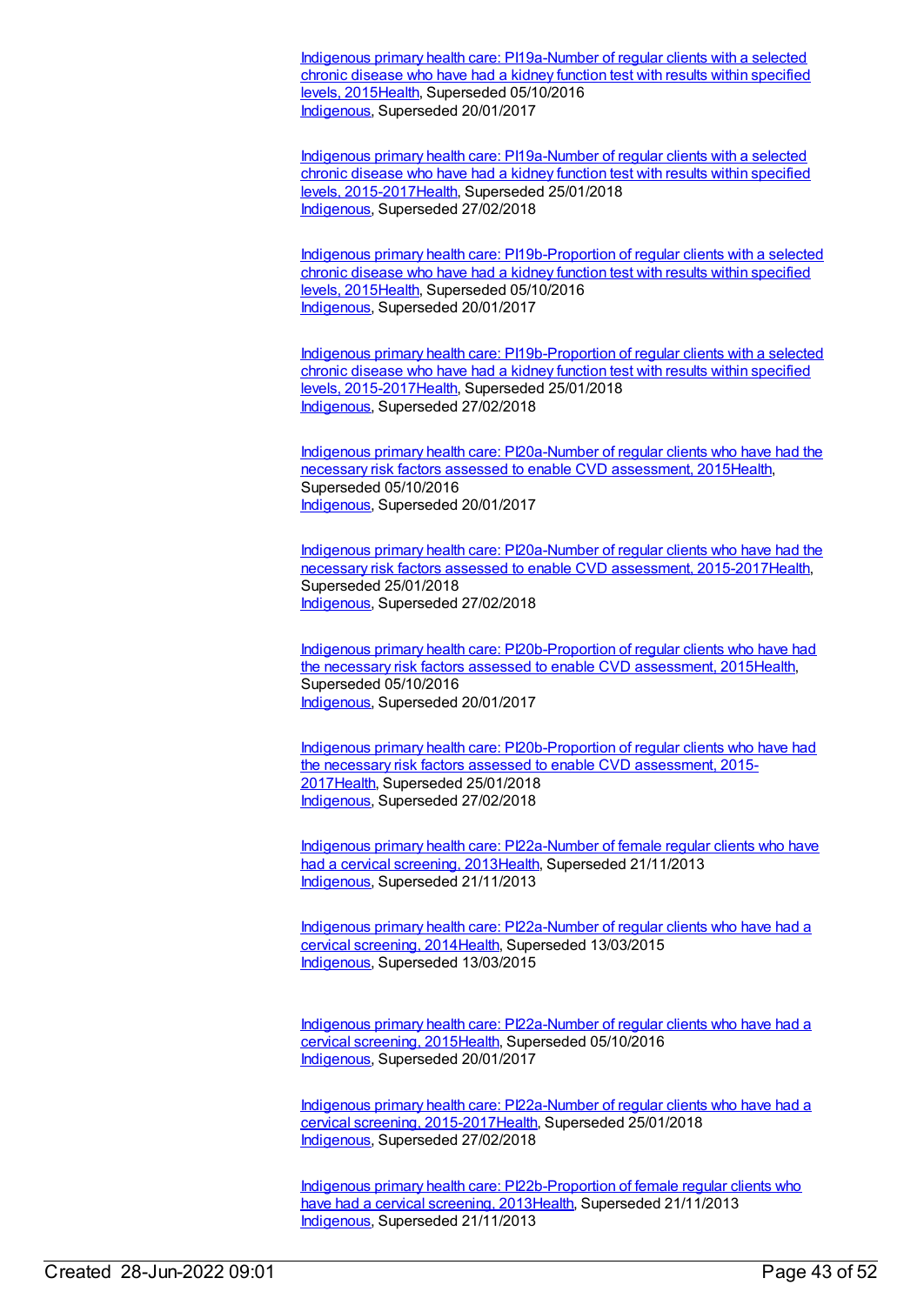Indigenous primary health care: [PI19a-Number](https://meteor.aihw.gov.au/content/594135) of regular clients with a selected chronic disease who have had a kidney function test with results within specified levels, 2015[Health](https://meteor.aihw.gov.au/RegistrationAuthority/12), Superseded 05/10/2016 [Indigenous](https://meteor.aihw.gov.au/RegistrationAuthority/6), Superseded 20/01/2017

Indigenous primary health care: PI19a-Number of regular clients with a selected chronic disease who have had a kidney function test with results within specified levels, [2015-2017Health,](https://meteor.aihw.gov.au/content/663973) Superseded 25/01/2018 [Indigenous](https://meteor.aihw.gov.au/RegistrationAuthority/6), Superseded 27/02/2018

Indigenous primary health care: [PI19b-Proportion](https://meteor.aihw.gov.au/content/594108) of regular clients with a selected chronic disease who have had a kidney function test with results within specified levels, 2015[Health](https://meteor.aihw.gov.au/RegistrationAuthority/12), Superseded 05/10/2016 [Indigenous](https://meteor.aihw.gov.au/RegistrationAuthority/6), Superseded 20/01/2017

Indigenous primary health care: [PI19b-Proportion](https://meteor.aihw.gov.au/content/663976) of regular clients with a selected chronic disease who have had a kidney function test with results within specified levels, 2015-201[7Health,](https://meteor.aihw.gov.au/RegistrationAuthority/12) Superseded 25/01/2018 [Indigenous](https://meteor.aihw.gov.au/RegistrationAuthority/6), Superseded 27/02/2018

Indigenous primary health care: [PI20a-Number](https://meteor.aihw.gov.au/content/591955) of regular clients who have had the necessary risk factors assessed to enable CVD assessment, 201[5Health](https://meteor.aihw.gov.au/RegistrationAuthority/12), Superseded 05/10/2016 [Indigenous](https://meteor.aihw.gov.au/RegistrationAuthority/6), Superseded 20/01/2017

Indigenous primary health care: PI20a-Number of regular clients who have had the necessary risk factors assessed to enable CVD assessment, [2015-2017Health,](https://meteor.aihw.gov.au/content/663882) Superseded 25/01/2018 [Indigenous](https://meteor.aihw.gov.au/RegistrationAuthority/6), Superseded 27/02/2018

Indigenous primary health care: [PI20b-Proportion](https://meteor.aihw.gov.au/content/588801) of regular clients who have had the necessary risk factors assessed to enable CVD assessment, 201[5Health](https://meteor.aihw.gov.au/RegistrationAuthority/12), Superseded 05/10/2016 [Indigenous](https://meteor.aihw.gov.au/RegistrationAuthority/6), Superseded 20/01/2017

Indigenous primary health care: [PI20b-Proportion](https://meteor.aihw.gov.au/content/663884) of regular clients who have had the necessary risk factors assessed to enable CVD assessment, 2015- 201[7Health](https://meteor.aihw.gov.au/RegistrationAuthority/12), Superseded 25/01/2018 [Indigenous](https://meteor.aihw.gov.au/RegistrationAuthority/6), Superseded 27/02/2018

Indigenous primary health care: [PI22a-Number](https://meteor.aihw.gov.au/content/438211) of female regular clients who have had a cervical screening, 201[3Health](https://meteor.aihw.gov.au/RegistrationAuthority/12), Superseded 21/11/2013 [Indigenous](https://meteor.aihw.gov.au/RegistrationAuthority/6), Superseded 21/11/2013

Indigenous primary health care: [PI22a-Number](https://meteor.aihw.gov.au/content/504790) of regular clients who have had a cervical screening, 2014[Health,](https://meteor.aihw.gov.au/RegistrationAuthority/12) Superseded 13/03/2015 [Indigenous](https://meteor.aihw.gov.au/RegistrationAuthority/6), Superseded 13/03/2015

Indigenous primary health care: [PI22a-Number](https://meteor.aihw.gov.au/content/589075) of regular clients who have had a cervical screening, 2015[Health,](https://meteor.aihw.gov.au/RegistrationAuthority/12) Superseded 05/10/2016 [Indigenous](https://meteor.aihw.gov.au/RegistrationAuthority/6), Superseded 20/01/2017

Indigenous primary health care: PI22a-Number of regular clients who have had a cervical screening, [2015-2017Health,](https://meteor.aihw.gov.au/content/663982) Superseded 25/01/2018 [Indigenous](https://meteor.aihw.gov.au/RegistrationAuthority/6), Superseded 27/02/2018

Indigenous primary health care: [PI22b-Proportion](https://meteor.aihw.gov.au/content/438215) of female regular clients who have had a cervical screening, 2013[Health,](https://meteor.aihw.gov.au/RegistrationAuthority/12) Superseded 21/11/2013 [Indigenous](https://meteor.aihw.gov.au/RegistrationAuthority/6), Superseded 21/11/2013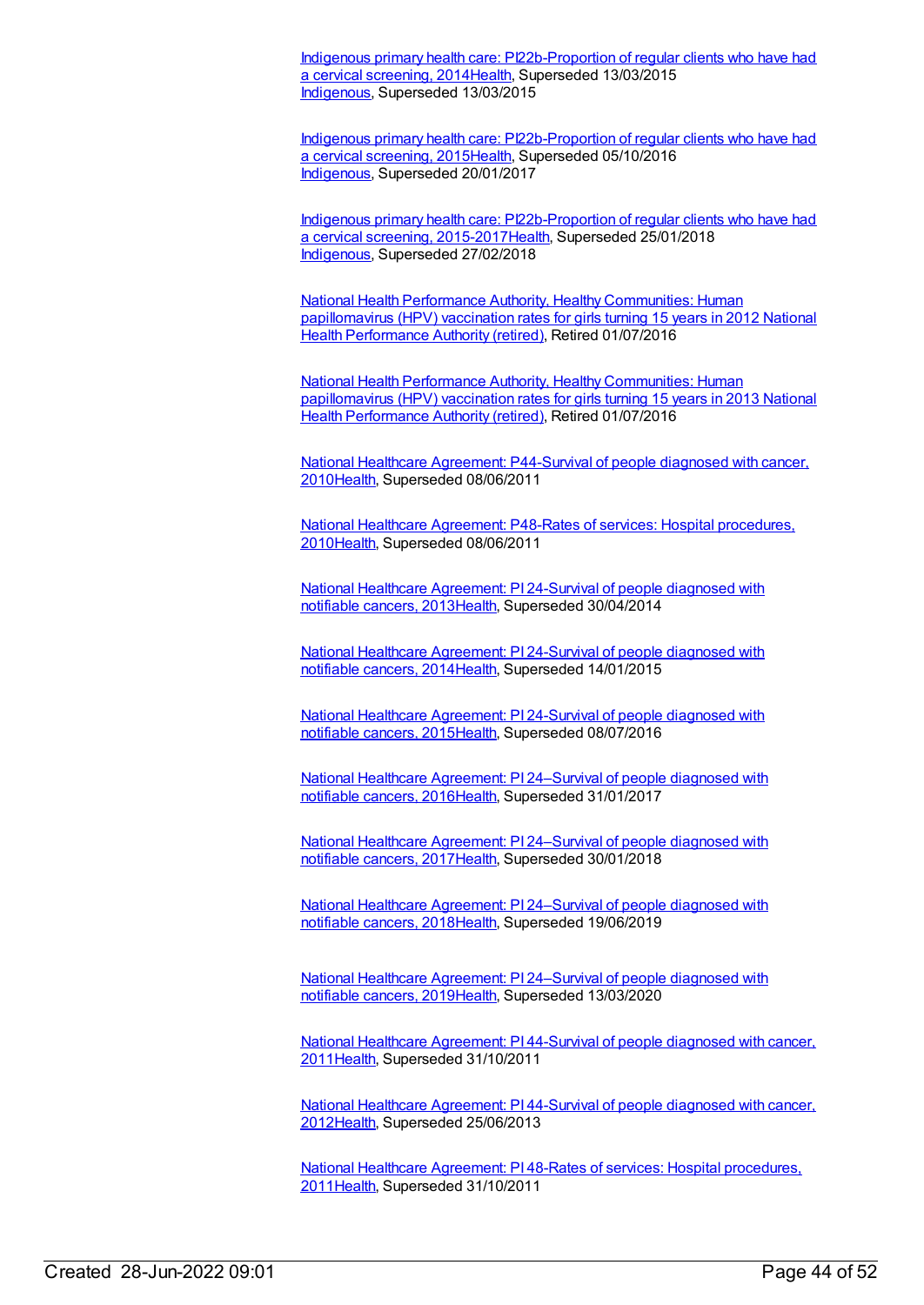Indigenous primary health care: [PI22b-Proportion](https://meteor.aihw.gov.au/content/504793) of regular clients who have had a cervical screening, 201[4Health](https://meteor.aihw.gov.au/RegistrationAuthority/12), Superseded 13/03/2015 [Indigenous](https://meteor.aihw.gov.au/RegistrationAuthority/6), Superseded 13/03/2015

Indigenous primary health care: [PI22b-Proportion](https://meteor.aihw.gov.au/content/589077) of regular clients who have had a cervical screening, 201[5Health](https://meteor.aihw.gov.au/RegistrationAuthority/12), Superseded 05/10/2016 [Indigenous](https://meteor.aihw.gov.au/RegistrationAuthority/6), Superseded 20/01/2017

Indigenous primary health care: [PI22b-Proportion](https://meteor.aihw.gov.au/content/663984) of regular clients who have had a cervical screening, 2015-2017[Health](https://meteor.aihw.gov.au/RegistrationAuthority/12), Superseded 25/01/2018 [Indigenous](https://meteor.aihw.gov.au/RegistrationAuthority/6), Superseded 27/02/2018

National Health Performance Authority, Healthy [Communities:](https://meteor.aihw.gov.au/content/564385) Human [papillomavirus](https://meteor.aihw.gov.au/RegistrationAuthority/8) (HPV) vaccination rates for girls turning 15 years in 2012 National Health Performance Authority (retired), Retired 01/07/2016

National Health Performance Authority, Healthy [Communities:](https://meteor.aihw.gov.au/content/611806) Human [papillomavirus](https://meteor.aihw.gov.au/RegistrationAuthority/8) (HPV) vaccination rates for girls turning 15 years in 2013 National Health Performance Authority (retired), Retired 01/07/2016

National Healthcare Agreement: [P44-Survival](https://meteor.aihw.gov.au/content/395085) of people diagnosed with cancer, 201[0Health](https://meteor.aihw.gov.au/RegistrationAuthority/12), Superseded 08/06/2011

National Healthcare Agreement: P48-Rates of services: Hospital [procedures,](https://meteor.aihw.gov.au/content/395095) 201[0Health](https://meteor.aihw.gov.au/RegistrationAuthority/12), Superseded 08/06/2011

National Healthcare [Agreement:](https://meteor.aihw.gov.au/content/497121) PI 24-Survival of people diagnosed with notifiable cancers, 201[3Health](https://meteor.aihw.gov.au/RegistrationAuthority/12), Superseded 30/04/2014

National Healthcare [Agreement:](https://meteor.aihw.gov.au/content/517632) PI 24-Survival of people diagnosed with notifiable cancers, 201[4Health](https://meteor.aihw.gov.au/RegistrationAuthority/12), Superseded 14/01/2015

National Healthcare [Agreement:](https://meteor.aihw.gov.au/content/559018) PI 24-Survival of people diagnosed with notifiable cancers, 201[5Health](https://meteor.aihw.gov.au/RegistrationAuthority/12), Superseded 08/07/2016

National Healthcare Agreement: PI [24–Survival](https://meteor.aihw.gov.au/content/598730) of people diagnosed with notifiable cancers, 201[6Health](https://meteor.aihw.gov.au/RegistrationAuthority/12), Superseded 31/01/2017

National Healthcare Agreement: PI [24–Survival](https://meteor.aihw.gov.au/content/630051) of people diagnosed with notifiable cancers, 201[7Health](https://meteor.aihw.gov.au/RegistrationAuthority/12), Superseded 30/01/2018

National Healthcare Agreement: PI [24–Survival](https://meteor.aihw.gov.au/content/658483) of people diagnosed with notifiable cancers, 201[8Health](https://meteor.aihw.gov.au/RegistrationAuthority/12), Superseded 19/06/2019

National Healthcare Agreement: PI [24–Survival](https://meteor.aihw.gov.au/content/698888) of people diagnosed with notifiable cancers, 201[9Health](https://meteor.aihw.gov.au/RegistrationAuthority/12), Superseded 13/03/2020

National Healthcare [Agreement:](https://meteor.aihw.gov.au/content/421604) PI 44-Survival of people diagnosed with cancer, 201[1Health](https://meteor.aihw.gov.au/RegistrationAuthority/12), Superseded 31/10/2011

National Healthcare [Agreement:](https://meteor.aihw.gov.au/content/435870) PI 44-Survival of people diagnosed with cancer, 201[2Health](https://meteor.aihw.gov.au/RegistrationAuthority/12), Superseded 25/06/2013

National Healthcare [Agreement:](https://meteor.aihw.gov.au/content/421596) PI 48-Rates of services: Hospital procedures, 201[1Health](https://meteor.aihw.gov.au/RegistrationAuthority/12), Superseded 31/10/2011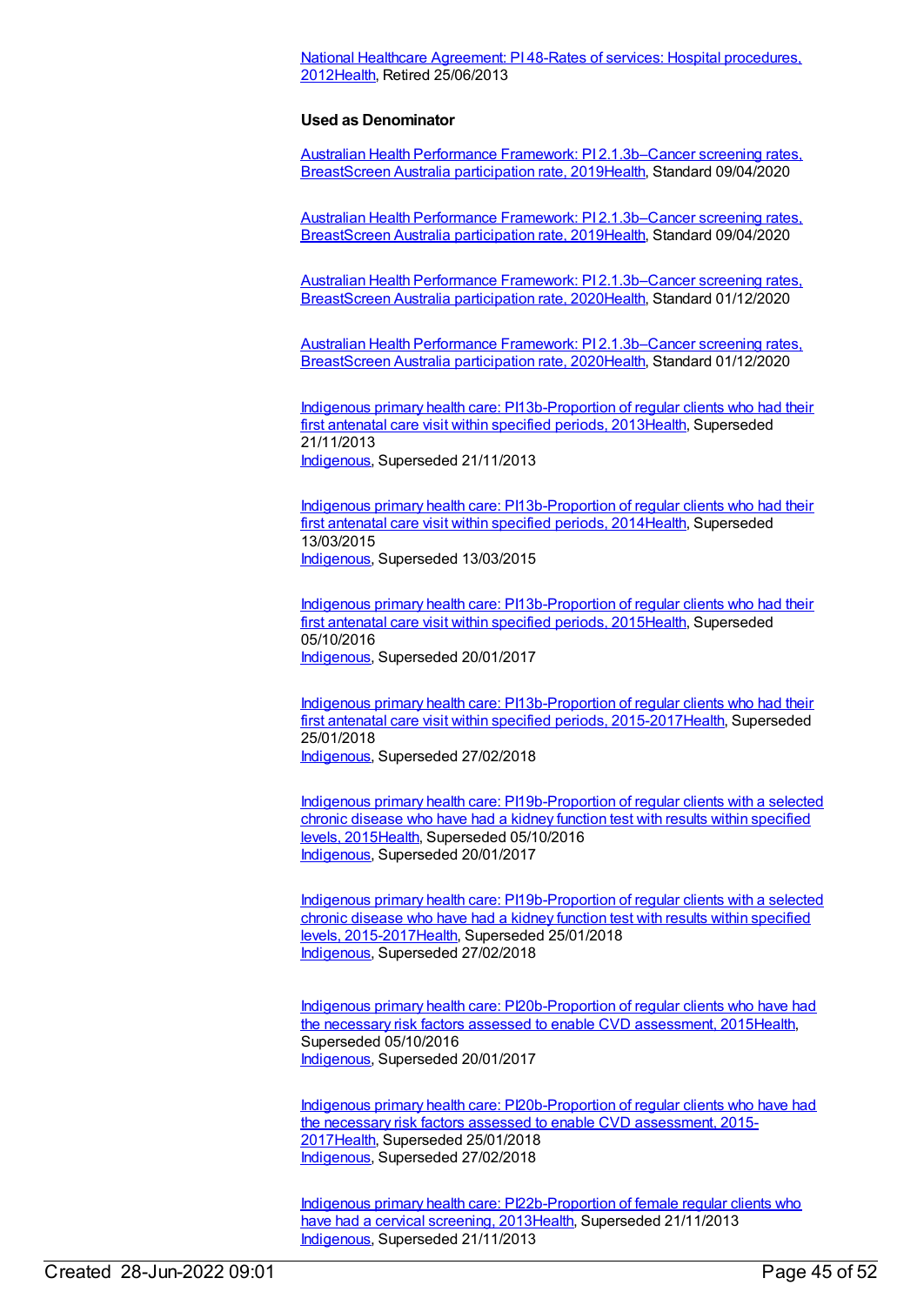#### National Healthcare [Agreement:](https://meteor.aihw.gov.au/content/444872) PI 48-Rates of services: Hospital procedures, 201[2Health](https://meteor.aihw.gov.au/RegistrationAuthority/12), Retired 25/06/2013

#### **Used as Denominator**

Australian Health Performance Framework: PI [2.1.3b–Cancer](https://meteor.aihw.gov.au/content/723531) screening rates, BreastScreen Australia participation rate, 201[9Health](https://meteor.aihw.gov.au/RegistrationAuthority/12), Standard 09/04/2020

Australian Health Performance Framework: PI [2.1.3b–Cancer](https://meteor.aihw.gov.au/content/723531) screening rates, BreastScreen Australia participation rate, 201[9Health](https://meteor.aihw.gov.au/RegistrationAuthority/12), Standard 09/04/2020

Australian Health Performance Framework: PI [2.1.3b–Cancer](https://meteor.aihw.gov.au/content/728329) screening rates, BreastScreen Australia participation rate, 202[0Health](https://meteor.aihw.gov.au/RegistrationAuthority/12), Standard 01/12/2020

Australian Health Performance Framework: PI [2.1.3b–Cancer](https://meteor.aihw.gov.au/content/728329) screening rates, BreastScreen Australia participation rate, 202[0Health](https://meteor.aihw.gov.au/RegistrationAuthority/12), Standard 01/12/2020

Indigenous primary health care: [PI13b-Proportion](https://meteor.aihw.gov.au/content/438089) of regular clients who had their first antenatal care visit within specified periods, 201[3Health](https://meteor.aihw.gov.au/RegistrationAuthority/12), Superseded 21/11/2013 [Indigenous](https://meteor.aihw.gov.au/RegistrationAuthority/6), Superseded 21/11/2013

Indigenous primary health care: [PI13b-Proportion](https://meteor.aihw.gov.au/content/504733) of regular clients who had their first antenatal care visit within specified periods, 201[4Health](https://meteor.aihw.gov.au/RegistrationAuthority/12), Superseded 13/03/2015 [Indigenous](https://meteor.aihw.gov.au/RegistrationAuthority/6), Superseded 13/03/2015

Indigenous primary health care: [PI13b-Proportion](https://meteor.aihw.gov.au/content/589049) of regular clients who had their first antenatal care visit within specified periods, 201[5Health](https://meteor.aihw.gov.au/RegistrationAuthority/12), Superseded 05/10/2016 [Indigenous](https://meteor.aihw.gov.au/RegistrationAuthority/6), Superseded 20/01/2017

Indigenous primary health care: [PI13b-Proportion](https://meteor.aihw.gov.au/content/663951) of regular clients who had their first antenatal care visit within specified periods, 2015-201[7Health](https://meteor.aihw.gov.au/RegistrationAuthority/12), Superseded 25/01/2018 [Indigenous](https://meteor.aihw.gov.au/RegistrationAuthority/6), Superseded 27/02/2018

Indigenous primary health care: [PI19b-Proportion](https://meteor.aihw.gov.au/content/594108) of regular clients with a selected chronic disease who have had a kidney function test with results within specified levels, 2015[Health](https://meteor.aihw.gov.au/RegistrationAuthority/12), Superseded 05/10/2016 [Indigenous](https://meteor.aihw.gov.au/RegistrationAuthority/6), Superseded 20/01/2017

Indigenous primary health care: [PI19b-Proportion](https://meteor.aihw.gov.au/content/663976) of regular clients with a selected chronic disease who have had a kidney function test with results within specified levels, 2015-201[7Health,](https://meteor.aihw.gov.au/RegistrationAuthority/12) Superseded 25/01/2018 [Indigenous](https://meteor.aihw.gov.au/RegistrationAuthority/6), Superseded 27/02/2018

Indigenous primary health care: [PI20b-Proportion](https://meteor.aihw.gov.au/content/588801) of regular clients who have had the necessary risk factors assessed to enable CVD assessment, 201[5Health](https://meteor.aihw.gov.au/RegistrationAuthority/12), Superseded 05/10/2016 [Indigenous](https://meteor.aihw.gov.au/RegistrationAuthority/6), Superseded 20/01/2017

Indigenous primary health care: [PI20b-Proportion](https://meteor.aihw.gov.au/content/663884) of regular clients who have had the necessary risk factors assessed to enable CVD assessment, 2015- 201[7Health](https://meteor.aihw.gov.au/RegistrationAuthority/12), Superseded 25/01/2018 [Indigenous](https://meteor.aihw.gov.au/RegistrationAuthority/6), Superseded 27/02/2018

Indigenous primary health care: [PI22b-Proportion](https://meteor.aihw.gov.au/content/438215) of female regular clients who have had a cervical screening, 2013[Health,](https://meteor.aihw.gov.au/RegistrationAuthority/12) Superseded 21/11/2013 [Indigenous](https://meteor.aihw.gov.au/RegistrationAuthority/6), Superseded 21/11/2013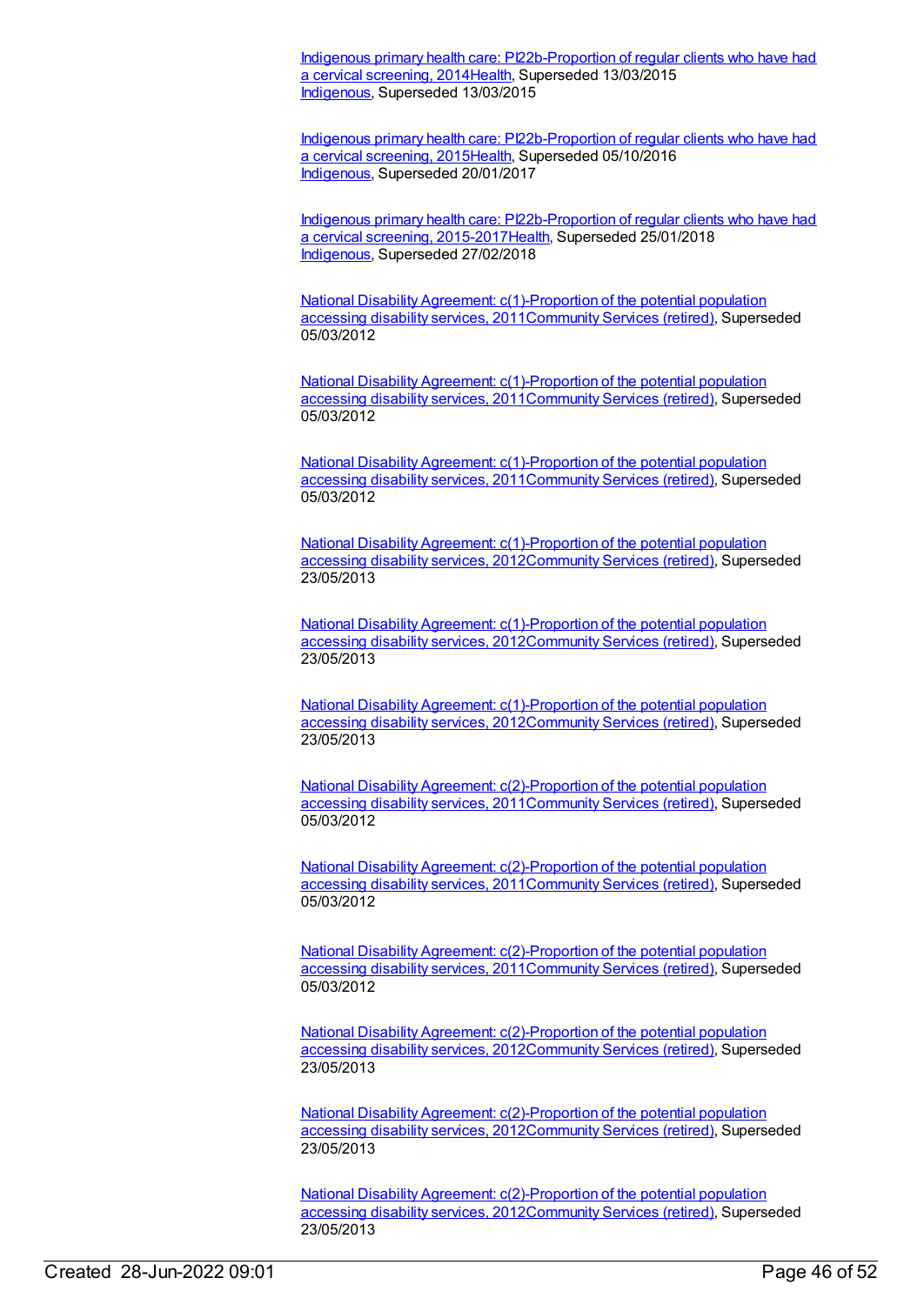Indigenous primary health care: [PI22b-Proportion](https://meteor.aihw.gov.au/content/504793) of regular clients who have had a cervical screening, 201[4Health](https://meteor.aihw.gov.au/RegistrationAuthority/12), Superseded 13/03/2015 [Indigenous](https://meteor.aihw.gov.au/RegistrationAuthority/6), Superseded 13/03/2015

Indigenous primary health care: [PI22b-Proportion](https://meteor.aihw.gov.au/content/589077) of regular clients who have had a cervical screening, 201[5Health](https://meteor.aihw.gov.au/RegistrationAuthority/12), Superseded 05/10/2016 [Indigenous](https://meteor.aihw.gov.au/RegistrationAuthority/6), Superseded 20/01/2017

Indigenous primary health care: [PI22b-Proportion](https://meteor.aihw.gov.au/content/663984) of regular clients who have had a cervical screening, 2015-2017[Health](https://meteor.aihw.gov.au/RegistrationAuthority/12), Superseded 25/01/2018 [Indigenous](https://meteor.aihw.gov.au/RegistrationAuthority/6), Superseded 27/02/2018

National Disability Agreement: [c\(1\)-Proportion](https://meteor.aihw.gov.au/content/428740) of the potential population accessing disability services, 201[1Community](https://meteor.aihw.gov.au/RegistrationAuthority/1) Services (retired), Superseded 05/03/2012

National Disability Agreement: [c\(1\)-Proportion](https://meteor.aihw.gov.au/content/428740) of the potential population accessing disability services, 201[1Community](https://meteor.aihw.gov.au/RegistrationAuthority/1) Services (retired), Superseded 05/03/2012

National Disability Agreement: [c\(1\)-Proportion](https://meteor.aihw.gov.au/content/428740) of the potential population accessing disability services, 201[1Community](https://meteor.aihw.gov.au/RegistrationAuthority/1) Services (retired), Superseded 05/03/2012

National Disability Agreement: [c\(1\)-Proportion](https://meteor.aihw.gov.au/content/467916) of the potential population accessing disability services, 201[2Community](https://meteor.aihw.gov.au/RegistrationAuthority/1) Services (retired), Superseded 23/05/2013

National Disability Agreement: [c\(1\)-Proportion](https://meteor.aihw.gov.au/content/467916) of the potential population accessing disability services, 201[2Community](https://meteor.aihw.gov.au/RegistrationAuthority/1) Services (retired), Superseded 23/05/2013

National Disability Agreement: [c\(1\)-Proportion](https://meteor.aihw.gov.au/content/467916) of the potential population accessing disability services, 201[2Community](https://meteor.aihw.gov.au/RegistrationAuthority/1) Services (retired), Superseded 23/05/2013

National Disability Agreement: [c\(2\)-Proportion](https://meteor.aihw.gov.au/content/446909) of the potential population accessing disability services, 201[1Community](https://meteor.aihw.gov.au/RegistrationAuthority/1) Services (retired), Superseded 05/03/2012

National Disability Agreement: [c\(2\)-Proportion](https://meteor.aihw.gov.au/content/446909) of the potential population accessing disability services, 201[1Community](https://meteor.aihw.gov.au/RegistrationAuthority/1) Services (retired), Superseded 05/03/2012

National Disability Agreement: [c\(2\)-Proportion](https://meteor.aihw.gov.au/content/446909) of the potential population accessing disability services, 201[1Community](https://meteor.aihw.gov.au/RegistrationAuthority/1) Services (retired), Superseded 05/03/2012

National Disability Agreement: [c\(2\)-Proportion](https://meteor.aihw.gov.au/content/467932) of the potential population accessing disability services, 201[2Community](https://meteor.aihw.gov.au/RegistrationAuthority/1) Services (retired), Superseded 23/05/2013

National Disability Agreement: [c\(2\)-Proportion](https://meteor.aihw.gov.au/content/467932) of the potential population accessing disability services, 201[2Community](https://meteor.aihw.gov.au/RegistrationAuthority/1) Services (retired), Superseded 23/05/2013

National Disability Agreement: [c\(2\)-Proportion](https://meteor.aihw.gov.au/content/467932) of the potential population accessing disability services, 201[2Community](https://meteor.aihw.gov.au/RegistrationAuthority/1) Services (retired), Superseded 23/05/2013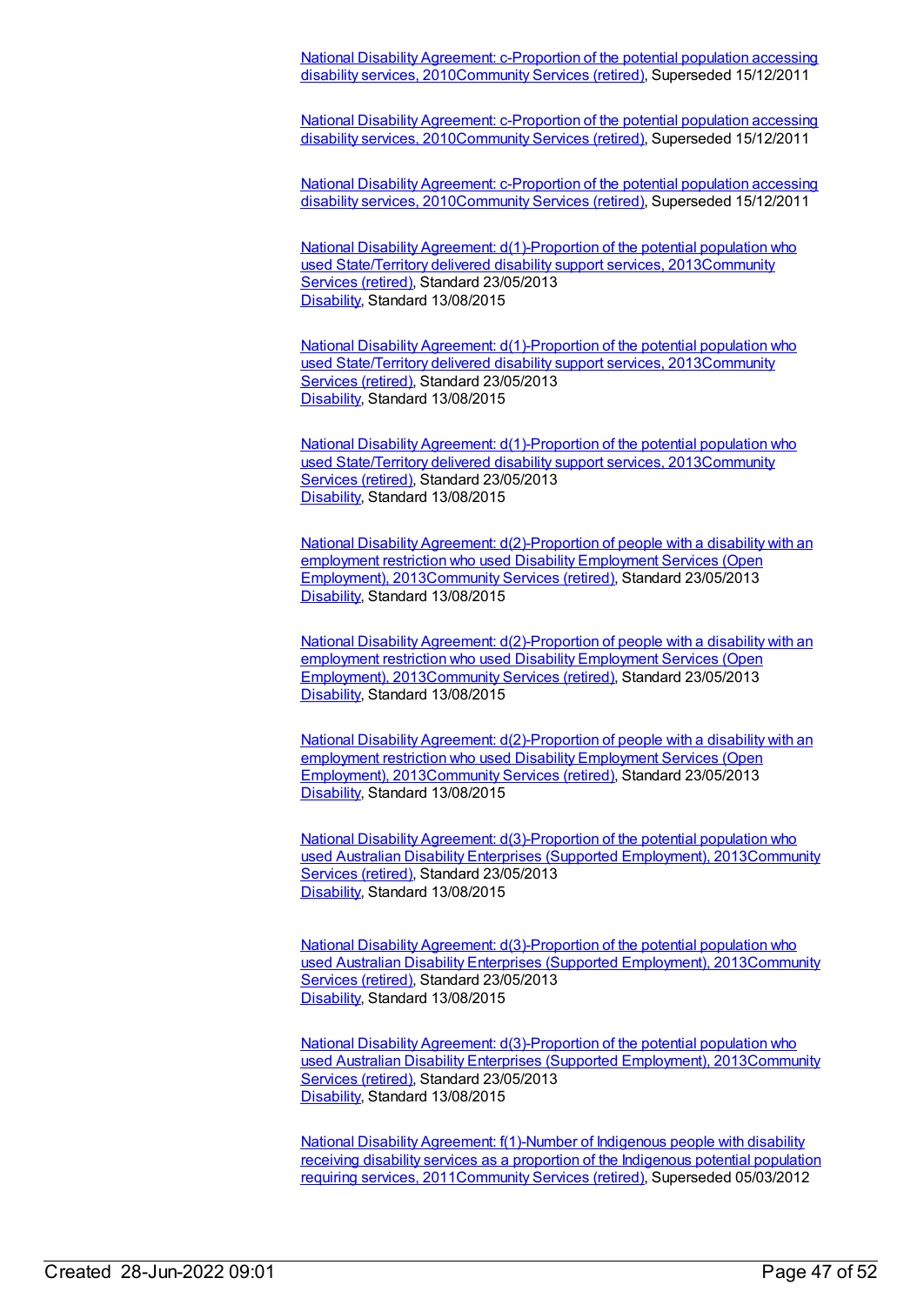National Disability Agreement: c-Proportion of the potential population accessing disability services, [2010Community](https://meteor.aihw.gov.au/content/393880) Services (retired), Superseded 15/12/2011

National Disability Agreement: c-Proportion of the potential population accessing disability services, [2010Community](https://meteor.aihw.gov.au/content/393880) Services (retired), Superseded 15/12/2011

National Disability Agreement: c-Proportion of the potential population accessing disability services, [2010](https://meteor.aihw.gov.au/content/393880)[Community](https://meteor.aihw.gov.au/RegistrationAuthority/1) Services (retired), Superseded 15/12/2011

National Disability Agreement: d(1)-Proportion of the potential population who used State/Territory delivered disability support services, [2013Communit](https://meteor.aihw.gov.au/RegistrationAuthority/1)[y](https://meteor.aihw.gov.au/content/491941) Services (retired), Standard 23/05/2013 [Disability](https://meteor.aihw.gov.au/RegistrationAuthority/16), Standard 13/08/2015

National Disability Agreement: [d\(1\)-Proportion](https://meteor.aihw.gov.au/content/491941) of the potential population who used State/Territory delivered disability support services, [2013Community](https://meteor.aihw.gov.au/RegistrationAuthority/1) Services (retired), Standard 23/05/2013 [Disability](https://meteor.aihw.gov.au/RegistrationAuthority/16), Standard 13/08/2015

National Disability Agreement: [d\(1\)-Proportion](https://meteor.aihw.gov.au/content/491941) of the potential population who used State/Territory delivered disability support services, [2013Community](https://meteor.aihw.gov.au/RegistrationAuthority/1) Services (retired), Standard 23/05/2013 [Disability](https://meteor.aihw.gov.au/RegistrationAuthority/16), Standard 13/08/2015

National Disability Agreement: [d\(2\)-Proportion](https://meteor.aihw.gov.au/content/515199) of people with a disability with an employment restriction who used Disability Employment Services (Open Employment), 201[3Community](https://meteor.aihw.gov.au/RegistrationAuthority/1) Services (retired), Standard 23/05/2013 [Disability](https://meteor.aihw.gov.au/RegistrationAuthority/16), Standard 13/08/2015

National Disability Agreement: [d\(2\)-Proportion](https://meteor.aihw.gov.au/content/515199) of people with a disability with an employment restriction who used Disability Employment Services (Open Employment), 201[3Community](https://meteor.aihw.gov.au/RegistrationAuthority/1) Services (retired), Standard 23/05/2013 [Disability](https://meteor.aihw.gov.au/RegistrationAuthority/16), Standard 13/08/2015

National Disability Agreement: [d\(2\)-Proportion](https://meteor.aihw.gov.au/content/515199) of people with a disability with an employment restriction who used Disability Employment Services (Open Employment), 201[3Community](https://meteor.aihw.gov.au/RegistrationAuthority/1) Services (retired), Standard 23/05/2013 [Disability](https://meteor.aihw.gov.au/RegistrationAuthority/16), Standard 13/08/2015

National Disability Agreement: [d\(3\)-Proportion](https://meteor.aihw.gov.au/content/517326) of the potential population who used Australian Disability Enterprises (Supported Employment), [2013Community](https://meteor.aihw.gov.au/RegistrationAuthority/1) Services (retired), Standard 23/05/2013 [Disability](https://meteor.aihw.gov.au/RegistrationAuthority/16), Standard 13/08/2015

National Disability Agreement: [d\(3\)-Proportion](https://meteor.aihw.gov.au/content/517326) of the potential population who used Australian Disability Enterprises (Supported Employment), [2013Community](https://meteor.aihw.gov.au/RegistrationAuthority/1) Services (retired), Standard 23/05/2013 [Disability](https://meteor.aihw.gov.au/RegistrationAuthority/16), Standard 13/08/2015

National Disability Agreement: [d\(3\)-Proportion](https://meteor.aihw.gov.au/content/517326) of the potential population who used Australian Disability Enterprises (Supported Employment), [2013Community](https://meteor.aihw.gov.au/RegistrationAuthority/1) Services (retired), Standard 23/05/2013 [Disability](https://meteor.aihw.gov.au/RegistrationAuthority/16), Standard 13/08/2015

National Disability Agreement: f(1)-Number of Indigenous people with disability receiving disability services as a proportion of the Indigenous potential population requiring services, [2011Community](https://meteor.aihw.gov.au/content/428753) Services (retired), Superseded 05/03/2012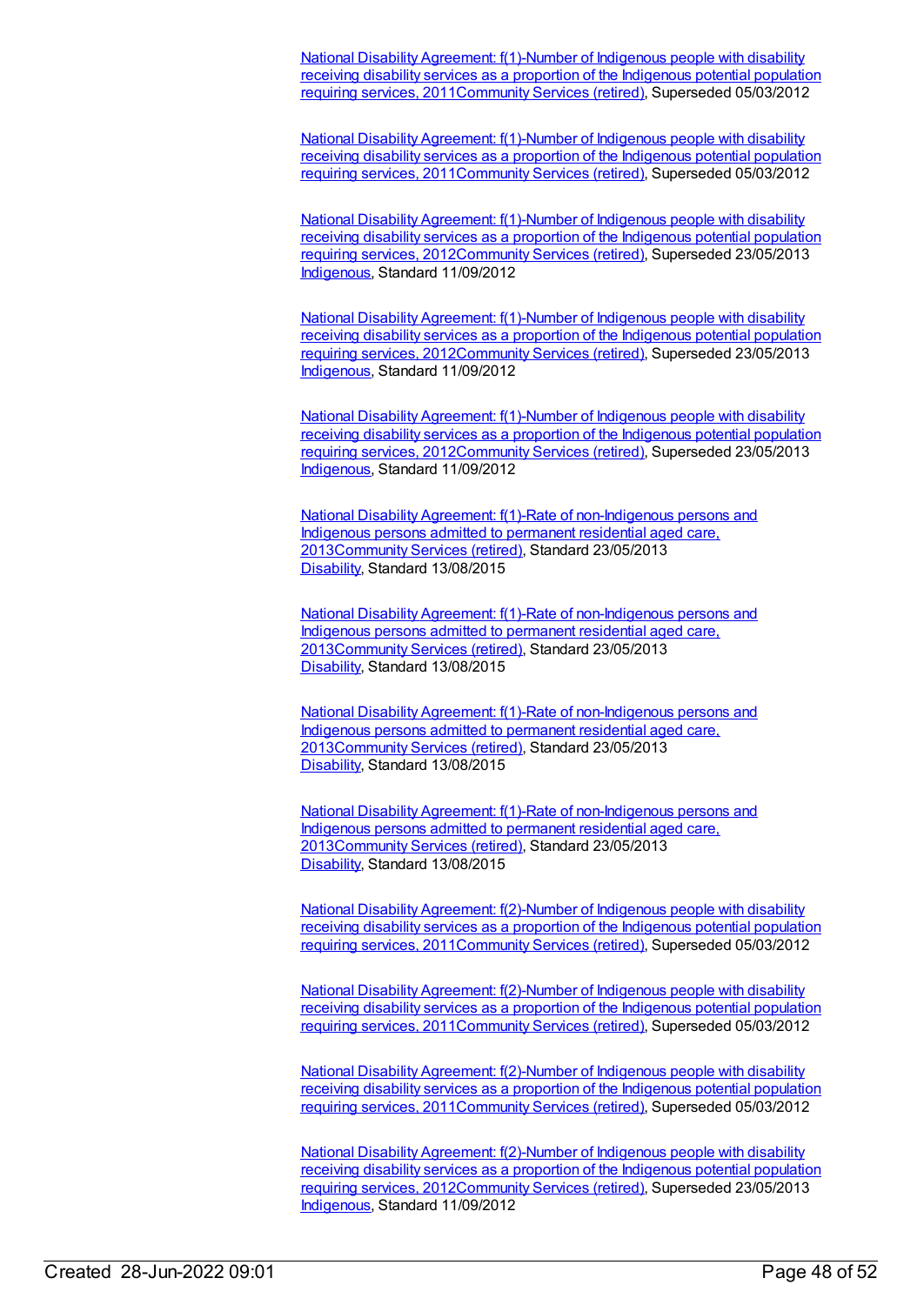National Disability Agreement: f(1)-Number of Indigenous people with disability receiving disability services as a proportion of the Indigenous potential population requiring services, [2011Community](https://meteor.aihw.gov.au/content/428753) Services (retired), Superseded 05/03/2012

National Disability Agreement: f(1)-Number of Indigenous people with disability receiving disability services as a proportion of the Indigenous potential population requiring services, [2011](https://meteor.aihw.gov.au/content/428753)[Community](https://meteor.aihw.gov.au/RegistrationAuthority/1) Services (retired), Superseded 05/03/2012

National Disability Agreement: f(1)-Number of Indigenous people with disability receiving disability services as a proportion of the Indigenous potential population requiring services, [2012Community](https://meteor.aihw.gov.au/content/467943) Services (retired), Superseded 23/05/2013 [Indigenous](https://meteor.aihw.gov.au/RegistrationAuthority/6), Standard 11/09/2012

National Disability Agreement: f(1)-Number of Indigenous people with disability receiving disability services as a proportion of the Indigenous potential population requiring services, [2012Community](https://meteor.aihw.gov.au/content/467943) Services (retired), Superseded 23/05/2013 [Indigenous](https://meteor.aihw.gov.au/RegistrationAuthority/6), Standard 11/09/2012

National Disability Agreement: f(1)-Number of Indigenous people with disability receiving disability services as a proportion of the Indigenous potential population requiring services, [2012Community](https://meteor.aihw.gov.au/content/467943) Services (retired), Superseded 23/05/2013 [Indigenous](https://meteor.aihw.gov.au/RegistrationAuthority/6), Standard 11/09/2012

National Disability Agreement: f(1)-Rate of [non-Indigenous](https://meteor.aihw.gov.au/content/491949) persons and Indigenous persons admitted to permanent residential aged care, 201[3Community](https://meteor.aihw.gov.au/RegistrationAuthority/1) Services (retired), Standard 23/05/2013 [Disability](https://meteor.aihw.gov.au/RegistrationAuthority/16), Standard 13/08/2015

National Disability Agreement: f(1)-Rate of [non-Indigenous](https://meteor.aihw.gov.au/content/491949) persons and Indigenous persons admitted to permanent residential aged care, 201[3Community](https://meteor.aihw.gov.au/RegistrationAuthority/1) Services (retired), Standard 23/05/2013 [Disability](https://meteor.aihw.gov.au/RegistrationAuthority/16), Standard 13/08/2015

National Disability Agreement: f(1)-Rate of [non-Indigenous](https://meteor.aihw.gov.au/content/491949) persons and Indigenous persons admitted to permanent residential aged care, 201[3Community](https://meteor.aihw.gov.au/RegistrationAuthority/1) Services (retired), Standard 23/05/2013 [Disability](https://meteor.aihw.gov.au/RegistrationAuthority/16), Standard 13/08/2015

National Disability Agreement: f(1)-Rate of [non-Indigenous](https://meteor.aihw.gov.au/content/491949) persons and Indigenous persons admitted to permanent residential aged care, 201[3Community](https://meteor.aihw.gov.au/RegistrationAuthority/1) Services (retired), Standard 23/05/2013 [Disability](https://meteor.aihw.gov.au/RegistrationAuthority/16), Standard 13/08/2015

National Disability Agreement: f(2)-Number of Indigenous people with disability receiving disability services as a proportion of the Indigenous potential population requiring services, [2011Community](https://meteor.aihw.gov.au/content/447040) Services (retired), Superseded 05/03/2012

National Disability Agreement: f(2)-Number of Indigenous people with disability receiving disability services as a proportion of the Indigenous potential population requiring services, [2011](https://meteor.aihw.gov.au/content/447040)[Community](https://meteor.aihw.gov.au/RegistrationAuthority/1) Services (retired), Superseded 05/03/2012

National Disability Agreement: f(2)-Number of Indigenous people with disability receiving disability services as a proportion of the Indigenous potential population requiring services, [2011Community](https://meteor.aihw.gov.au/content/447040) Services (retired), Superseded 05/03/2012

National Disability Agreement: f(2)-Number of Indigenous people with disability receiving disability services as a proportion of the Indigenous potential population requiring services, [2012](https://meteor.aihw.gov.au/content/467946)[Community](https://meteor.aihw.gov.au/RegistrationAuthority/1) Services (retired), Superseded 23/05/2013 [Indigenous](https://meteor.aihw.gov.au/RegistrationAuthority/6), Standard 11/09/2012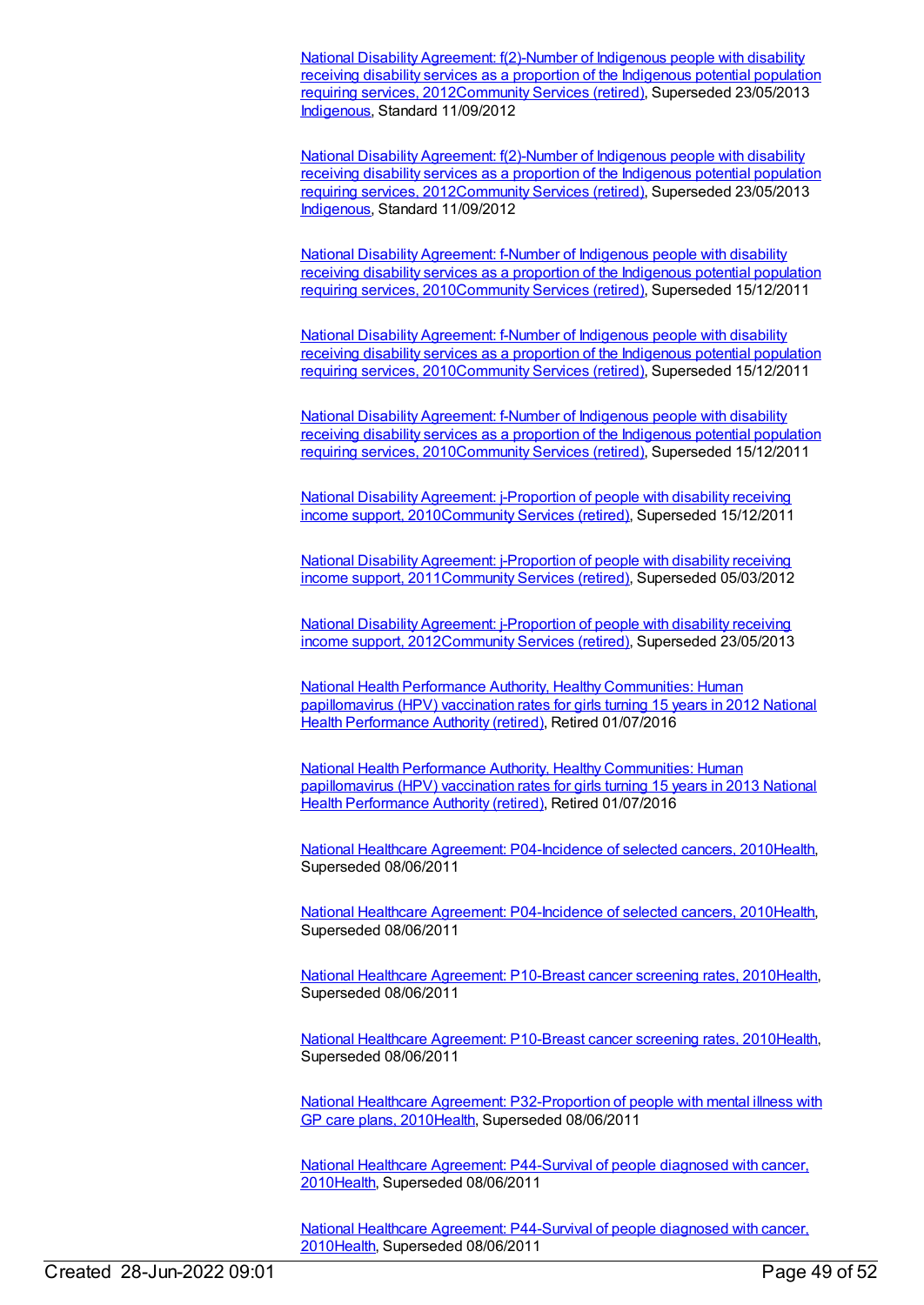National Disability Agreement: f(2)-Number of Indigenous people with disability receiving disability services as a proportion of the Indigenous potential population requiring services, [2012Community](https://meteor.aihw.gov.au/content/467946) Services (retired), Superseded 23/05/2013 [Indigenous](https://meteor.aihw.gov.au/RegistrationAuthority/6), Standard 11/09/2012

National Disability Agreement: f(2)-Number of Indigenous people with disability receiving disability services as a proportion of the Indigenous potential population requiring services, [2012Community](https://meteor.aihw.gov.au/content/467946) Services (retired), Superseded 23/05/2013 [Indigenous](https://meteor.aihw.gov.au/RegistrationAuthority/6), Standard 11/09/2012

National Disability Agreement: f-Number of Indigenous people with disability receiving disability services as a proportion of the Indigenous potential population requiring services, [2010](https://meteor.aihw.gov.au/content/393990)[Community](https://meteor.aihw.gov.au/RegistrationAuthority/1) Services (retired), Superseded 15/12/2011

National Disability Agreement: f-Number of Indigenous people with disability receiving disability services as a proportion of the Indigenous potential population requiring services, [2010Community](https://meteor.aihw.gov.au/content/393990) Services (retired), Superseded 15/12/2011

National Disability Agreement: f-Number of Indigenous people with disability receiving disability services as a proportion of the Indigenous potential population requiring services, [2010Community](https://meteor.aihw.gov.au/content/393990) Services (retired), Superseded 15/12/2011

National Disability Agreement: j-Proportion of people with disability receiving income support, [2010Community](https://meteor.aihw.gov.au/content/394078) Services (retired), Superseded 15/12/2011

National Disability Agreement: j-Proportion of people with disability receiving income support, [2011](https://meteor.aihw.gov.au/content/428761)[Community](https://meteor.aihw.gov.au/RegistrationAuthority/1) Services (retired), Superseded 05/03/2012

National Disability Agreement: j-Proportion of people with disability receiving income support, [2012Community](https://meteor.aihw.gov.au/content/467954) Services (retired), Superseded 23/05/2013

National Health Performance Authority, Healthy [Communities:](https://meteor.aihw.gov.au/content/564385) Human [papillomavirus](https://meteor.aihw.gov.au/RegistrationAuthority/8) (HPV) vaccination rates for girls turning 15 years in 2012 National Health Performance Authority (retired), Retired 01/07/2016

National Health Performance Authority, Healthy [Communities:](https://meteor.aihw.gov.au/content/611806) Human [papillomavirus](https://meteor.aihw.gov.au/RegistrationAuthority/8) (HPV) vaccination rates for girls turning 15 years in 2013 National Health Performance Authority (retired), Retired 01/07/2016

National Healthcare Agreement: [P04-Incidence](https://meteor.aihw.gov.au/content/393532) of selected cancers, 2010[Health](https://meteor.aihw.gov.au/RegistrationAuthority/12), Superseded 08/06/2011

National Healthcare Agreement: [P04-Incidence](https://meteor.aihw.gov.au/content/393532) of selected cancers, 2010[Health](https://meteor.aihw.gov.au/RegistrationAuthority/12), Superseded 08/06/2011

National Healthcare [Agreement:](https://meteor.aihw.gov.au/content/394267) P10-Breast cancer screening rates, 201[0Health](https://meteor.aihw.gov.au/RegistrationAuthority/12), Superseded 08/06/2011

National Healthcare [Agreement:](https://meteor.aihw.gov.au/content/394267) P10-Breast cancer screening rates, 201[0Health](https://meteor.aihw.gov.au/RegistrationAuthority/12), Superseded 08/06/2011

National Healthcare Agreement: [P32-Proportion](https://meteor.aihw.gov.au/content/394996) of people with mental illness with GP care plans, 2010[Health](https://meteor.aihw.gov.au/RegistrationAuthority/12), Superseded 08/06/2011

National Healthcare Agreement: [P44-Survival](https://meteor.aihw.gov.au/content/395085) of people diagnosed with cancer, 201[0Health](https://meteor.aihw.gov.au/RegistrationAuthority/12), Superseded 08/06/2011

National Healthcare Agreement: [P44-Survival](https://meteor.aihw.gov.au/content/395085) of people diagnosed with cancer, 201[0Health](https://meteor.aihw.gov.au/RegistrationAuthority/12), Superseded 08/06/2011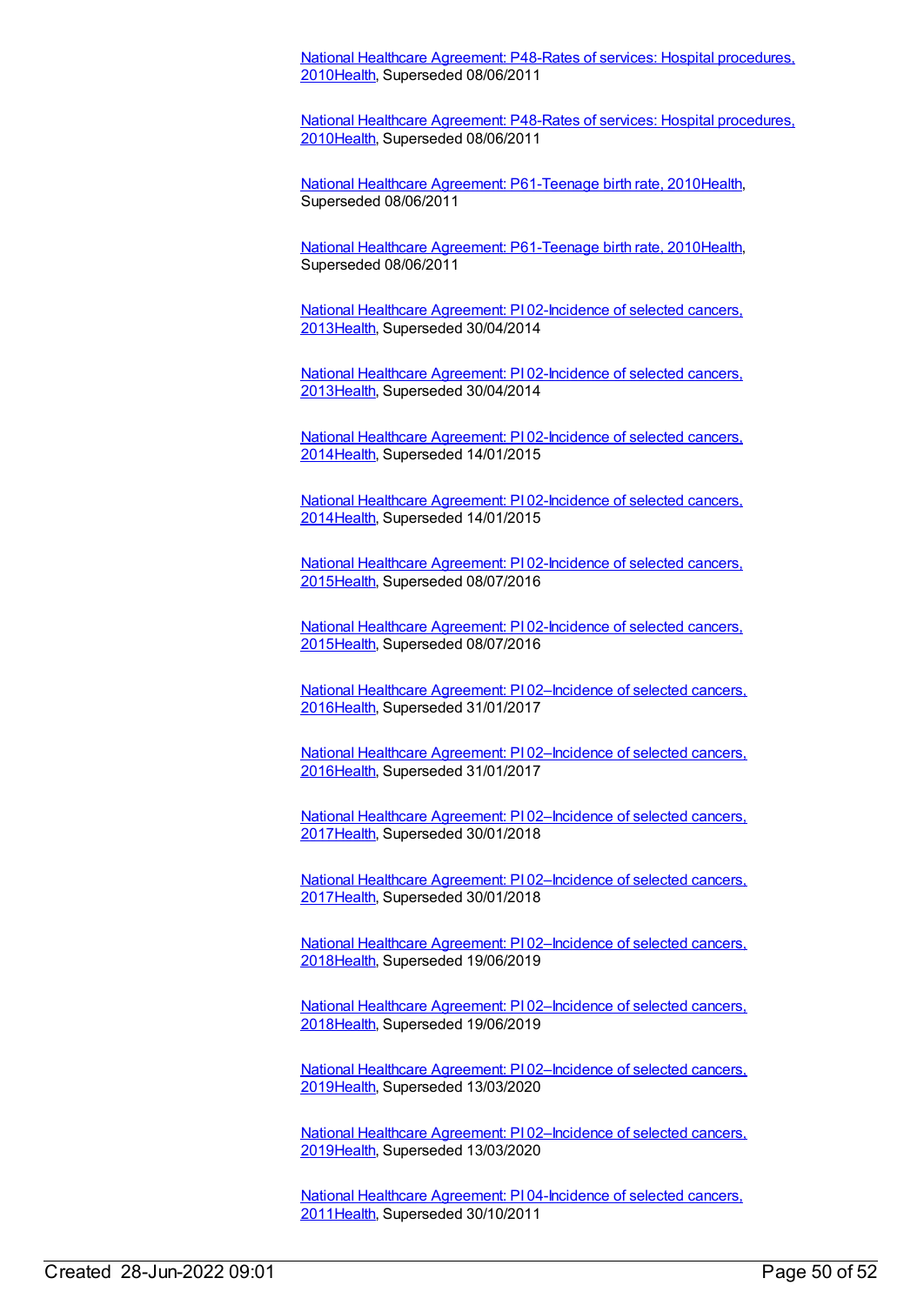National Healthcare Agreement: P48-Rates of services: Hospital [procedures,](https://meteor.aihw.gov.au/content/395095) 201[0Health](https://meteor.aihw.gov.au/RegistrationAuthority/12), Superseded 08/06/2011

National Healthcare Agreement: P48-Rates of services: Hospital [procedures,](https://meteor.aihw.gov.au/content/395095) 201[0Health](https://meteor.aihw.gov.au/RegistrationAuthority/12), Superseded 08/06/2011

National Healthcare Agreement: [P61-Teenage](https://meteor.aihw.gov.au/content/395103) birth rate, 201[0Health](https://meteor.aihw.gov.au/RegistrationAuthority/12), Superseded 08/06/2011

National Healthcare Agreement: [P61-Teenage](https://meteor.aihw.gov.au/content/395103) birth rate, 201[0Health](https://meteor.aihw.gov.au/RegistrationAuthority/12), Superseded 08/06/2011

National Healthcare Agreement: PI [02-Incidence](https://meteor.aihw.gov.au/content/498207) of selected cancers, 201[3Health](https://meteor.aihw.gov.au/RegistrationAuthority/12), Superseded 30/04/2014

National Healthcare Agreement: PI [02-Incidence](https://meteor.aihw.gov.au/content/498207) of selected cancers, 201[3Health](https://meteor.aihw.gov.au/RegistrationAuthority/12), Superseded 30/04/2014

National Healthcare Agreement: PI [02-Incidence](https://meteor.aihw.gov.au/content/517686) of selected cancers, 201[4Health](https://meteor.aihw.gov.au/RegistrationAuthority/12), Superseded 14/01/2015

National Healthcare Agreement: PI [02-Incidence](https://meteor.aihw.gov.au/content/517686) of selected cancers, 201[4Health](https://meteor.aihw.gov.au/RegistrationAuthority/12), Superseded 14/01/2015

National Healthcare Agreement: PI [02-Incidence](https://meteor.aihw.gov.au/content/559064) of selected cancers, 201[5Health](https://meteor.aihw.gov.au/RegistrationAuthority/12), Superseded 08/07/2016

National Healthcare Agreement: PI [02-Incidence](https://meteor.aihw.gov.au/content/559064) of selected cancers, 201[5Health](https://meteor.aihw.gov.au/RegistrationAuthority/12), Superseded 08/07/2016

National Healthcare Agreement: PI [02–Incidence](https://meteor.aihw.gov.au/content/598845) of selected cancers, 201[6Health](https://meteor.aihw.gov.au/RegistrationAuthority/12), Superseded 31/01/2017

National Healthcare Agreement: PI [02–Incidence](https://meteor.aihw.gov.au/content/598845) of selected cancers, 201[6Health](https://meteor.aihw.gov.au/RegistrationAuthority/12), Superseded 31/01/2017

National Healthcare Agreement: PI [02–Incidence](https://meteor.aihw.gov.au/content/630224) of selected cancers, 201[7Health](https://meteor.aihw.gov.au/RegistrationAuthority/12), Superseded 30/01/2018

National Healthcare Agreement: PI [02–Incidence](https://meteor.aihw.gov.au/content/630224) of selected cancers, 201[7Health](https://meteor.aihw.gov.au/RegistrationAuthority/12), Superseded 30/01/2018

National Healthcare Agreement: PI [02–Incidence](https://meteor.aihw.gov.au/content/658532) of selected cancers, 201[8Health](https://meteor.aihw.gov.au/RegistrationAuthority/12), Superseded 19/06/2019

National Healthcare Agreement: PI [02–Incidence](https://meteor.aihw.gov.au/content/658532) of selected cancers, 201[8Health](https://meteor.aihw.gov.au/RegistrationAuthority/12), Superseded 19/06/2019

National Healthcare Agreement: PI [02–Incidence](https://meteor.aihw.gov.au/content/698936) of selected cancers, 201[9Health](https://meteor.aihw.gov.au/RegistrationAuthority/12), Superseded 13/03/2020

National Healthcare Agreement: PI [02–Incidence](https://meteor.aihw.gov.au/content/698936) of selected cancers, 201[9Health](https://meteor.aihw.gov.au/RegistrationAuthority/12), Superseded 13/03/2020

National Healthcare Agreement: PI [04-Incidence](https://meteor.aihw.gov.au/content/421693) of selected cancers, 201[1Health](https://meteor.aihw.gov.au/RegistrationAuthority/12), Superseded 30/10/2011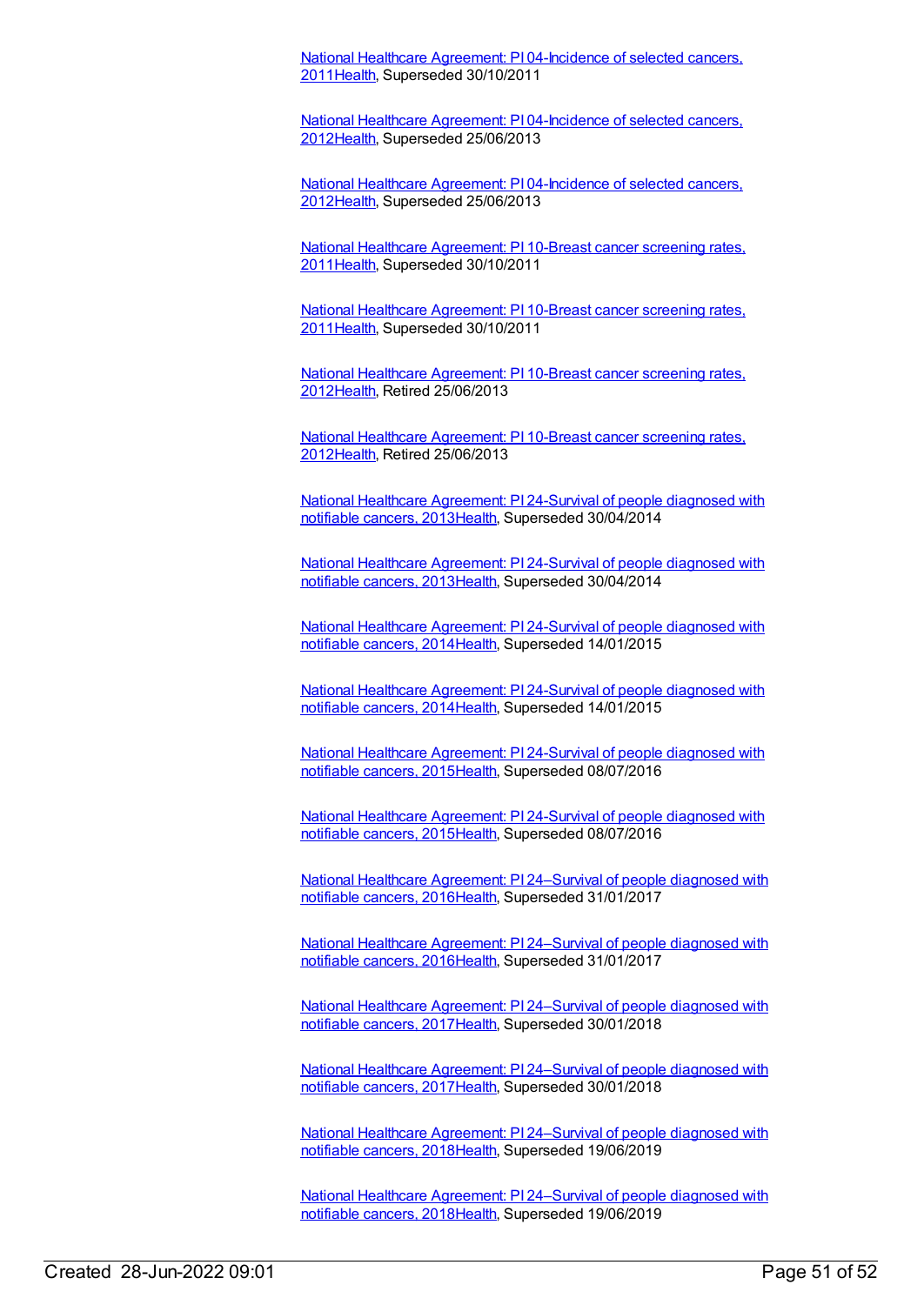National Healthcare Agreement: PI [04-Incidence](https://meteor.aihw.gov.au/content/421693) of selected cancers, 201[1Health](https://meteor.aihw.gov.au/RegistrationAuthority/12), Superseded 30/10/2011

National Healthcare Agreement: PI [04-Incidence](https://meteor.aihw.gov.au/content/435839) of selected cancers, 201[2Health](https://meteor.aihw.gov.au/RegistrationAuthority/12), Superseded 25/06/2013

National Healthcare Agreement: PI [04-Incidence](https://meteor.aihw.gov.au/content/435839) of selected cancers, 201[2Health](https://meteor.aihw.gov.au/RegistrationAuthority/12), Superseded 25/06/2013

National Healthcare [Agreement:](https://meteor.aihw.gov.au/content/421676) PI 10-Breast cancer screening rates, 201[1Health](https://meteor.aihw.gov.au/RegistrationAuthority/12), Superseded 30/10/2011

National Healthcare [Agreement:](https://meteor.aihw.gov.au/content/421676) PI 10-Breast cancer screening rates, 201[1Health](https://meteor.aihw.gov.au/RegistrationAuthority/12), Superseded 30/10/2011

National Healthcare [Agreement:](https://meteor.aihw.gov.au/content/435843) PI 10-Breast cancer screening rates, 201[2Health](https://meteor.aihw.gov.au/RegistrationAuthority/12), Retired 25/06/2013

National Healthcare [Agreement:](https://meteor.aihw.gov.au/content/435843) PI 10-Breast cancer screening rates, 201[2Health](https://meteor.aihw.gov.au/RegistrationAuthority/12), Retired 25/06/2013

National Healthcare [Agreement:](https://meteor.aihw.gov.au/content/497121) PI 24-Survival of people diagnosed with notifiable cancers, 201[3Health](https://meteor.aihw.gov.au/RegistrationAuthority/12), Superseded 30/04/2014

National Healthcare [Agreement:](https://meteor.aihw.gov.au/content/497121) PI 24-Survival of people diagnosed with notifiable cancers, 201[3Health](https://meteor.aihw.gov.au/RegistrationAuthority/12), Superseded 30/04/2014

National Healthcare [Agreement:](https://meteor.aihw.gov.au/content/517632) PI 24-Survival of people diagnosed with notifiable cancers, 201[4Health](https://meteor.aihw.gov.au/RegistrationAuthority/12), Superseded 14/01/2015

National Healthcare [Agreement:](https://meteor.aihw.gov.au/content/517632) PI 24-Survival of people diagnosed with notifiable cancers, 201[4Health](https://meteor.aihw.gov.au/RegistrationAuthority/12), Superseded 14/01/2015

National Healthcare [Agreement:](https://meteor.aihw.gov.au/content/559018) PI 24-Survival of people diagnosed with notifiable cancers, 201[5Health](https://meteor.aihw.gov.au/RegistrationAuthority/12), Superseded 08/07/2016

National Healthcare [Agreement:](https://meteor.aihw.gov.au/content/559018) PI 24-Survival of people diagnosed with notifiable cancers, 201[5Health](https://meteor.aihw.gov.au/RegistrationAuthority/12), Superseded 08/07/2016

National Healthcare Agreement: PI [24–Survival](https://meteor.aihw.gov.au/content/598730) of people diagnosed with notifiable cancers, 201[6Health](https://meteor.aihw.gov.au/RegistrationAuthority/12), Superseded 31/01/2017

National Healthcare Agreement: PI [24–Survival](https://meteor.aihw.gov.au/content/598730) of people diagnosed with notifiable cancers, 201[6Health](https://meteor.aihw.gov.au/RegistrationAuthority/12), Superseded 31/01/2017

National Healthcare Agreement: PI [24–Survival](https://meteor.aihw.gov.au/content/630051) of people diagnosed with notifiable cancers, 201[7Health](https://meteor.aihw.gov.au/RegistrationAuthority/12), Superseded 30/01/2018

National Healthcare Agreement: PI [24–Survival](https://meteor.aihw.gov.au/content/630051) of people diagnosed with notifiable cancers, 201[7Health](https://meteor.aihw.gov.au/RegistrationAuthority/12), Superseded 30/01/2018

National Healthcare Agreement: PI [24–Survival](https://meteor.aihw.gov.au/content/658483) of people diagnosed with notifiable cancers, 201[8Health](https://meteor.aihw.gov.au/RegistrationAuthority/12), Superseded 19/06/2019

National Healthcare Agreement: PI [24–Survival](https://meteor.aihw.gov.au/content/658483) of people diagnosed with notifiable cancers, 201[8Health](https://meteor.aihw.gov.au/RegistrationAuthority/12), Superseded 19/06/2019